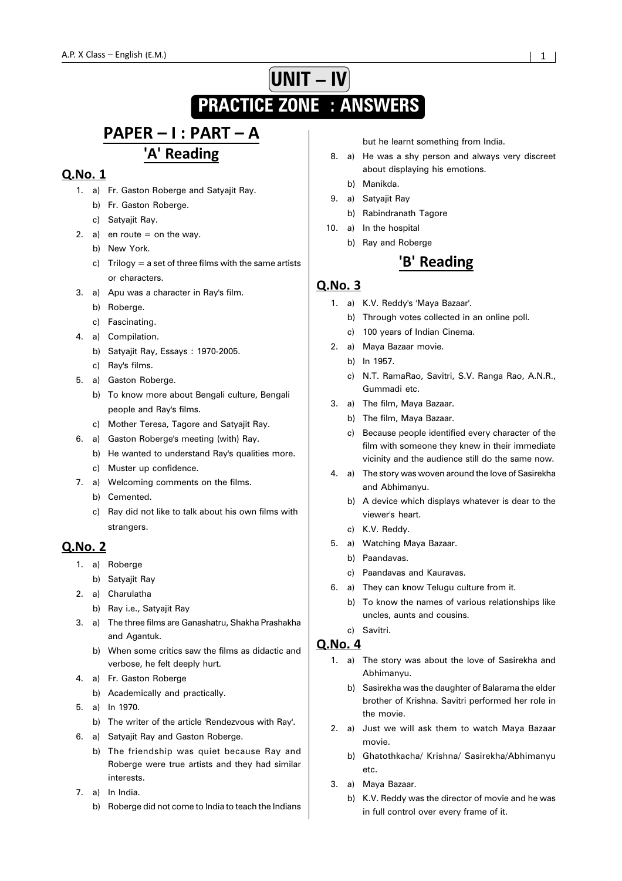# **UNIT – IV PRACTICE ZONE : ANSWERS**

# PAPER - I : PART - A 'A' Reading

# Q.No. 1

- 1. a) Fr. Gaston Roberge and Satyajit Ray.
	- b) Fr. Gaston Roberge.
	- c) Satyajit Ray.
- 2. a) en route  $=$  on the way.
	- b) New York.
		- c) Trilogy = a set of three films with the same artists or characters.
- 3. a) Apu was a character in Ray's film.
	- b) Roberge.
	- c) Fascinating.
- 4. a) Compilation.
	- b) Satyajit Ray, Essays : 1970-2005.
	- c) Ray's films.
- 5. a) Gaston Roberge.
	- b) To know more about Bengali culture, Bengali people and Ray's films.
	- c) Mother Teresa, Tagore and Satyajit Ray.
- 6. a) Gaston Roberge's meeting (with) Ray.
	- b) He wanted to understand Ray's qualities more.
	- c) Muster up confidence.
- 7. a) Welcoming comments on the films.
	- b) Cemented.
	- c) Ray did not like to talk about his own films with strangers.

## **Q.No. 2**

- 1. a) Roberge
	- b) Satyajit Ray
- 2. a) Charulatha
	- b) Ray i.e., Satyajit Ray
- 3. a) The three films are Ganashatru, Shakha Prashakha and Agantuk.
	- b) When some critics saw the films as didactic and verbose, he felt deeply hurt.
- 4. a) Fr. Gaston Roberge
	- b) Academically and practically.
- 5. a) In 1970.
	- b) The writer of the article 'Rendezvous with Ray'.
- 6. a) Satyajit Ray and Gaston Roberge.
	- b) The friendship was quiet because Ray and Roberge were true artists and they had similar interests.
- 7. a) In India.
	- b) Roberge did not come to India to teach the Indians

but he learnt something from India.

- 8. a) He was a shy person and always very discreet about displaying his emotions.
	- b) Manikda.
- 9. a) Satyajit Ray
	- b) Rabindranath Tagore
- 10. a) In the hospital
	- b) Ray and Roberge

# 'B' Reading

#### Q.No. 3

- 1. a) K.V. Reddy's 'Maya Bazaar'.
	- b) Through votes collected in an online poll.
	- c) 100 years of Indian Cinema.
- 2. a) Maya Bazaar movie.
	- b) In 1957.
	- c) N.T. RamaRao, Savitri, S.V. Ranga Rao, A.N.R., Gummadi etc.
- 3. a) The film, Maya Bazaar.
	- b) The film, Maya Bazaar.
	- c) Because people identified every character of the film with someone they knew in their immediate vicinity and the audience still do the same now.
- 4. a) The story was woven around the love of Sasirekha and Abhimanyu.
	- b) A device which displays whatever is dear to the viewer's heart.
	- c) K.V. Reddy.
- 5. a) Watching Maya Bazaar.
	- b) Paandavas.
	- c) Paandavas and Kauravas.
- 6. a) They can know Telugu culture from it.
	- b) To know the names of various relationships like uncles, aunts and cousins.
	- c) Savitri.

- 1. a) The story was about the love of Sasirekha and Abhimanyu.
	- b) Sasirekha was the daughter of Balarama the elder brother of Krishna. Savitri performed her role in the movie.
- 2. a) Just we will ask them to watch Maya Bazaar movie.
	- b) Ghatothkacha/ Krishna/ Sasirekha/Abhimanyu etc.
- 3. a) Maya Bazaar.
	- b) K.V. Reddy was the director of movie and he was in full control over every frame of it.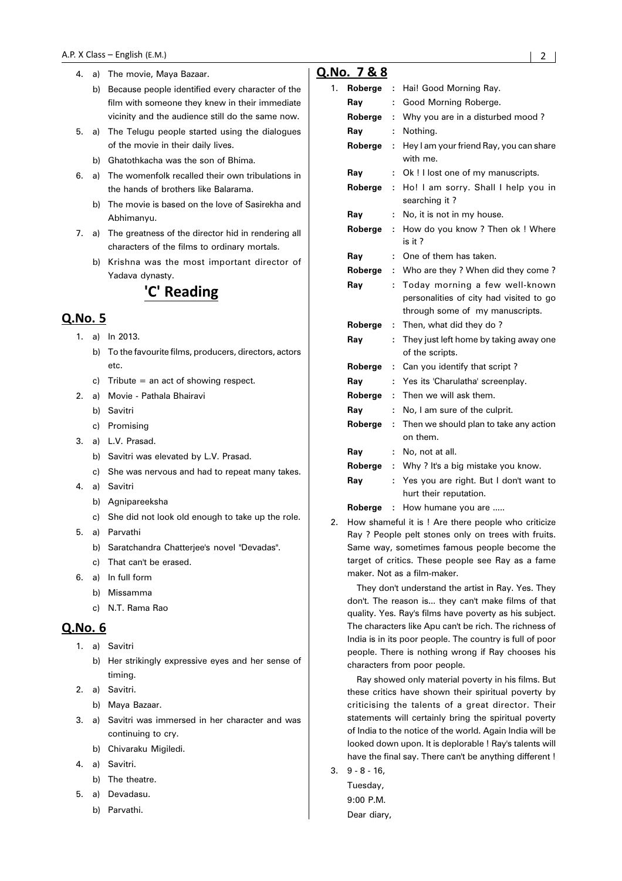- 4. a) The movie, Maya Bazaar.
	- b) Because people identified every character of the film with someone they knew in their immediate vicinity and the audience still do the same now.
- 5. a) The Telugu people started using the dialogues of the movie in their daily lives.
	- b) Ghatothkacha was the son of Bhima.
- 6. a) The womenfolk recalled their own tribulations in the hands of brothers like Balarama.
	- b) The movie is based on the love of Sasirekha and Abhimanyu.
- 7. a) The greatness of the director hid in rendering all characters of the films to ordinary mortals.
	- b) Krishna was the most important director of Yadava dynasty.

# 'C' Reading

## Q.No. 5

- 1. a) In 2013.
	- b) To the favourite films, producers, directors, actors etc.
	- c) Tribute = an act of showing respect.
- 2. a) Movie Pathala Bhairavi
	- b) Savitri
	- c) Promising
- 3. a) L.V. Prasad.
	- b) Savitri was elevated by L.V. Prasad.
	- c) She was nervous and had to repeat many takes.
- 4. a) Savitri
	- b) Agnipareeksha
	- c) She did not look old enough to take up the role.
- 5. a) Parvathi
	- b) Saratchandra Chatterjee's novel "Devadas".
	- c) That can't be erased.
- 6. a) In full form
	- b) Missamma
	- c) N.T. Rama Rao

#### **Q.No. 6**

- 1. a) Savitri
	- b) Her strikingly expressive eyes and her sense of timing.
- 2. a) Savitri.
	- b) Maya Bazaar.
- 3. a) Savitri was immersed in her character and was continuing to cry.
	- b) Chivaraku Migiledi.
- 4. a) Savitri.
	- b) The theatre.
- 5. a) Devadasu.
	- b) Parvathi.

# Q.No. 7 & 8

| 1. | Roberge | ÷  | Hai! Good Morning Ray.                                                                                       |
|----|---------|----|--------------------------------------------------------------------------------------------------------------|
|    | Ray     | ÷  | Good Morning Roberge.                                                                                        |
|    | Roberge | ÷  | Why you are in a disturbed mood?                                                                             |
|    | Ray     | ÷  | Nothing.                                                                                                     |
|    | Roberge | ÷  | Hey I am your friend Ray, you can share<br>with me.                                                          |
|    | Ray     | ÷  | Ok ! I lost one of my manuscripts.                                                                           |
|    | Roberge | ÷  | Ho! I am sorry. Shall I help you in<br>searching it?                                                         |
|    | Ray     | ÷  | No, it is not in my house.                                                                                   |
|    | Roberge | ÷  | How do you know? Then ok ! Where<br>is it?                                                                   |
|    | Ray     | ÷  | One of them has taken.                                                                                       |
|    | Roberge | ÷  | Who are they ? When did they come ?                                                                          |
|    | Ray     | ÷  | Today morning a few well-known<br>personalities of city had visited to go<br>through some of my manuscripts. |
|    | Roberge | t  | Then, what did they do?                                                                                      |
|    | Ray     | t. | They just left home by taking away one<br>of the scripts.                                                    |
|    | Roberge | t  | Can you identify that script?                                                                                |
|    | Ray     | ŕ. | Yes its 'Charulatha' screenplay.                                                                             |
|    | Roberge | ÷  | Then we will ask them.                                                                                       |
|    | Ray     | ÷  | No, I am sure of the culprit.                                                                                |
|    | Roberge | ÷  | Then we should plan to take any action<br>on them.                                                           |
|    | Ray     | ÷  | No, not at all.                                                                                              |
|    | Roberge | ÷  | Why? It's a big mistake you know.                                                                            |
|    | Ray     | ÷  | Yes you are right. But I don't want to<br>hurt their reputation.                                             |
|    | Roberge | ÷  | How humane you are                                                                                           |
|    |         |    |                                                                                                              |

2. How shameful it is ! Are there people who criticize Ray ? People pelt stones only on trees with fruits. Same way, sometimes famous people become the target of critics. These people see Ray as a fame maker. Not as a film-maker.

They don't understand the artist in Ray. Yes. They don't. The reason is... they can't make films of that quality. Yes. Ray's films have poverty as his subject. The characters like Apu can't be rich. The richness of India is in its poor people. The country is full of poor people. There is nothing wrong if Ray chooses his characters from poor people.

Ray showed only material poverty in his films. But these critics have shown their spiritual poverty by criticising the talents of a great director. Their statements will certainly bring the spiritual poverty of India to the notice of the world. Again India will be looked down upon. It is deplorable ! Ray's talents will have the final say. There can't be anything different !

3. 9 - 8 - 16, Tuesday, 9:00 P.M. Dear diary,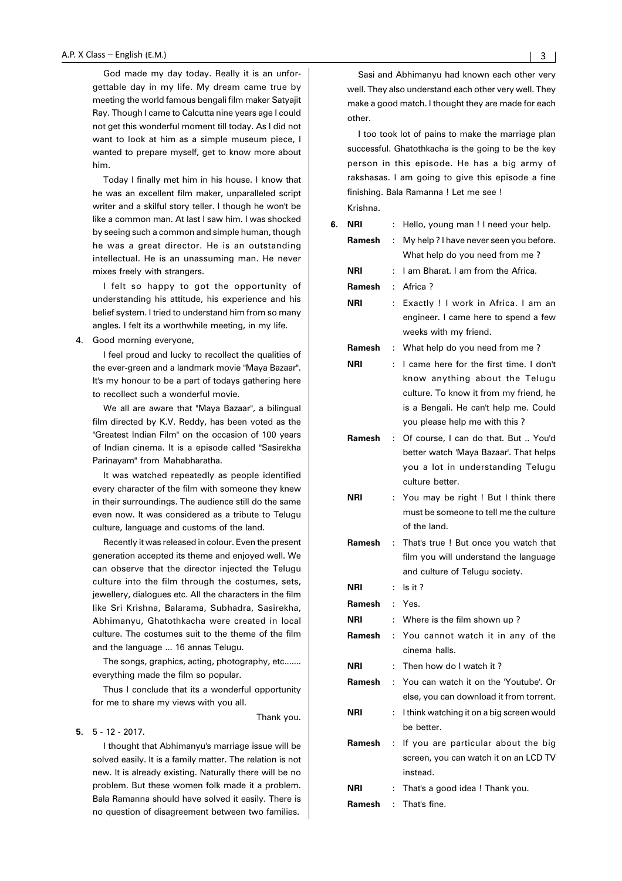God made my day today. Really it is an unforgettable day in my life. My dream came true by meeting the world famous bengali film maker Satyajit Ray. Though I came to Calcutta nine years age I could not get this wonderful moment till today. As I did not want to look at him as a simple museum piece, I wanted to prepare myself, get to know more about him.

Today I finally met him in his house. I know that he was an excellent film maker, unparalleled script writer and a skilful story teller. I though he won't be like a common man. At last I saw him. I was shocked by seeing such a common and simple human, though he was a great director. He is an outstanding intellectual. He is an unassuming man. He never mixes freely with strangers.

I felt so happy to got the opportunity of understanding his attitude, his experience and his belief system. I tried to understand him from so many angles. I felt its a worthwhile meeting, in my life.

4. Good morning everyone,

I feel proud and lucky to recollect the qualities of the ever-green and a landmark movie "Maya Bazaar". It's my honour to be a part of todays gathering here to recollect such a wonderful movie.

We all are aware that "Maya Bazaar", a bilingual film directed by K.V. Reddy, has been voted as the "Greatest Indian Film'' on the occasion of 100 years of Indian cinema. It is a episode called "Sasirekha Parinayam" from Mahabharatha.

It was watched repeatedly as people identified every character of the film with someone they knew in their surroundings. The audience still do the same even now. It was considered as a tribute to Telugu culture, language and customs of the land.

Recently it was released in colour. Even the present generation accepted its theme and enjoyed well. We can observe that the director injected the Telugu culture into the film through the costumes, sets, jewellery, dialogues etc. All the characters in the film like Sri Krishna, Balarama, Subhadra, Sasirekha, Abhimanyu, Ghatothkacha were created in local culture. The costumes suit to the theme of the film and the language ... 16 annas Telugu.

The songs, graphics, acting, photography, etc....... everything made the film so popular.

Thus I conclude that its a wonderful opportunity for me to share my views with you all.

Thank you.

#### **5.** 5 - 12 - 2017.

I thought that Abhimanyu's marriage issue will be solved easily. It is a family matter. The relation is not new. It is already existing. Naturally there will be no problem. But these women folk made it a problem. Bala Ramanna should have solved it easily. There is no question of disagreement between two families.

Sasi and Abhimanyu had known each other very well. They also understand each other very well. They make a good match. I thought they are made for each other.

I too took lot of pains to make the marriage plan successful. Ghatothkacha is the going to be the key person in this episode. He has a big army of rakshasas. I am going to give this episode a fine finishing. Bala Ramanna ! Let me see !

Krishna. **6. NRI** : Hello, young man ! I need your help. **Ramesh** : My help ? I have never seen you before. What help do you need from me ? **NRI** : I am Bharat. I am from the Africa. **Ramesh** : Africa ? **NRI** : Exactly ! I work in Africa. I am an engineer. I came here to spend a few weeks with my friend. **Ramesh** : What help do you need from me ? **NRI** : I came here for the first time. I don't know anything about the Telugu culture. To know it from my friend, he is a Bengali. He can't help me. Could you please help me with this ? **Ramesh** : Of course, I can do that. But .. You'd better watch 'Maya Bazaar'. That helps you a lot in understanding Telugu culture better. **NRI** : You may be right ! But I think there must be someone to tell me the culture of the land. **Ramesh** : That's true ! But once you watch that film you will understand the language and culture of Telugu society. **NRI** : Is it ? **Ramesh** : Yes. **NRI** : Where is the film shown up ? **Ramesh** : You cannot watch it in any of the cinema halls. **NRI** : Then how do I watch it ? **Ramesh** : You can watch it on the 'Youtube'. Or else, you can download it from torrent. **NRI** : I think watching it on a big screen would be better. **Ramesh** : If you are particular about the big screen, you can watch it on an LCD TV instead. **NRI** : That's a good idea ! Thank you. **Ramesh** : That's fine.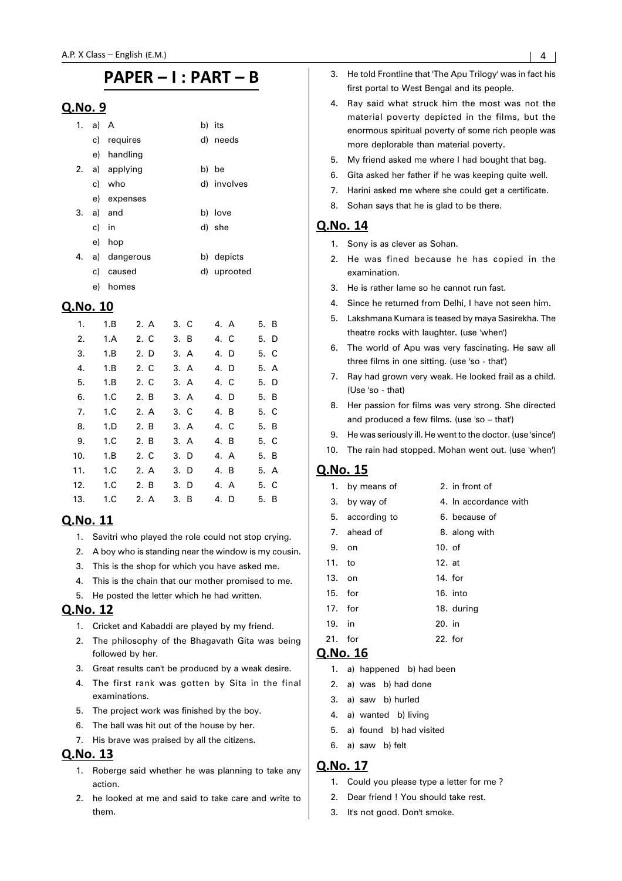#### Q.No. 9

|    | 1. a) A |                | b) its      |
|----|---------|----------------|-------------|
|    |         | c) requires    | d) needs    |
|    |         | e) handling    |             |
|    |         | 2. a) applying | b) be       |
|    |         | c) who         | d) involves |
|    |         | e) expenses    |             |
|    |         | $3. a)$ and    | b) love     |
|    | c) in   |                | d) she      |
|    |         | e) hop         |             |
| 4. |         | a) dangerous   | b) depicts  |
|    | c)      | caused         | d) uprooted |
|    | e)      | homes          |             |
|    |         |                |             |

### Q.No. 10

| 1.  | 1.B | 2. A | 3. C | 4. A | 5. B |
|-----|-----|------|------|------|------|
| 2.  | 1.A | 2. C | 3. B | 4. C | 5. D |
| 3.  | 1.B | 2. D | 3. A | 4. D | 5. C |
| 4.  | 1.B | 2. C | 3. A | 4. D | 5. A |
| 5.  | 1.B | 2. C | 3. A | 4. C | 5. D |
| 6.  | 1.C | 2. B | 3. A | 4. D | 5. B |
| 7.  | 1.C | 2. A | 3. C | 4. B | 5. C |
| 8.  | 1.D | 2. B | 3. A | 4. C | 5. B |
| 9.  | 1.C | 2. B | 3. A | 4. B | 5. C |
| 10. | 1.B | 2. C | 3. D | 4. A | 5. B |
| 11. | 1.C | 2. A | 3. D | 4. B | 5. A |
| 12. | 1.C | 2. B | 3. D | 4. A | 5. C |
| 13. | 1.C | 2. A | 3. B | 4. D | 5. B |

## Q.No. 11

- 1. Savitri who played the role could not stop crying.
- 2. A boy who is standing near the window is my cousin.
- 3. This is the shop for which you have asked me.
- 4. This is the chain that our mother promised to me.
- 5. He posted the letter which he had written.

## Q.No. 12

- 1. Cricket and Kabaddi are played by my friend.
- 2. The philosophy of the Bhagavath Gita was being followed by her.
- 3. Great results can't be produced by a weak desire.
- 4. The first rank was gotten by Sita in the final examinations.
- 5. The project work was finished by the boy.
- 6. The ball was hit out of the house by her.
- 7. His brave was praised by all the citizens.

#### **Q.No. 13**

- 1. Roberge said whether he was planning to take any action.
- 2. he looked at me and said to take care and write to them.
- 3. He told Frontline that 'The Apu Trilogy' was in fact his first portal to West Bengal and its people.
- 4. Ray said what struck him the most was not the material poverty depicted in the films, but the enormous spiritual poverty of some rich people was more deplorable than material poverty.
- 5. My friend asked me where I had bought that bag.
- 6. Gita asked her father if he was keeping quite well.
- 7. Harini asked me where she could get a certificate.
- 8. Sohan says that he is glad to be there.

### **Q.No. 14**

- 1. Sony is as clever as Sohan.
- 2. He was fined because he has copied in the examination.
- 3. He is rather lame so he cannot run fast.
- 4. Since he returned from Delhi, I have not seen him.
- 5. Lakshmana Kumara is teased by maya Sasirekha. The theatre rocks with laughter. (use 'when')
- 6. The world of Apu was very fascinating. He saw all three films in one sitting. (use 'so - that')
- 7. Ray had grown very weak. He looked frail as a child. (Use 'so - that)
- 8. Her passion for films was very strong. She directed and produced a few films. (use 'so – that')
- 9. He was seriously ill. He went to the doctor. (use 'since')
- 10. The rain had stopped. Mohan went out. (use 'when')

## Q.No. 15

1. by means of 2. in front of 3. by way of 4. In accordance with 5. according to 6. because of 7. ahead of 8. along with 9. on 10. of 11. to 12. at 13. on 14. for 15. for 16. into 17. for 18. during 19. in 20. in 21. for 22. for

## Q.No. 16

- 1. a) happened b) had been
- 2. a) was b) had done
- 3. a) saw b) hurled
- 4. a) wanted b) living
- 5. a) found b) had visited
- 6. a) saw b) felt

- 1. Could you please type a letter for me ?
- 2. Dear friend I You should take rest.
- 3. It's not good. Don't smoke.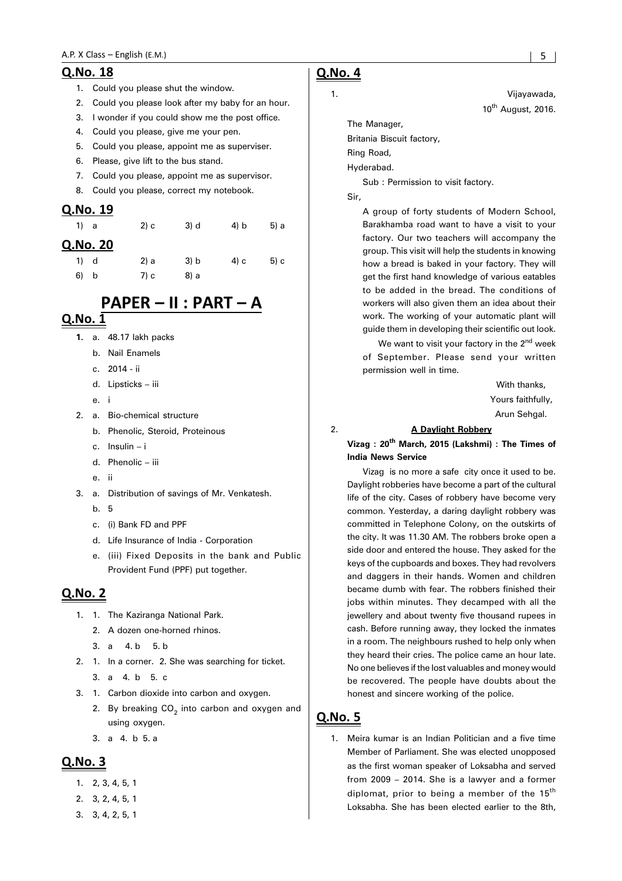#### A.P. X Class - Englis

#### Q.No. 18

- 1. Could you please shut the window.
- 2. Could you please look after my baby for an hour.
- 3. I wonder if you could show me the post office.
- 4. Could you please, give me your pen.
- 5. Could you please, appoint me as superviser.
- 6. Please, give lift to the bus stand.
- 7. Could you please, appoint me as supervisor.
- 8. Could you please, correct my notebook.

#### Q.No. 19

| 1) a      | 2) c | 3) d | 4) b | 5) a |
|-----------|------|------|------|------|
| Q.No. 20  |      |      |      |      |
| 1) d      | 2) a | 3) b | 4) c | 5) c |
| 6)<br>- b | 7) c | 8) a |      |      |

# PAPER - II : PART - A

# $Q.No.$  1

- **1.** a. 48.17 lakh packs
	- b. Nail Enamels
	- c. 2014 ii
	- d. Lipsticks iii
	- e. i
- 2. a. Bio-chemical structure
	- b. Phenolic, Steroid, Proteinous
	- c. Insulin i
	- d. Phenolic iii
	- e. ii
- 3. a. Distribution of savings of Mr. Venkatesh.
	- b. 5
	- c. (i) Bank FD and PPF
	- d. Life Insurance of India Corporation
	- e. (iii) Fixed Deposits in the bank and Public Provident Fund (PPF) put together.

#### Q.No. 2

- 1. 1. The Kaziranga National Park.
	- 2. A dozen one-horned rhinos.
	- 3. a  $4. b$  5. b
- 2. 1. In a corner. 2. She was searching for ticket.
	- 3. a 4. b 5. c
- 3. 1. Carbon dioxide into carbon and oxygen.
	- 2. By breaking CO<sub>2</sub> into carbon and oxygen and using oxygen.
	- 3. a 4. b 5. a

#### Q.No. 3

- 1. 2, 3, 4, 5, 1
- 2. 3, 2, 4, 5, 1
- 3. 3, 4, 2, 5, 1

# **Q.No. 4**

1. Vijayawada, 10<sup>th</sup> August, 2016.

The Manager, Britania Biscuit factory,

Ring Road,

Hyderabad.

Sub : Permission to visit factory.

Sir,

A group of forty students of Modern School, Barakhamba road want to have a visit to your factory. Our two teachers will accompany the group. This visit will help the students in knowing how a bread is baked in your factory. They will get the first hand knowledge of various eatables to be added in the bread. The conditions of workers will also given them an idea about their work. The working of your automatic plant will guide them in developing their scientific out look.

We want to visit your factory in the  $2<sup>nd</sup>$  week of September. Please send your written permission well in time.

> With thanks, Yours faithfully, Arun Sehgal.

#### 2. **A Daylight Robbery**

**Vizag : 20th March, 2015 (Lakshmi) : The Times of India News Service**

Vizag is no more a safe city once it used to be. Daylight robberies have become a part of the cultural life of the city. Cases of robbery have become very common. Yesterday, a daring daylight robbery was committed in Telephone Colony, on the outskirts of the city. It was 11.30 AM. The robbers broke open a side door and entered the house. They asked for the keys of the cupboards and boxes. They had revolvers and daggers in their hands. Women and children became dumb with fear. The robbers finished their jobs within minutes. They decamped with all the jewellery and about twenty five thousand rupees in cash. Before running away, they locked the inmates in a room. The neighbours rushed to help only when they heard their cries. The police came an hour late. No one believes if the lost valuables and money would be recovered. The people have doubts about the honest and sincere working of the police.

#### **Q.No. 5**

1. Meira kumar is an Indian Politician and a five time Member of Parliament. She was elected unopposed as the first woman speaker of Loksabha and served from 2009 – 2014. She is a lawyer and a former diplomat, prior to being a member of the 15<sup>th</sup> Loksabha. She has been elected earlier to the 8th,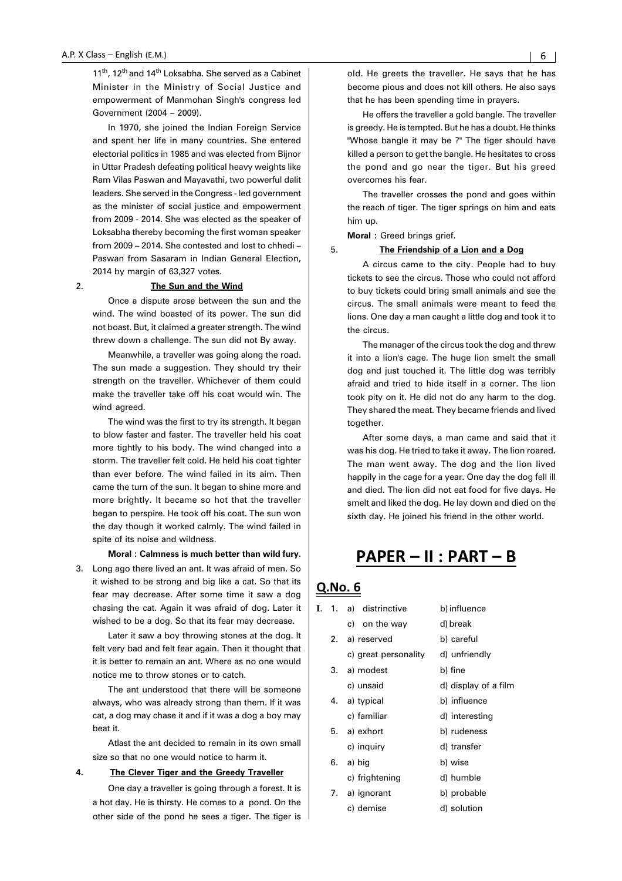11<sup>th</sup>, 12<sup>th</sup> and 14<sup>th</sup> Loksabha. She served as a Cabinet Minister in the Ministry of Social Justice and empowerment of Manmohan Singh's congress led Government (2004 – 2009).

In 1970, she joined the Indian Foreign Service and spent her life in many countries. She entered electorial politics in 1985 and was elected from Bijnor in Uttar Pradesh defeating political heavy weights like Ram Vilas Paswan and Mayavathi, two powerful dalit leaders. She served in the Congress - led government as the minister of social justice and empowerment from 2009 - 2014. She was elected as the speaker of Loksabha thereby becoming the first woman speaker from 2009 – 2014. She contested and lost to chhedi – Paswan from Sasaram in Indian General Election, 2014 by margin of 63,327 votes.

#### 2. **The Sun and the Wind**

Once a dispute arose between the sun and the wind. The wind boasted of its power. The sun did not boast. But, it claimed a greater strength. The wind threw down a challenge. The sun did not By away.

Meanwhile, a traveller was going along the road. The sun made a suggestion. They should try their strength on the traveller. Whichever of them could make the traveller take off his coat would win. The wind agreed.

The wind was the first to try its strength. It began to blow faster and faster. The traveller held his coat more tightly to his body. The wind changed into a storm. The traveller felt cold. He held his coat tighter than ever before. The wind failed in its aim. Then came the turn of the sun. It began to shine more and more brightly. It became so hot that the traveller began to perspire. He took off his coat. The sun won the day though it worked calmly. The wind failed in spite of its noise and wildness.

**Moral : Calmness is much better than wild fury.**

3. Long ago there lived an ant. It was afraid of men. So it wished to be strong and big like a cat. So that its fear may decrease. After some time it saw a dog chasing the cat. Again it was afraid of dog. Later it wished to be a dog. So that its fear may decrease.

Later it saw a boy throwing stones at the dog. It felt very bad and felt fear again. Then it thought that it is better to remain an ant. Where as no one would notice me to throw stones or to catch.

The ant understood that there will be someone always, who was already strong than them. If it was cat, a dog may chase it and if it was a dog a boy may beat it.

Atlast the ant decided to remain in its own small size so that no one would notice to harm it.

#### **4. The Clever Tiger and the Greedy Traveller**

One day a traveller is going through a forest. It is a hot day. He is thirsty. He comes to a pond. On the other side of the pond he sees a tiger. The tiger is old. He greets the traveller. He says that he has become pious and does not kill others. He also says that he has been spending time in prayers.

He offers the traveller a gold bangle. The traveller is greedy. He is tempted. But he has a doubt. He thinks "Whose bangle it may be ?" The tiger should have killed a person to get the bangle. He hesitates to cross the pond and go near the tiger. But his greed overcomes his fear.

The traveller crosses the pond and goes within the reach of tiger. The tiger springs on him and eats him up.

**Moral :** Greed brings grief.

#### 5. **The Friendship of a Lion and a Dog**

A circus came to the city. People had to buy tickets to see the circus. Those who could not afford to buy tickets could bring small animals and see the circus. The small animals were meant to feed the lions. One day a man caught a little dog and took it to the circus.

The manager of the circus took the dog and threw it into a lion's cage. The huge lion smelt the small dog and just touched it. The little dog was terribly afraid and tried to hide itself in a corner. The lion took pity on it. He did not do any harm to the dog. They shared the meat. They became friends and lived together.

After some days, a man came and said that it was his dog. He tried to take it away. The lion roared. The man went away. The dog and the lion lived happily in the cage for a year. One day the dog fell ill and died. The lion did not eat food for five days. He smelt and liked the dog. He lay down and died on the sixth day. He joined his friend in the other world.

# PAPER - II : PART - B

## <u>Q.No. 6</u>

| I. | 1. a) distrinctive   | b) influence         |
|----|----------------------|----------------------|
|    | c) on the way        | d) break             |
|    | 2. a) reserved       | b) careful           |
|    | c) great personality | d) unfriendly        |
|    | 3. a) modest         | b) fine              |
|    | c) unsaid            | d) display of a film |
|    | 4. a) typical        | b) influence         |
|    | c) familiar          | d) interesting       |
|    | 5. a) exhort         | b) rudeness          |
|    | c) inquiry           | d) transfer          |
|    | 6. a) big            | b) wise              |
|    | c) frightening       | d) humble            |
|    | 7. a) ignorant       | b) probable          |
|    | c) demise            | d) solution          |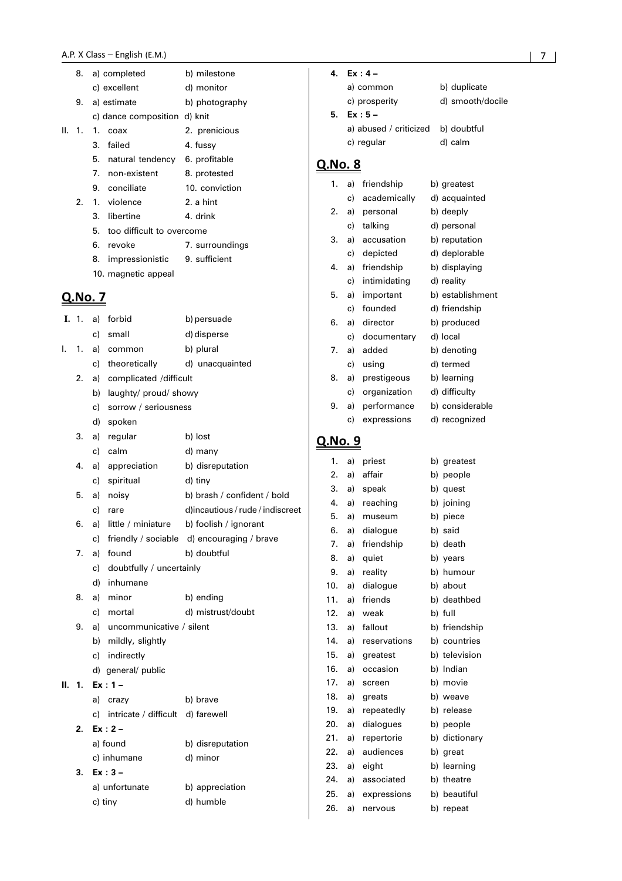|        | 8.               |    | a) completed                      | b) milestone    |  |
|--------|------------------|----|-----------------------------------|-----------------|--|
|        |                  |    | c) excellent                      | d) monitor      |  |
|        | 9.               |    | a) estimate                       | b) photography  |  |
|        |                  |    | c) dance composition d) knit      |                 |  |
| II. 1. |                  | 1. | coax                              | 2. prenicious   |  |
|        |                  |    | 3. failed                         | 4. fussy        |  |
|        |                  |    | 5. natural tendency 6. profitable |                 |  |
|        |                  |    | 7. non-existent                   | 8. protested    |  |
|        |                  |    | 9. conciliate                     | 10. conviction  |  |
|        | $\mathfrak{D}$ . |    | 1. violence                       | 2. a hint       |  |
|        |                  |    | 3. libertine                      | 4. drink        |  |
|        |                  |    | 5. too difficult to overcome      |                 |  |
|        |                  |    | 6. revoke                         | 7. surroundings |  |
|        |                  |    | 8. impressionistic 9. sufficient  |                 |  |
|        |                  |    | 10. magnetic appeal               |                 |  |
|        | <u>Q.No. 7</u>   |    |                                   |                 |  |
| I.     | $\overline{1}$ . |    | a) forbid                         | b) persuade     |  |
|        |                  |    | c) small                          | d) disperse     |  |
| I.     | $\overline{1}$ . |    | a) common                         | b) plural       |  |
|        |                  |    | c) theoretically                  | d) unacquainted |  |
|        | 2.               |    | a) complicated /difficult         |                 |  |
|        |                  | b) | laughty/ proud/ showy             |                 |  |

- c) sorrow / seriousness
- d) spoken
- 3. a) regular b) lost

|    |    | c) calm            | d) many                          |
|----|----|--------------------|----------------------------------|
| 4. |    | a) appreciation    | b) disreputation                 |
|    |    | c) spiritual       | d) tiny                          |
| 5. |    | a) noisy           | b) brash / confident / bold      |
|    | c) | rare               | d)incautious / rude / indiscreet |
| 6. | a) | little / miniature | b) foolish / ignorant            |

- c) friendly / sociable d) encouraging / brave 7. a) found b) doubtful
	- c) doubtfully / uncertainly
	- d) inhumane
- 8. a) minor b) ending
	- c) mortal d) mistrust/doubt
- 9. a) uncommunicative / silent b) mildly, slightly
	- c) indirectly
	- d) general/ public

#### **II. 1. Ex : 1 –**

|    | a)<br>crazy                          | b) brave         |
|----|--------------------------------------|------------------|
|    | c) intricate / difficult d) farewell |                  |
| 2  | $Ex: 2 -$                            |                  |
|    | a) found                             | b) disreputation |
|    | c) inhumane                          | d) minor         |
| 3. | $Ex:3 -$                             |                  |
|    | a) unfortunate                       | b) appreciation  |
|    | c) tiny                              | d) humble        |

| 4  | $Fx \cdot 4 -$                     |                  |
|----|------------------------------------|------------------|
|    | a) common                          | b) duplicate     |
|    | c) prosperity                      | d) smooth/docile |
| 5. | $Ex:5-$                            |                  |
|    | a) abused / criticized b) doubtful |                  |
|    | c) regular                         | d) calm          |
|    |                                    |                  |

# Q.No. 8

| 1. | a) | friendship   | b) greatest      |
|----|----|--------------|------------------|
|    | c) | academically | d) acquainted    |
| 2. | a) | personal     | b) deeply        |
|    | c) | talking      | d) personal      |
| 3. | a) | accusation   | b) reputation    |
|    | c) | depicted     | d) deplorable    |
| 4. | a) | friendship   | b) displaying    |
|    | c) | intimidating | d) reality       |
| 5. | a) | important    | b) establishment |
|    | c) | founded      | d) friendship    |
| 6. | a) | director     | b) produced      |
|    | c) | documentary  | d) local         |
| 7. | a) | added        | b) denoting      |
|    | c) | using        | d) termed        |
| 8. | a) | prestigeous  | b) learning      |
|    | c) | organization | d) difficulty    |
| 9. | a) | performance  | b) considerable  |
|    | c) | expressions  | d) recognized    |

| 1.  | a) | priest       | b) | greatest      |
|-----|----|--------------|----|---------------|
| 2.  | a) | affair       | b) | people        |
| 3.  | a) | speak        | b) | quest         |
| 4.  | a) | reaching     |    | b) joining    |
| 5.  | a) | museum       | b) | piece         |
| 6.  | a) | dialogue     |    | b) said       |
| 7.  | a) | friendship   |    | b) death      |
| 8.  | a) | quiet        |    | b) years      |
| 9.  | a) | reality      | b) | humour        |
| 10. | a) | dialogue     | b) | about         |
| 11. | a) | friends      | b) | deathbed      |
| 12. | a) | weak         |    | b) full       |
| 13. | a) | fallout      | b) | friendship    |
| 14. | a) | reservations | b) | countries     |
| 15. | a) | greatest     |    | b) television |
| 16. | a) | occasion     |    | b) Indian     |
| 17. | a) | screen       |    | b) movie      |
| 18. | a) | greats       |    | b) weave      |
| 19. | a) | repeatedly   | b) | release       |
| 20. | a) | dialogues    | b) | people        |
| 21. | a) | repertorie   | b) | dictionary    |
| 22. | a) | audiences    | b) | great         |
| 23. | a) | eight        | b) | learning      |
| 24. | a) | associated   | b) | theatre       |
| 25. | a) | expressions  | b) | beautiful     |
| 26. | a) | nervous      |    | b) repeat     |
|     |    |              |    |               |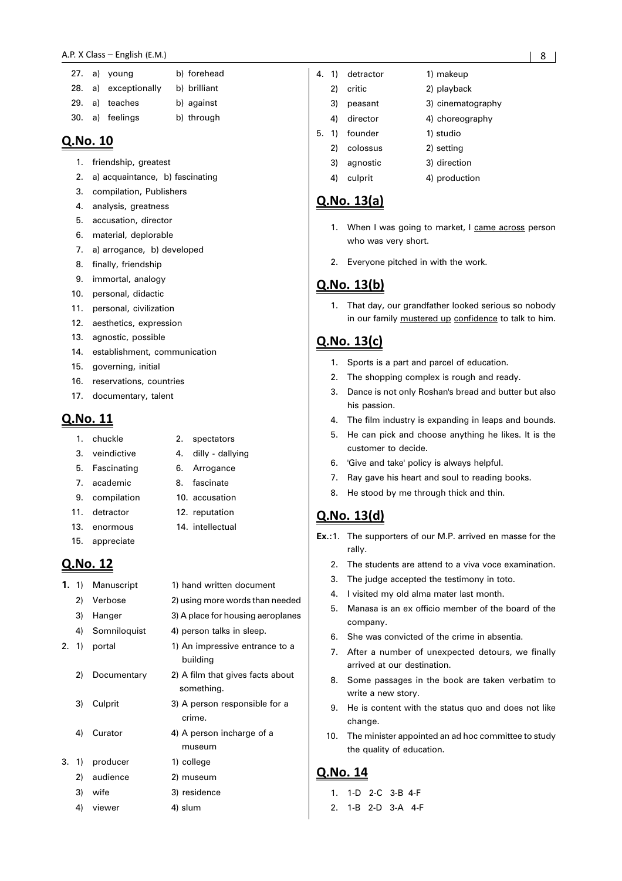#### A.P. X Class - Englis  $h$  (E.M.)  $\qquad \qquad \qquad$  8

|  | 27. a) young         | b) forehead  |
|--|----------------------|--------------|
|  | 28. a) exceptionally | b) brilliant |

|  | 29. a) teaches | b) against |
|--|----------------|------------|

|  | 30. a) feelings | b) through |
|--|-----------------|------------|

#### Q.No. 10

- 1. friendship, greatest
- 2. a) acquaintance, b) fascinating
- 3. compilation, Publishers
- 4. analysis, greatness
- 5. accusation, director
- 6. material, deplorable
- 7. a) arrogance, b) developed
- 8. finally, friendship
- 9. immortal, analogy
- 10. personal, didactic
- 11. personal, civilization
- 12. aesthetics, expression
- 13. agnostic, possible
- 14. establishment, communication
- 15. governing, initial
- 16. reservations, countries
- 17. documentary, talent

# Q.No. 11

- 1. chuckle 2. spectators
- 3. veindictive 4. dilly dallying
- 5. Fascinating 6. Arrogance
- 7. academic 8. fascinate
- 9. compilation 10. accusation
- 11. detractor 12. reputation
- 13. enormous 14. intellectual
- 15. appreciate

## Q.No. 12

**1.** 1) Manuscript 1) hand written document 2) Verbose 2) using more words than needed 3) Hanger 3) A place for housing aeroplanes 4) Somniloquist 4) person talks in sleep. 2. 1) portal 1) An impressive entrance to a building 2) Documentary 2) A film that gives facts about something. 3) Culprit 3) A person responsible for a crime. 4) Curator 4) A person incharge of a museum 3. 1) producer 1) college 2) audience 2) museum 3) wife 3) residence 4) viewer 4) slum

| 4. | 1)    | detractor | 1) makeup         |
|----|-------|-----------|-------------------|
|    | 2)    | critic    | 2) playback       |
|    | 3)    | peasant   | 3) cinematography |
|    | 4)    | director  | 4) choreography   |
|    | 5. 1) | founder   | 1) studio         |
|    | 2)    | colossus  | 2) setting        |
|    | 3)    | agnostic  | 3) direction      |
|    | 4)    | culprit   | 4) production     |

## Q.No. 13(a)

- 1. When I was going to market, I came across person who was very short.
- 2. Everyone pitched in with the work.

#### **Q.No. 13(b)**

1. That day, our grandfather looked serious so nobody in our family mustered up confidence to talk to him.

# Q.No. 13(c)

- 1. Sports is a part and parcel of education.
- 2. The shopping complex is rough and ready.
- 3. Dance is not only Roshan's bread and butter but also his passion.
- The film industry is expanding in leaps and bounds.
- 5. He can pick and choose anything he likes. It is the customer to decide.
- 6. 'Give and take' policy is always helpful.
- 7. Ray gave his heart and soul to reading books.
- 8. He stood by me through thick and thin.

#### <u>Q.No. 13(d)</u>

- **Ex.:**1. The supporters of our M.P. arrived en masse for the rally.
	- 2. The students are attend to a viva voce examination.
	- 3. The judge accepted the testimony in toto.
	- 4. I visited my old alma mater last month.
	- 5. Manasa is an ex officio member of the board of the company.
	- She was convicted of the crime in absentia.
	- 7. After a number of unexpected detours, we finally arrived at our destination.
	- 8. Some passages in the book are taken verbatim to write a new story.
	- 9. He is content with the status quo and does not like change.
	- 10. The minister appointed an ad hoc committee to study the quality of education.

- 1. 1-D 2-C 3-B 4-F
- 2. 1-B 2-D 3-A 4-F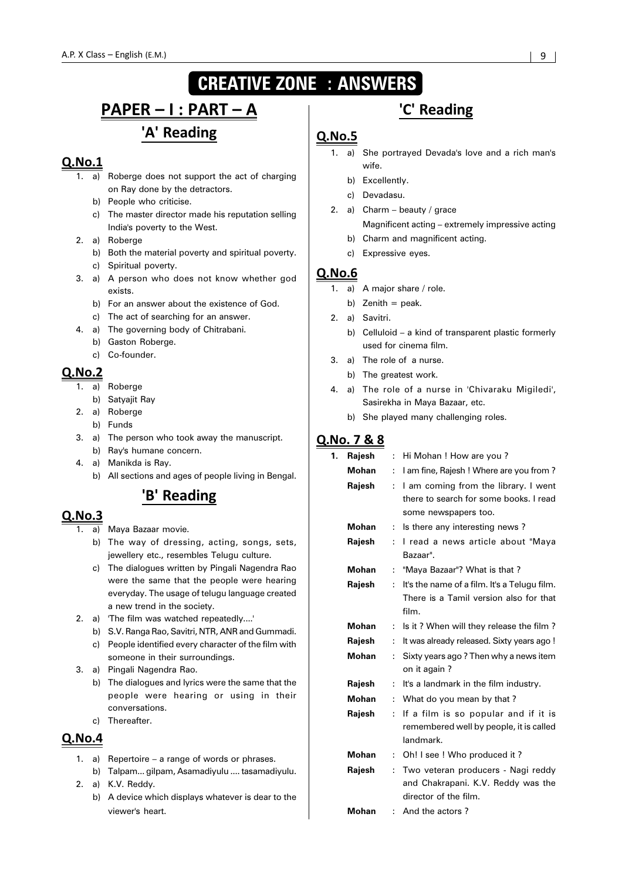# **CREATIVE ZONE : ANSWERS**

# <u> PAPER – I : PART – A</u> 'A' Reading

# $Q$ . No.  $1$

- 1. a) Roberge does not support the act of charging on Ray done by the detractors.
	- b) People who criticise.
	- c) The master director made his reputation selling India's poverty to the West.
- 2. a) Roberge
	- b) Both the material poverty and spiritual poverty.
	- c) Spiritual poverty.
- 3. a) A person who does not know whether god exists.
	- b) For an answer about the existence of God.
	- c) The act of searching for an answer.
- 4. a) The governing body of Chitrabani.
	- b) Gaston Roberge.

# c) Co-founder.

# $QNO.2$

- 1. a) Roberge
- b) Satyajit Ray
- 2. a) Roberge
	- b) Funds
- 3. a) The person who took away the manuscript. b) Ray's humane concern.
- 4. a) Manikda is Ray.
	- b) All sections and ages of people living in Bengal.

# 'B' Reading

#### $Q.No.3$

- 1. a) Maya Bazaar movie.
	- b) The way of dressing, acting, songs, sets, jewellery etc., resembles Telugu culture.
	- c) The dialogues written by Pingali Nagendra Rao were the same that the people were hearing everyday. The usage of telugu language created a new trend in the society.
- 2. a) 'The film was watched repeatedly....'
	- b) S.V. Ranga Rao, Savitri, NTR, ANR and Gummadi.
	- c) People identified every character of the film with someone in their surroundings.
- 3. a) Pingali Nagendra Rao.
	- b) The dialogues and lyrics were the same that the people were hearing or using in their conversations.
	- c) Thereafter.

# $Q.No.4$

- 1. a) Repertoire a range of words or phrases.
- b) Talpam... gilpam, Asamadiyulu .... tasamadiyulu. 2. a) K.V. Reddy.
	- b) A device which displays whatever is dear to the viewer's heart.

# 'C' Reading

# $Q.No.5$

- 1. a) She portrayed Devada's love and a rich man's wife.
	- b) Excellently.
	- c) Devadasu.
- 2. a) Charm beauty / grace Magnificent acting – extremely impressive acting
	- b) Charm and magnificent acting.
	- c) Expressive eyes.

#### $Q.No.6$

- 1. a) A major share / role.
	- b) Zenith  $=$  peak.
- 2. a) Savitri.
	- b) Celluloid a kind of transparent plastic formerly used for cinema film.
- 3. a) The role of a nurse.
	- b) The greatest work.
- 4. a) The role of a nurse in 'Chivaraku Migiledi', Sasirekha in Maya Bazaar, etc.
	- b) She played many challenging roles.

# Q.No. 7 & 8

| 1. | Rajesh       | ÷                    | Hi Mohan ! How are you?                              |
|----|--------------|----------------------|------------------------------------------------------|
|    | Mohan        | ÷                    | I am fine, Rajesh ! Where are you from?              |
|    | Rajesh       | ÷                    | I am coming from the library. I went                 |
|    |              |                      | there to search for some books. I read               |
|    |              |                      | some newspapers too.                                 |
|    | Mohan        | ÷                    | Is there any interesting news?                       |
|    | Rajesh       | ÷                    | I read a news article about "Maya<br>Bazaar".        |
|    | Mohan        | $\ddot{\phantom{a}}$ | "Maya Bazaar"? What is that?                         |
|    | Rajesh       | ÷                    | It's the name of a film. It's a Telugu film.         |
|    |              |                      | There is a Tamil version also for that               |
|    |              |                      | film.                                                |
|    | <b>Mohan</b> | ÷                    | Is it? When will they release the film?              |
|    | Rajesh       | ÷                    | It was already released. Sixty years ago !           |
|    | Mohan        | ÷                    | Sixty years ago? Then why a news item                |
|    |              |                      | on it again?                                         |
|    | Rajesh       | ÷                    | It's a landmark in the film industry.                |
|    | <b>Mohan</b> | ÷                    | What do you mean by that?                            |
|    | Rajesh       | ÷                    | If a film is so popular and if it is                 |
|    |              |                      | remembered well by people, it is called<br>landmark. |
|    | <b>Mohan</b> | ÷                    | Oh! I see ! Who produced it?                         |
|    | Rajesh       | ÷                    | Two veteran producers - Nagi reddy                   |
|    |              |                      | and Chakrapani. K.V. Reddy was the                   |
|    |              |                      | director of the film.                                |
|    | Mohan        | ÷.                   | And the actors?                                      |
|    |              |                      |                                                      |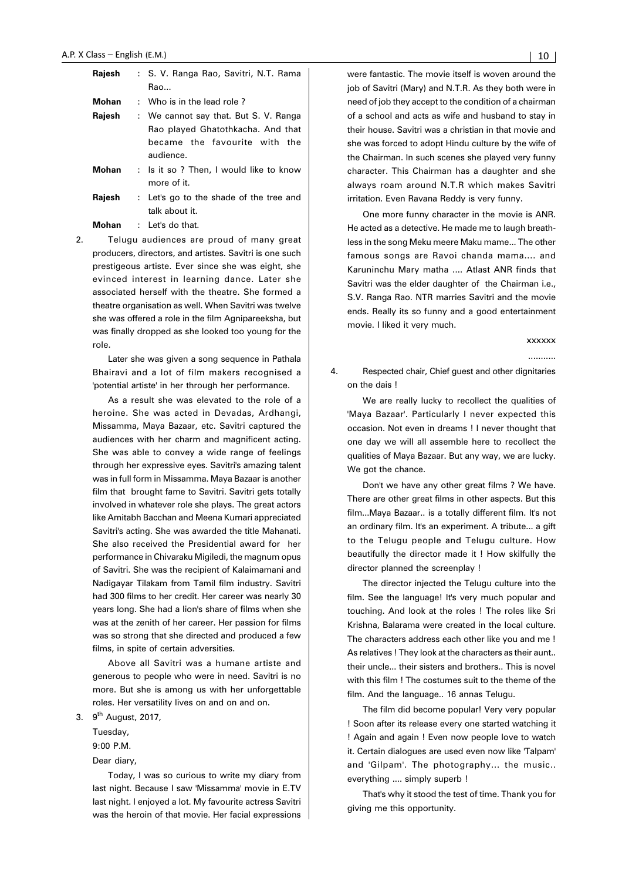| Rajesh | : S. V. Ranga Rao, Savitri, N.T. Rama<br>Rao                                                                             |  |
|--------|--------------------------------------------------------------------------------------------------------------------------|--|
| Mohan  | : Who is in the lead role?                                                                                               |  |
| Rajesh | : We cannot say that. But S. V. Ranga<br>Rao played Ghatothkacha. And that<br>became the favourite with the<br>audience. |  |
| Mohan  | : Is it so ? Then, I would like to know<br>more of it.                                                                   |  |
| Rajesh | : Let's go to the shade of the tree and<br>talk about it.                                                                |  |

**Mohan** : Let's do that.

2. Telugu audiences are proud of many great producers, directors, and artistes. Savitri is one such prestigeous artiste. Ever since she was eight, she evinced interest in learning dance. Later she associated herself with the theatre. She formed a theatre organisation as well. When Savitri was twelve she was offered a role in the film Agnipareeksha, but was finally dropped as she looked too young for the role.

Later she was given a song sequence in Pathala Bhairavi and a lot of film makers recognised a 'potential artiste' in her through her performance.

As a result she was elevated to the role of a heroine. She was acted in Devadas, Ardhangi, Missamma, Maya Bazaar, etc. Savitri captured the audiences with her charm and magnificent acting. She was able to convey a wide range of feelings through her expressive eyes. Savitri's amazing talent was in full form in Missamma. Maya Bazaar is another film that brought fame to Savitri. Savitri gets totally involved in whatever role she plays. The great actors like Amitabh Bacchan and Meena Kumari appreciated Savitri's acting. She was awarded the title Mahanati. She also received the Presidential award for her performance in Chivaraku Migiledi, the magnum opus of Savitri. She was the recipient of Kalaimamani and Nadigayar Tilakam from Tamil film industry. Savitri had 300 films to her credit. Her career was nearly 30 years long. She had a lion's share of films when she was at the zenith of her career. Her passion for films was so strong that she directed and produced a few films, in spite of certain adversities.

Above all Savitri was a humane artiste and generous to people who were in need. Savitri is no more. But she is among us with her unforgettable roles. Her versatility lives on and on and on.

3.  $9<sup>th</sup>$  August, 2017.

Tuesday, 9:00 P.M.

Dear diary,

Today, I was so curious to write my diary from last night. Because I saw 'Missamma' movie in E.TV last night. I enjoyed a lot. My favourite actress Savitri was the heroin of that movie. Her facial expressions were fantastic. The movie itself is woven around the job of Savitri (Mary) and N.T.R. As they both were in need of job they accept to the condition of a chairman of a school and acts as wife and husband to stay in their house. Savitri was a christian in that movie and she was forced to adopt Hindu culture by the wife of the Chairman. In such scenes she played very funny character. This Chairman has a daughter and she always roam around N.T.R which makes Savitri irritation. Even Ravana Reddy is very funny.

One more funny character in the movie is ANR. He acted as a detective. He made me to laugh breathless in the song Meku meere Maku mame... The other famous songs are Ravoi chanda mama.... and Karuninchu Mary matha .... Atlast ANR finds that Savitri was the elder daughter of the Chairman i.e., S.V. Ranga Rao. NTR marries Savitri and the movie ends. Really its so funny and a good entertainment movie. I liked it very much.

> xxxxxx ...........

4. Respected chair, Chief guest and other dignitaries on the dais !

We are really lucky to recollect the qualities of 'Maya Bazaar'. Particularly I never expected this occasion. Not even in dreams ! I never thought that one day we will all assemble here to recollect the qualities of Maya Bazaar. But any way, we are lucky. We got the chance.

Don't we have any other great films ? We have. There are other great films in other aspects. But this film...Maya Bazaar.. is a totally different film. It's not an ordinary film. It's an experiment. A tribute... a gift to the Telugu people and Telugu culture. How beautifully the director made it ! How skilfully the director planned the screenplay !

The director injected the Telugu culture into the film. See the language! It's very much popular and touching. And look at the roles ! The roles like Sri Krishna, Balarama were created in the local culture. The characters address each other like you and me ! As relatives ! They look at the characters as their aunt.. their uncle... their sisters and brothers.. This is novel with this film ! The costumes suit to the theme of the film. And the language.. 16 annas Telugu.

The film did become popular! Very very popular ! Soon after its release every one started watching it ! Again and again ! Even now people love to watch it. Certain dialogues are used even now like 'Talpam' and 'Gilpam'. The photography... the music.. everything .... simply superb !

That's why it stood the test of time. Thank you for giving me this opportunity.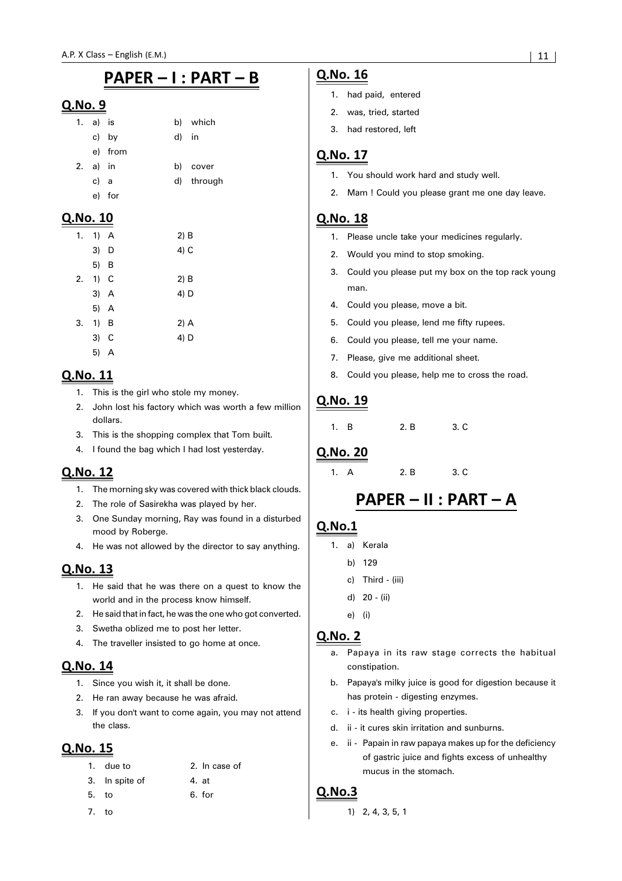# PAPER - I : PART - B

#### Q.No. 9

|    | 1. a) is |         |       | b) which   |
|----|----------|---------|-------|------------|
|    |          | c) by   | d) in |            |
|    |          | e) from |       |            |
| 2. | a) in    |         |       | b) cover   |
|    | c) a     |         |       | d) through |
|    |          | e) for  |       |            |

#### <u>Q.No. 10</u>

| 1. |      | 1) A         |
|----|------|--------------|
|    | 3)   | D            |
|    | 5) B |              |
| 2. | 1)   | $\mathbf{C}$ |
|    | 3) A |              |
|    |      | 5) A         |
| 3. | 1)   | В            |
|    | 3)   | - C          |
|    | 5)   | A            |

# Q.No. 11

- 1. This is the girl who stole my money.
- 2. John lost his factory which was worth a few million dollars.
- 3. This is the shopping complex that Tom built.
- 4. I found the bag which I had lost yesterday.

# Q.No. 12

- 1. The morning sky was covered with thick black clouds.
- 2. The role of Sasirekha was played by her.
- 3. One Sunday morning, Ray was found in a disturbed mood by Roberge.
- 4. He was not allowed by the director to say anything.

# Q.No. 13

- 1. He said that he was there on a quest to know the world and in the process know himself.
- 2. He said that in fact, he was the one who got converted.
- 3. Swetha oblized me to post her letter.
- 4. The traveller insisted to go home at once.

# Q.No. 14

- 1. Since you wish it, it shall be done.
- 2. He ran away because he was afraid.
- 3. If you don't want to come again, you may not attend the class.

# Q.No. 15

|       | 1. due to      | 2. In case of |
|-------|----------------|---------------|
|       | 3. In spite of | 4. at         |
| 5. to |                | 6. for        |
|       |                |               |

7. to

## Q.No. 16

- 1. had paid, entered
- 2. was, tried, started
- 3. had restored, left

# Q.No. 17

- 1. You should work hard and study well.
- 2. Mam ! Could you please grant me one day leave.

# Q.No. 18

- 1. Please uncle take your medicines regularly.
- 2. Would you mind to stop smoking.
- 3. Could you please put my box on the top rack young man.
- 4. Could you please, move a bit.
- 5. Could you please, lend me fifty rupees.
- 6. Could you please, tell me your name.
- 7. Please, give me additional sheet.
- 8. Could you please, help me to cross the road.

# Q.No. 19

1. B 2. B 3. C

## Q.No. 20

1. A 2. B 3. C

# PAPER - II : PART - A

# $Q.No.1$

- 1. a) Kerala
	- b) 129
	- c) Third (iii)
	- d) 20 (ii)
	- e) (i)

## **Q.No. 2**

- a. Papaya in its raw stage corrects the habitual constipation.
- b. Papaya's milky juice is good for digestion because it has protein - digesting enzymes.
- c. i its health giving properties.
- d. ii it cures skin irritation and sunburns.
- e. ii Papain in raw papaya makes up for the deficiency of gastric juice and fights excess of unhealthy mucus in the stomach.

## $Q.No.3$

1) 2, 4, 3, 5, 1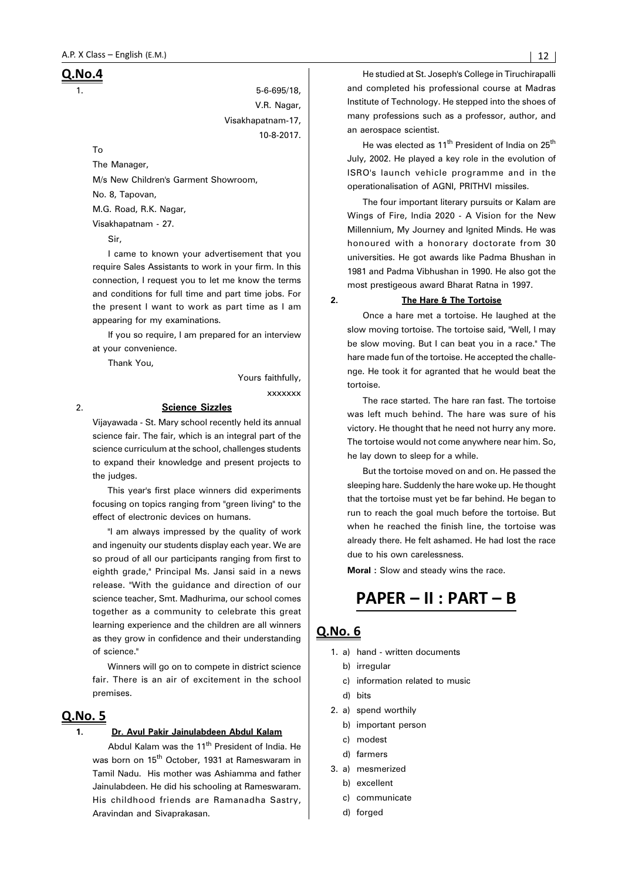### <u>Q.No.4</u>

1. 5-6-695/18, V.R. Nagar, Visakhapatnam-17, 10-8-2017.

To

The Manager, M/s New Children's Garment Showroom, No. 8, Tapovan, M.G. Road, R.K. Nagar, Visakhapatnam - 27.

Sir,

I came to known your advertisement that you require Sales Assistants to work in your firm. In this connection, I request you to let me know the terms and conditions for full time and part time jobs. For the present I want to work as part time as I am appearing for my examinations.

If you so require, I am prepared for an interview at your convenience.

Thank You,

Yours faithfully,

xxxxxxx

#### 2. **Science Sizzles**

Vijayawada - St. Mary school recently held its annual science fair. The fair, which is an integral part of the science curriculum at the school, challenges students to expand their knowledge and present projects to the judges.

This year's first place winners did experiments focusing on topics ranging from "green living" to the effect of electronic devices on humans.

"I am always impressed by the quality of work and ingenuity our students display each year. We are so proud of all our participants ranging from first to eighth grade," Principal Ms. Jansi said in a news release. "With the guidance and direction of our science teacher, Smt. Madhurima, our school comes together as a community to celebrate this great learning experience and the children are all winners as they grow in confidence and their understanding of science.'

Winners will go on to compete in district science fair. There is an air of excitement in the school premises.

# Q.No. 5

#### **1. Dr. Avul Pakir Jainulabdeen Abdul Kalam**

Abdul Kalam was the 11<sup>th</sup> President of India. He was born on 15<sup>th</sup> October, 1931 at Rameswaram in Tamil Nadu. His mother was Ashiamma and father Jainulabdeen. He did his schooling at Rameswaram. His childhood friends are Ramanadha Sastry, Aravindan and Sivaprakasan.

He studied at St. Joseph's College in Tiruchirapalli and completed his professional course at Madras Institute of Technology. He stepped into the shoes of many professions such as a professor, author, and an aerospace scientist.

He was elected as 11<sup>th</sup> President of India on 25<sup>th</sup> July, 2002. He played a key role in the evolution of ISRO's launch vehicle programme and in the operationalisation of AGNI, PRITHVI missiles.

The four important literary pursuits or Kalam are Wings of Fire, India 2020 - A Vision for the New Millennium, My Journey and Ignited Minds. He was honoured with a honorary doctorate from 30 universities. He got awards like Padma Bhushan in 1981 and Padma Vibhushan in 1990. He also got the most prestigeous award Bharat Ratna in 1997.

#### **2. The Hare & The Tortoise**

Once a hare met a tortoise. He laughed at the slow moving tortoise. The tortoise said, "Well, I may be slow moving. But I can beat you in a race." The hare made fun of the tortoise. He accepted the challenge. He took it for agranted that he would beat the tortoise.

The race started. The hare ran fast. The tortoise was left much behind. The hare was sure of his victory. He thought that he need not hurry any more. The tortoise would not come anywhere near him. So, he lay down to sleep for a while.

But the tortoise moved on and on. He passed the sleeping hare. Suddenly the hare woke up. He thought that the tortoise must yet be far behind. He began to run to reach the goal much before the tortoise. But when he reached the finish line, the tortoise was already there. He felt ashamed. He had lost the race due to his own carelessness.

**Moral :** Slow and steady wins the race.

# PAPER - II : PART - B

- 1. a) hand written documents
	- b) irregular
	- c) information related to music
	- d) bits
- 2. a) spend worthily
	- b) important person
	- c) modest
	- d) farmers
- 3. a) mesmerized
	- b) excellent
	- c) communicate
	- d) forged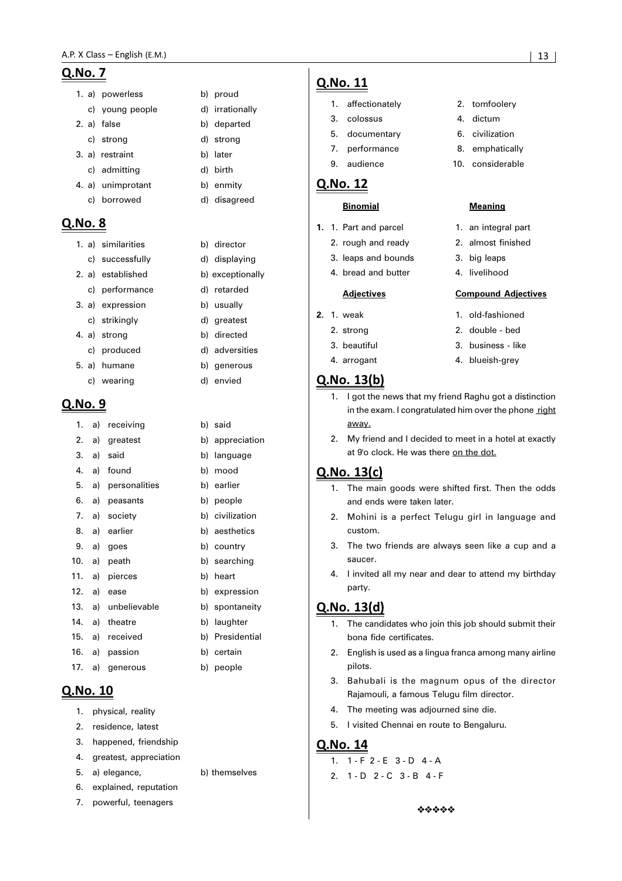### <u>Q.No. 7</u>

- 1. a) powerless b) proud
	- c) young people d) irrationally
- 2. a) false b) departed
- c) strong d) strong
- 3. a) restraint b) later
- c) admitting d) birth 4. a) unimprotant b) enmity
- c) borrowed d) disagreed

# **Q.No. 8**

#### 1. a) similarities b) director

- c) successfully d) displaying
- 2. a) established b) exceptionally
- c) performance d) retarded
- 3. a) expression b) usually
- c) strikingly d) greatest
- 4. a) strong b) directed
- c) produced d) adversities
- 5. a) humane b) generous c) wearing d) envied

## Q.No. 9

| 1.  | a) | receiving     | b) | said            |
|-----|----|---------------|----|-----------------|
| 2.  | a) | greatest      | b) | appreciation    |
| 3.  | a) | said          | b) | language        |
| 4.  | a) | found         | b) | mood            |
| 5.  | a) | personalities |    | b) earlier      |
| 6.  | a) | peasants      |    | b) people       |
| 7.  | a) | society       |    | b) civilization |
| 8.  | a) | earlier       |    | b) aesthetics   |
| 9.  | a) | goes          |    | b) country      |
| 10. | a) | peath         |    | b) searching    |
| 11. | a) | pierces       | b) | heart           |
| 12. | a) | ease          |    | b) expression   |
| 13. | a) | unbelievable  |    | b) spontaneity  |
| 14. | a) | theatre       | b) | laughter        |
| 15. | a) | received      |    | b) Presidential |
| 16. | a) | passion       | b) | certain         |
| 17. | a) | generous      |    | b) people       |

# Q.No. 10

- 1. physical, reality
- 2. residence, latest
- 3. happened, friendship
- 4. greatest, appreciation
- 5. a) elegance, b) themselves
- 6. explained, reputation
- 7. powerful, teenagers
- Q.No. 11
	- 1. affectionately 2. tomfoolery
	- 3. colossus 4. dictum
	- 5. documentary 6. civilization
	- 7. performance and 8. emphatically
	- 9. audience 10. considerable

### Q.No. 12

- **1.** 1. Part and parcel **1.** an integral part
	- 3. leaps and bounds 3. big leaps
	- 4. bread and butter 4. livelihood

#### **Adjectives Compound Adjectives**

- 
- 
- 
- 

# Q.No. 13(b)

- 1. I got the news that my friend Raghu got a distinction in the exam. I congratulated him over the phone right away.
- 2. My friend and I decided to meet in a hotel at exactly at 9'o clock. He was there on the dot.

# Q.No. 13(c)

- and ends were taken later.
- 2. Mohini is a perfect Telugu girl in language and custom.
- 3. The two friends are always seen like a cup and a saucer.
- 4. I invited all my near and dear to attend my birthday party.

# Q.No. 13(d)

- 1. The candidates who join this job should submit their bona fide certificates.
- 2. English is used as a lingua franca among many airline pilots.
- 3. Bahubali is the magnum opus of the director Rajamouli, a famous Telugu film director.
- 4. The meeting was adjourned sine die.
- 5. I visited Chennai en route to Bengaluru.

#### Q.No. 14

 $\bar{z}$ 

- 1. 1 F 2 E 3 D 4 A
- 2. 1 D 2 C 3 B 4 F

\*\*\*\*\*

#### **Binomial Meaning**

- 
- 2. rough and ready 2. almost finished
- 
- 

- **2.** 1. weak 1. old-fashioned
	- 2. strong 2. double bed
	- 3. beautiful 3. business like
	- 4. arrogant 4. blueish-grey

# 1. The main goods were shifted first. Then the odds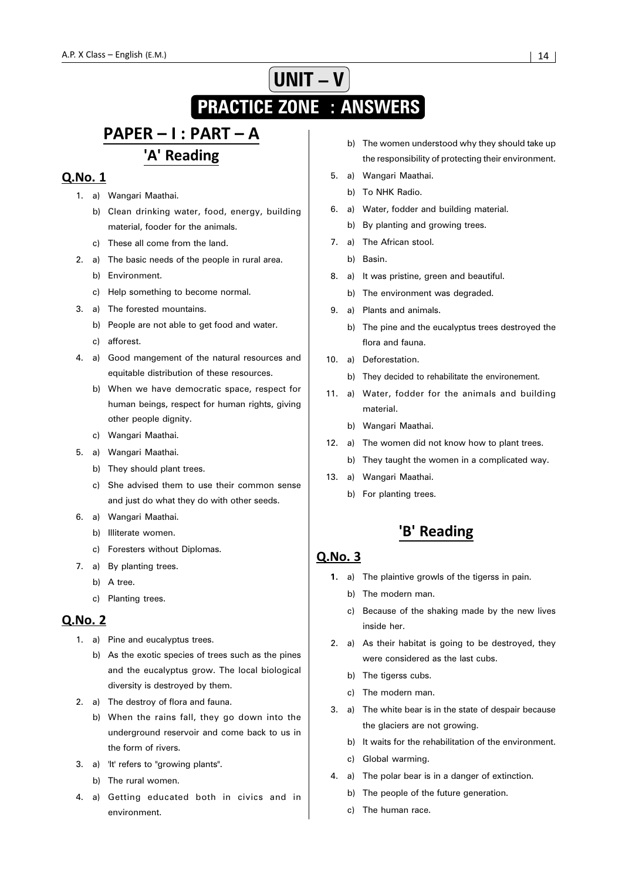# **UNIT – V PRACTICE ZONE : ANSWERS**

# PAPER - I : PART - A 'A' Reading

## Q.No. 1

- 1. a) Wangari Maathai.
	- b) Clean drinking water, food, energy, building material, fooder for the animals.
	- c) These all come from the land.
- 2. a) The basic needs of the people in rural area.
	- b) Environment.
	- c) Help something to become normal.
- 3. a) The forested mountains.
	- b) People are not able to get food and water.
	- c) afforest.
- 4. a) Good mangement of the natural resources and equitable distribution of these resources.
	- b) When we have democratic space, respect for human beings, respect for human rights, giving other people dignity.
	- c) Wangari Maathai.
- 5. a) Wangari Maathai.
	- b) They should plant trees.
	- c) She advised them to use their common sense and just do what they do with other seeds.
- 6. a) Wangari Maathai.
	- b) Illiterate women.
	- c) Foresters without Diplomas.
- 7. a) By planting trees.
	- b) A tree.
		- c) Planting trees.

#### **Q.No. 2**

- 1. a) Pine and eucalyptus trees.
	- b) As the exotic species of trees such as the pines and the eucalyptus grow. The local biological diversity is destroyed by them.
- 2. a) The destroy of flora and fauna.
	- b) When the rains fall, they go down into the underground reservoir and come back to us in the form of rivers.
- 3. a) 'It' refers to "growing plants".
	- b) The rural women.
- 4. a) Getting educated both in civics and in environment.
- b) The women understood why they should take up the responsibility of protecting their environment.
- 5. a) Wangari Maathai.
	- b) To NHK Radio.
- 6. a) Water, fodder and building material.
	- b) By planting and growing trees.
- 7. a) The African stool.
	- b) Basin.
- 8. a) It was pristine, green and beautiful.
	- b) The environment was degraded.
- 9. a) Plants and animals.
	- b) The pine and the eucalyptus trees destroyed the flora and fauna.
- 10. a) Deforestation.
	- b) They decided to rehabilitate the environement.
- 11. a) Water, fodder for the animals and building material.
	- b) Wangari Maathai.
- 12. a) The women did not know how to plant trees.
	- b) They taught the women in a complicated way.
- 13. a) Wangari Maathai.
	- b) For planting trees.

# 'B' Reading

#### $O.No.3$

- **1.** a) The plaintive growls of the tigerss in pain.
	- b) The modern man.
	- c) Because of the shaking made by the new lives inside her.
- 2. a) As their habitat is going to be destroyed, they were considered as the last cubs.
	- b) The tigerss cubs.
	- c) The modern man.
- 3. a) The white bear is in the state of despair because the glaciers are not growing.
	- b) It waits for the rehabilitation of the environment.
	- c) Global warming.
- 4. a) The polar bear is in a danger of extinction.
	- b) The people of the future generation.
	- c) The human race.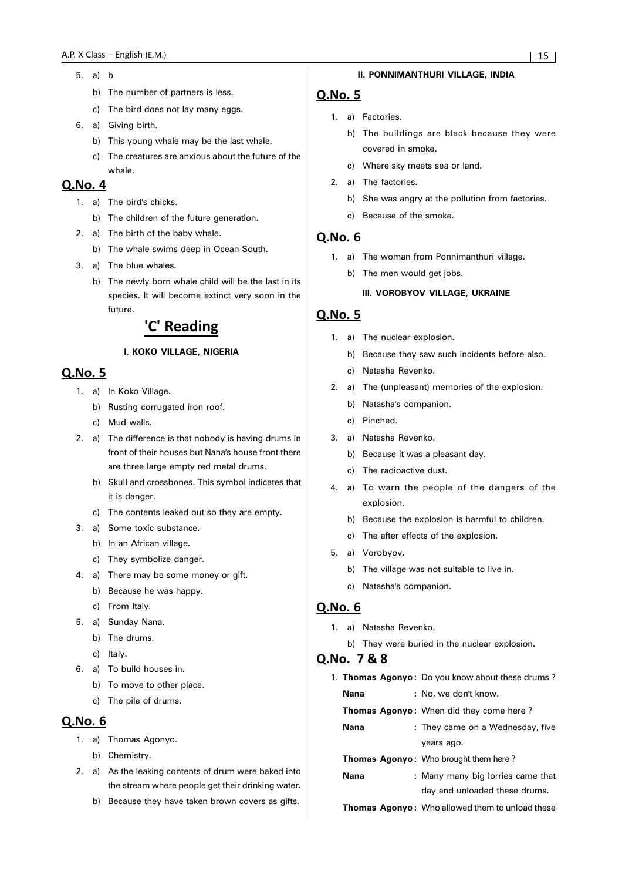- 5. a) b
	- b) The number of partners is less.
	- c) The bird does not lay many eggs.
- 6. a) Giving birth.
	- b) This young whale may be the last whale.
	- c) The creatures are anxious about the future of the whale.

#### Q.No. 4

- 1. a) The bird's chicks.
	- b) The children of the future generation.
- 2. a) The birth of the baby whale.
	- b) The whale swims deep in Ocean South.
- 3. a) The blue whales.
	- b) The newly born whale child will be the last in its species. It will become extinct very soon in the future.

# 'C' Reading

#### **I. KOKO VILLAGE, NIGERIA**

# Q.No. 5

- 1. a) In Koko Village.
	- b) Rusting corrugated iron roof.
	- c) Mud walls.
- 2. a) The difference is that nobody is having drums in front of their houses but Nana's house front there are three large empty red metal drums.
	- b) Skull and crossbones. This symbol indicates that it is danger.
	- c) The contents leaked out so they are empty.
- 3. a) Some toxic substance.
	- b) In an African village.
	- c) They symbolize danger.
- 4. a) There may be some money or gift.
	- b) Because he was happy.
	- c) From Italy.
- 5. a) Sunday Nana.
	- b) The drums.
	- c) Italy.
- 6. a) To build houses in.
	- b) To move to other place.
	- c) The pile of drums.

## Q.No. 6

- 1. a) Thomas Agonyo.
	- b) Chemistry.
- 2. a) As the leaking contents of drum were baked into the stream where people get their drinking water.
	- b) Because they have taken brown covers as gifts.

#### **II. PONNIMANTHURI VILLAGE, INDIA**

#### Q.No. 5

- 1. a) Factories.
	- b) The buildings are black because they were covered in smoke.
	- c) Where sky meets sea or land.
- 2. a) The factories.
	- b) She was angry at the pollution from factories.
	- c) Because of the smoke.

#### **Q.No. 6**

- 1. a) The woman from Ponnimanthuri village.
	- b) The men would get jobs.

#### **III. VOROBYOV VILLAGE, UKRAINE**

### Q.No. 5

- 1. a) The nuclear explosion.
	- b) Because they saw such incidents before also.
	- c) Natasha Revenko.
- 2. a) The (unpleasant) memories of the explosion.
	- b) Natasha's companion.
	- c) Pinched.
- 3. a) Natasha Revenko.
	- b) Because it was a pleasant day.
	- c) The radioactive dust.
- 4. a) To warn the people of the dangers of the explosion.
	- b) Because the explosion is harmful to children.
	- c) The after effects of the explosion.
- 5. a) Vorobyov.
	- b) The village was not suitable to live in.
	- c) Natasha's companion.

#### Q.No. 6

- 1. a) Natasha Revenko.
	- b) They were buried in the nuclear explosion.

#### Q.No. 7 & 8

|      | 1. Thomas Agonyo: Do you know about these drums?       |
|------|--------------------------------------------------------|
| Nana | : No, we don't know.                                   |
|      | <b>Thomas Agonyo:</b> When did they come here?         |
| Nana | : They came on a Wednesday, five                       |
|      | years ago.                                             |
|      | <b>Thomas Agonyo:</b> Who brought them here?           |
| Nana | : Many many big lorries came that                      |
|      | day and unloaded these drums.                          |
|      | <b>Thomas Agonyo:</b> Who allowed them to unload these |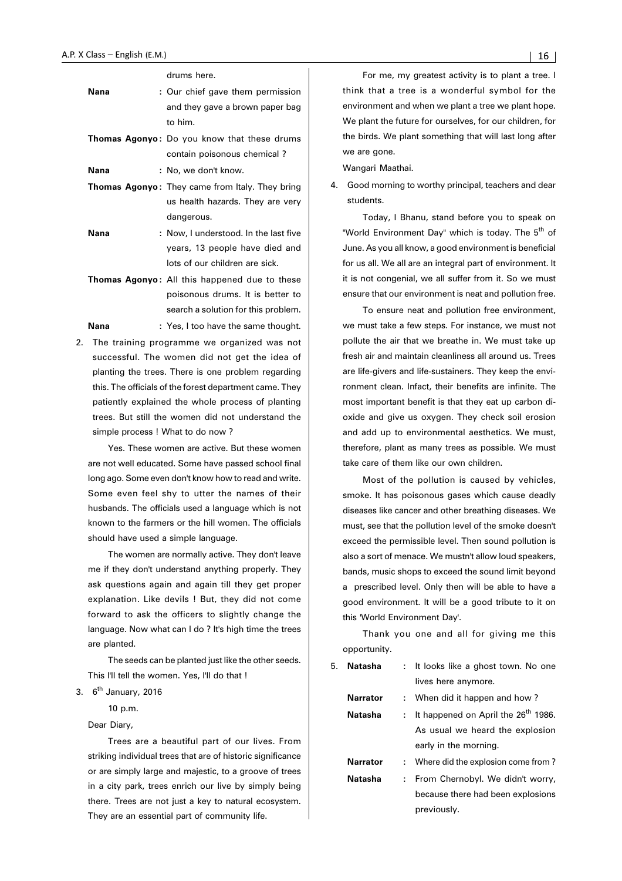drums here.

| Nana | : Our chief gave them permission<br>and they gave a brown paper bag<br>to him.                            |
|------|-----------------------------------------------------------------------------------------------------------|
|      | <b>Thomas Agonyo:</b> Do you know that these drums<br>contain poisonous chemical?                         |
| Nana | : No, we don't know.                                                                                      |
|      | <b>Thomas Agonyo:</b> They came from Italy. They bring<br>us health hazards. They are very<br>dangerous.  |
| Nana | : Now, I understood. In the last five<br>years, 13 people have died and<br>lots of our children are sick. |
|      | <b>Thomas Agonyo:</b> All this happened due to these                                                      |
|      |                                                                                                           |

- poisonous drums. It is better to search a solution for this problem. Nana : Yes, I too have the same thought.
- 2. The training programme we organized was not successful. The women did not get the idea of planting the trees. There is one problem regarding this. The officials of the forest department came. They patiently explained the whole process of planting trees. But still the women did not understand the simple process ! What to do now ?

Yes. These women are active. But these women are not well educated. Some have passed school final long ago. Some even don't know how to read and write. Some even feel shy to utter the names of their husbands. The officials used a language which is not known to the farmers or the hill women. The officials should have used a simple language.

The women are normally active. They don't leave me if they don't understand anything properly. They ask questions again and again till they get proper explanation. Like devils ! But, they did not come forward to ask the officers to slightly change the language. Now what can I do ? It's high time the trees are planted.

The seeds can be planted just like the other seeds. This I'll tell the women. Yes, I'll do that !

3. 6<sup>th</sup> January, 2016

10 p.m.

Dear Diary,

Trees are a beautiful part of our lives. From striking individual trees that are of historic significance or are simply large and majestic, to a groove of trees in a city park, trees enrich our live by simply being there. Trees are not just a key to natural ecosystem. They are an essential part of community life.

For me, my greatest activity is to plant a tree. I think that a tree is a wonderful symbol for the environment and when we plant a tree we plant hope. We plant the future for ourselves, for our children, for the birds. We plant something that will last long after we are gone.

Wangari Maathai.

4. Good morning to worthy principal, teachers and dear students.

Today, I Bhanu, stand before you to speak on "World Environment Day" which is today. The 5<sup>th</sup> of June. As you all know, a good environment is beneficial for us all. We all are an integral part of environment. It it is not congenial, we all suffer from it. So we must ensure that our environment is neat and pollution free.

To ensure neat and pollution free environment, we must take a few steps. For instance, we must not pollute the air that we breathe in. We must take up fresh air and maintain cleanliness all around us. Trees are life-givers and life-sustainers. They keep the environment clean. Infact, their benefits are infinite. The most important benefit is that they eat up carbon dioxide and give us oxygen. They check soil erosion and add up to environmental aesthetics. We must, therefore, plant as many trees as possible. We must take care of them like our own children.

Most of the pollution is caused by vehicles, smoke. It has poisonous gases which cause deadly diseases like cancer and other breathing diseases. We must, see that the pollution level of the smoke doesn't exceed the permissible level. Then sound pollution is also a sort of menace. We mustn't allow loud speakers, bands, music shops to exceed the sound limit beyond a prescribed level. Only then will be able to have a good environment. It will be a good tribute to it on this 'World Environment Day'.

Thank you one and all for giving me this opportunity.

| 5. | Natasha         |    | : It looks like a ghost town. No one            |
|----|-----------------|----|-------------------------------------------------|
|    |                 |    | lives here anymore.                             |
|    | <b>Narrator</b> |    | : When did it happen and how?                   |
|    | Natasha         | t. | It happened on April the 26 <sup>th</sup> 1986. |
|    |                 |    | As usual we heard the explosion                 |
|    |                 |    | early in the morning.                           |
|    | <b>Narrator</b> |    | : Where did the explosion come from?            |
|    | Natasha         | t. | From Chernobyl. We didn't worry,                |
|    |                 |    | because there had been explosions               |
|    |                 |    | previously.                                     |
|    |                 |    |                                                 |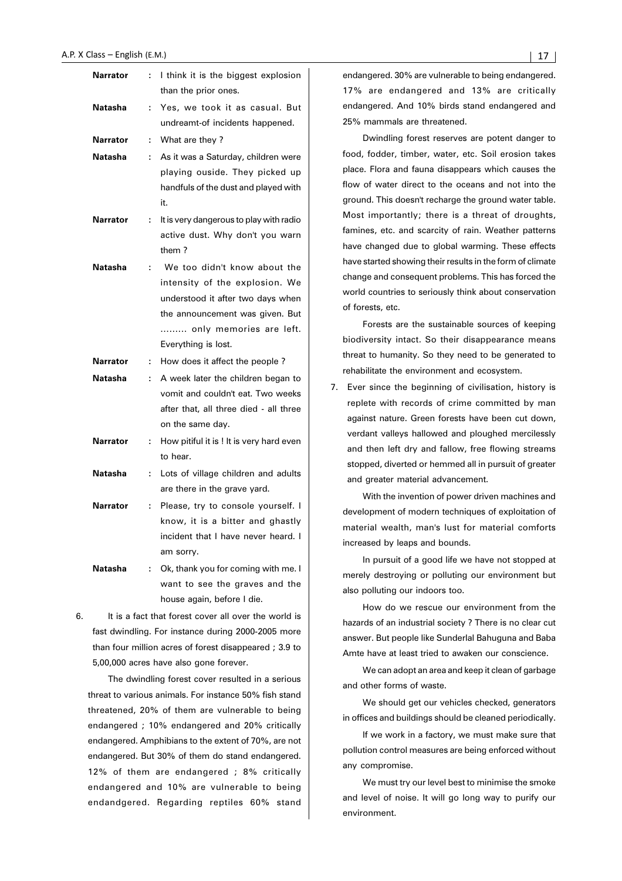| Narrator        | ÷  | I think it is the biggest explosion<br>than the prior ones.                                                                                                                              |
|-----------------|----|------------------------------------------------------------------------------------------------------------------------------------------------------------------------------------------|
| Natasha         | ÷  | Yes, we took it as casual. But<br>undreamt-of incidents happened.                                                                                                                        |
| <b>Narrator</b> | t, | What are they?                                                                                                                                                                           |
| Natasha         | ÷  | As it was a Saturday, children were<br>playing ouside. They picked up<br>handfuls of the dust and played with                                                                            |
|                 |    | it.                                                                                                                                                                                      |
| Narrator        | ÷  | It is very dangerous to play with radio<br>active dust. Why don't you warn<br>them?                                                                                                      |
| Natasha         | t  | We too didn't know about the<br>intensity of the explosion. We<br>understood it after two days when<br>the announcement was given. But<br>only memories are left.<br>Everything is lost. |
| Narrator        | t. | How does it affect the people?                                                                                                                                                           |
| Natasha         | t  | A week later the children began to                                                                                                                                                       |
|                 |    | vomit and couldn't eat. Two weeks<br>after that, all three died - all three<br>on the same day.                                                                                          |
| Narrator        | ÷  | How pitiful it is ! It is very hard even<br>to hear.                                                                                                                                     |
| Natasha         | ÷  | Lots of village children and adults<br>are there in the grave yard.                                                                                                                      |
| Narrator        | ÷  | Please, try to console yourself. I<br>know, it is a bitter and ghastly<br>incident that I have never heard. I                                                                            |
| Natasha         | t. | am sorry.<br>Ok, thank you for coming with me. I<br>want to see the graves and the<br>house again, before I die.                                                                         |

6. It is a fact that forest cover all over the world is fast dwindling. For instance during 2000-2005 more than four million acres of forest disappeared ; 3.9 to 5,00,000 acres have also gone forever.

The dwindling forest cover resulted in a serious threat to various animals. For instance 50% fish stand threatened, 20% of them are vulnerable to being endangered ; 10% endangered and 20% critically endangered. Amphibians to the extent of 70%, are not endangered. But 30% of them do stand endangered. 12% of them are endangered ; 8% critically endangered and 10% are vulnerable to being endandgered. Regarding reptiles 60% stand

endangered. 30% are vulnerable to being endangered. 17% are endangered and 13% are critically endangered. And 10% birds stand endangered and 25% mammals are threatened.

Dwindling forest reserves are potent danger to food, fodder, timber, water, etc. Soil erosion takes place. Flora and fauna disappears which causes the flow of water direct to the oceans and not into the ground. This doesn't recharge the ground water table. Most importantly; there is a threat of droughts, famines, etc. and scarcity of rain. Weather patterns have changed due to global warming. These effects have started showing their results in the form of climate change and consequent problems. This has forced the world countries to seriously think about conservation of forests, etc.

Forests are the sustainable sources of keeping biodiversity intact. So their disappearance means threat to humanity. So they need to be generated to rehabilitate the environment and ecosystem.

7. Ever since the beginning of civilisation, history is replete with records of crime committed by man against nature. Green forests have been cut down, verdant valleys hallowed and ploughed mercilessly and then left dry and fallow, free flowing streams stopped, diverted or hemmed all in pursuit of greater and greater material advancement.

With the invention of power driven machines and development of modern techniques of exploitation of material wealth, man's lust for material comforts increased by leaps and bounds.

In pursuit of a good life we have not stopped at merely destroying or polluting our environment but also polluting our indoors too.

How do we rescue our environment from the hazards of an industrial society ? There is no clear cut answer. But people like Sunderlal Bahuguna and Baba Amte have at least tried to awaken our conscience.

We can adopt an area and keep it clean of garbage and other forms of waste.

We should get our vehicles checked, generators in offices and buildings should be cleaned periodically.

If we work in a factory, we must make sure that pollution control measures are being enforced without any compromise.

We must try our level best to minimise the smoke and level of noise. It will go long way to purify our environment.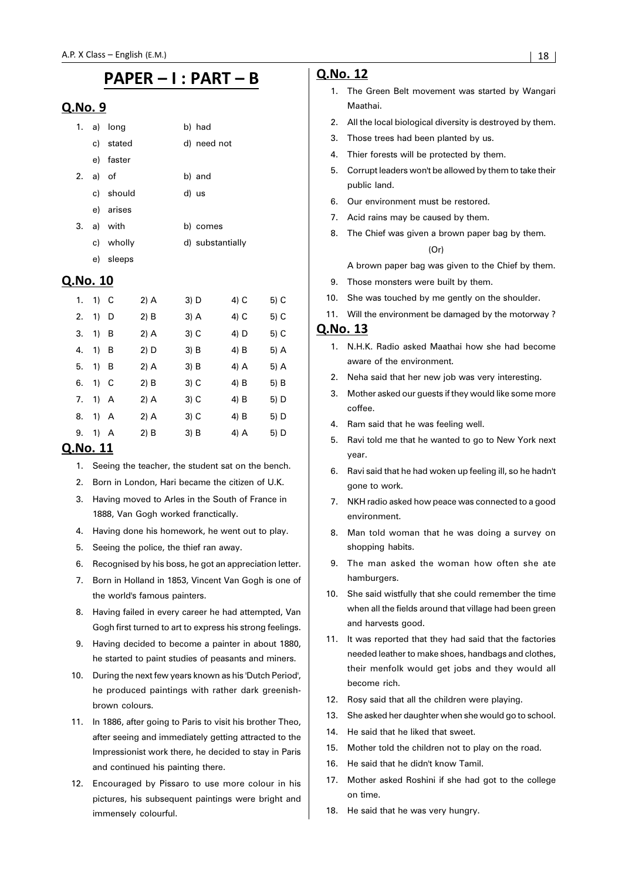# PAPER - I : PART - B

#### Q.No. 9

| 1. |       | a) long   | b) had           |
|----|-------|-----------|------------------|
|    |       | c) stated | d) need not      |
|    |       | e) faster |                  |
| 2. | a) of |           | b) and           |
|    |       | c) should | d) us            |
|    |       | e) arises |                  |
| 3. |       | a) with   | b) comes         |
|    |       | c) wholly | d) substantially |
|    | e)    | sleeps    |                  |

#### Q.No. 10

| 1. | 1) C |     | 2) A | 3) D   | 4) C | 5) C |
|----|------|-----|------|--------|------|------|
| 2. | 1)   | D   | 2) B | 3) A   | 4) C | 5) C |
| 3. | 1)   | B   | 2) A | $3)$ C | 4) D | 5) C |
| 4. | 1)   | B   | 2) D | 3) B   | 4) B | 5) A |
| 5. | 1)   | B   | 2) A | 3) B   | 4) A | 5) A |
| 6. | 1)   | - C | 2) B | $3)$ C | 4) B | 5) B |
| 7. | 1)   | A   | 2) A | 3) C   | 4) B | 5) D |
| 8. | 1)   | A   | 2) A | 3) C   | 4) B | 5) D |
| 9. | 1) A |     | 2) B | 3) B   | 4) A | 5) D |

#### Q.No. 11

- 1. Seeing the teacher, the student sat on the bench.
- 2. Born in London, Hari became the citizen of U.K.
- 3. Having moved to Arles in the South of France in 1888, Van Gogh worked franctically.
- 4. Having done his homework, he went out to play.
- 5. Seeing the police, the thief ran away.
- 6. Recognised by his boss, he got an appreciation letter.
- 7. Born in Holland in 1853, Vincent Van Gogh is one of the world's famous painters.
- 8. Having failed in every career he had attempted, Van Gogh first turned to art to express his strong feelings.
- 9. Having decided to become a painter in about 1880, he started to paint studies of peasants and miners.
- 10. During the next few years known as his 'Dutch Period', he produced paintings with rather dark greenishbrown colours.
- 11. In 1886, after going to Paris to visit his brother Theo, after seeing and immediately getting attracted to the Impressionist work there, he decided to stay in Paris and continued his painting there.
- 12. Encouraged by Pissaro to use more colour in his pictures, his subsequent paintings were bright and immensely colourful.

#### Q.No. 12

- 1. The Green Belt movement was started by Wangari Maathai.
- 2. All the local biological diversity is destroyed by them.
- 3. Those trees had been planted by us.
- 4. Thier forests will be protected by them.
- 5. Corrupt leaders won't be allowed by them to take their public land.
- 6. Our environment must be restored.
- 7. Acid rains may be caused by them.
- 8. The Chief was given a brown paper bag by them.  $(Or)$

A brown paper bag was given to the Chief by them.

- 9. Those monsters were built by them.
- 10. She was touched by me gently on the shoulder.
- 11. Will the environment be damaged by the motorway ?

- 1. N.H.K. Radio asked Maathai how she had become aware of the environment.
- 2. Neha said that her new job was very interesting.
- Mother asked our guests if they would like some more coffee.
- 4. Ram said that he was feeling well.
- 5. Ravi told me that he wanted to go to New York next year.
- 6. Ravi said that he had woken up feeling ill, so he hadn't gone to work.
- 7. NKH radio asked how peace was connected to a good environment.
- 8. Man told woman that he was doing a survey on shopping habits.
- 9. The man asked the woman how often she ate hamburgers.
- 10. She said wistfully that she could remember the time when all the fields around that village had been green and harvests good.
- 11. It was reported that they had said that the factories needed leather to make shoes, handbags and clothes, their menfolk would get jobs and they would all become rich.
- 12. Rosy said that all the children were playing.
- 13. She asked her daughter when she would go to school.
- 14. He said that he liked that sweet.
- 15. Mother told the children not to play on the road.
- 16. He said that he didn't know Tamil.
- 17. Mother asked Roshini if she had got to the college on time.
- 18. He said that he was very hungry.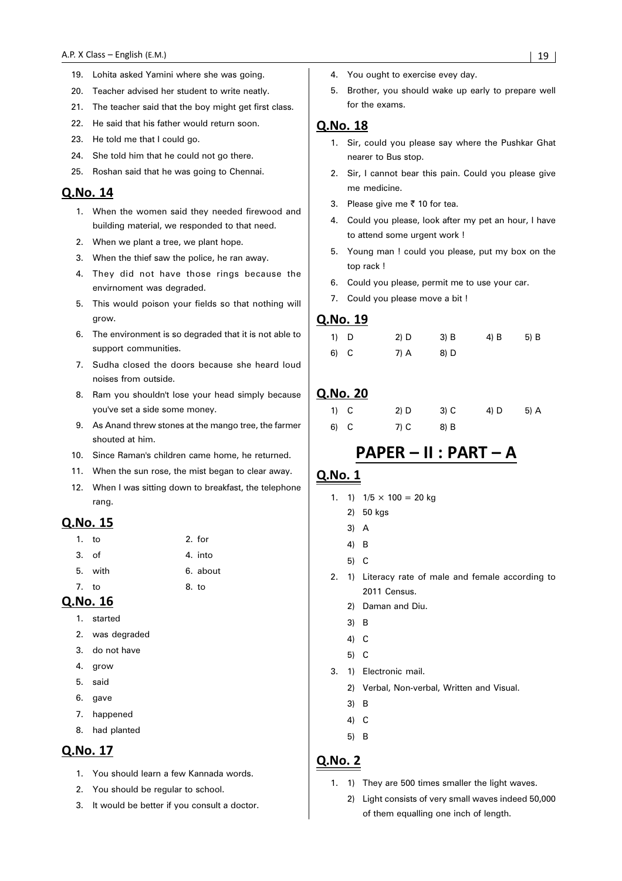- 19. Lohita asked Yamini where she was going.
- 20. Teacher advised her student to write neatly.
- 21. The teacher said that the boy might get first class.
- 22. He said that his father would return soon.
- 23. He told me that I could go.
- 24. She told him that he could not go there.
- 25. Roshan said that he was going to Chennai.

#### Q.No. 14

- 1. When the women said they needed firewood and building material, we responded to that need.
- 2. When we plant a tree, we plant hope.
- 3. When the thief saw the police, he ran away.
- 4. They did not have those rings because the envirnoment was degraded.
- 5. This would poison your fields so that nothing will grow.
- 6. The environment is so degraded that it is not able to support communities.
- 7. Sudha closed the doors because she heard loud noises from outside.
- 8. Ram you shouldn't lose your head simply because you've set a side some money.
- 9. As Anand threw stones at the mango tree, the farmer shouted at him.
- 10. Since Raman's children came home, he returned.
- 11. When the sun rose, the mist began to clear away.
- 12. When I was sitting down to breakfast, the telephone rang.

#### Q.No. 15

|       | 1. to   | 2. for   |
|-------|---------|----------|
| 3. of |         | 4. into  |
|       | 5. with | 6. about |
| 7.    | to      | 8. to    |

**Q.No. 16** 

- 1. started
- 2. was degraded
- 3. do not have
- 4. grow
- 5. said
- 6. gave
- 7. happened
- 8. had planted

## Q.No. 17

- 1. You should learn a few Kannada words.
- 2. You should be regular to school.
- 3. It would be better if you consult a doctor.
- 4. You ought to exercise evey day.
- 5. Brother, you should wake up early to prepare well for the exams.

#### **Q.No. 18**

- 1. Sir, could you please say where the Pushkar Ghat nearer to Bus stop.
- 2. Sir, I cannot bear this pain. Could you please give me medicine.
- 3. Please give me  $\bar{\tau}$  10 for tea.
- 4. Could you please, look after my pet an hour, I have to attend some urgent work !
- 5. Young man ! could you please, put my box on the top rack !
- 6. Could you please, permit me to use your car.
- 7. Could you please move a bit !

#### Q.No. 19

| $1)$ D | $2)$ D | $3)$ B | 4) B | 5) B |
|--------|--------|--------|------|------|
| 6) C   | 7) A   | 8) D   |      |      |

#### Q.No. 20

| $1)$ C | $2)$ D | 3) C | 4) D | 5) A |
|--------|--------|------|------|------|
| 6) C   | $7)$ C | 8) B |      |      |

# PAPER - II : PART - A

#### **Q.No. 1**

- 1. 1)  $1/5 \times 100 = 20$  kg
	- 2) 50 kgs
	- 3) A
	- 4) B
	- 5) C
- 2. 1) Literacy rate of male and female according to 2011 Census
	- 2) Daman and Diu.
	- 3) B
	- 4) C
	- 5) C
- 3. 1) Electronic mail.
	- 2) Verbal, Non-verbal, Written and Visual.
	- 3) B
	- 4) C
	- 5) B

- 1. 1) They are 500 times smaller the light waves.
	- 2) Light consists of very small waves indeed 50,000 of them equalling one inch of length.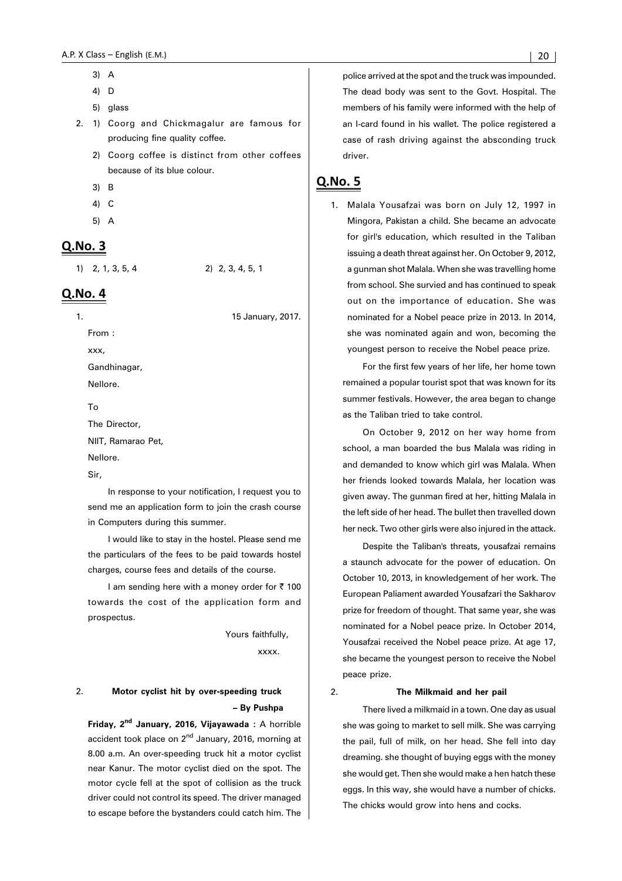- 3) A
- 4) D
- 5) glass
- 2. 1) Coorg and Chickmagalur are famous for producing fine quality coffee.
	- 2) Coorg coffee is distinct from other coffees because of its blue colour.
	- 3) B
	- 4) C
	- 5) A

#### Q.No. 3

1) 2, 1, 3, 5, 4 2) 2, 3, 4, 5, 1

Q.No. 4

1. 15 January, 2017.

From :

xxx, Gandhinagar,

Nellore.

To

The Director,

NIIT, Ramarao Pet,

Nellore.

Sir,

In response to your notification, I request you to send me an application form to join the crash course in Computers during this summer.

I would like to stay in the hostel. Please send me the particulars of the fees to be paid towards hostel charges, course fees and details of the course.

I am sending here with a money order for  $\bar{\tau}$  100 towards the cost of the application form and prospectus.

> Yours faithfully, xxxx.

#### 2. **Motor cyclist hit by over-speeding truck – By Pushpa**

**Friday, 2nd January, 2016, Vijayawada :** A horrible accident took place on  $2<sup>nd</sup>$  January, 2016, morning at 8.00 a.m. An over-speeding truck hit a motor cyclist near Kanur. The motor cyclist died on the spot. The motor cycle fell at the spot of collision as the truck driver could not control its speed. The driver managed to escape before the bystanders could catch him. The police arrived at the spot and the truck was impounded. The dead body was sent to the Govt. Hospital. The members of his family were informed with the help of an I-card found in his wallet. The police registered a case of rash driving against the absconding truck driver.

# Q.No. 5

1. Malala Yousafzai was born on July 12, 1997 in Mingora, Pakistan a child. She became an advocate for girl's education, which resulted in the Taliban issuing a death threat against her. On October 9, 2012, a gunman shot Malala. When she was travelling home from school. She survied and has continued to speak out on the importance of education. She was nominated for a Nobel peace prize in 2013. In 2014, she was nominated again and won, becoming the youngest person to receive the Nobel peace prize.

For the first few years of her life, her home town remained a popular tourist spot that was known for its summer festivals. However, the area began to change as the Taliban tried to take control.

On October 9, 2012 on her way home from school, a man boarded the bus Malala was riding in and demanded to know which girl was Malala. When her friends looked towards Malala, her location was given away. The gunman fired at her, hitting Malala in the left side of her head. The bullet then travelled down her neck. Two other girls were also injured in the attack.

Despite the Taliban's threats, yousafzai remains a staunch advocate for the power of education. On October 10, 2013, in knowledgement of her work. The European Paliament awarded Yousafzari the Sakharov prize for freedom of thought. That same year, she was nominated for a Nobel peace prize. In October 2014, Yousafzai received the Nobel peace prize. At age 17, she became the youngest person to receive the Nobel peace prize.

#### 2. **The Milkmaid and her pail**

There lived a milkmaid in a town. One day as usual she was going to market to sell milk. She was carrying the pail, full of milk, on her head. She fell into day dreaming. she thought of buying eggs with the money she would get. Then she would make a hen hatch these eggs. In this way, she would have a number of chicks. The chicks would grow into hens and cocks.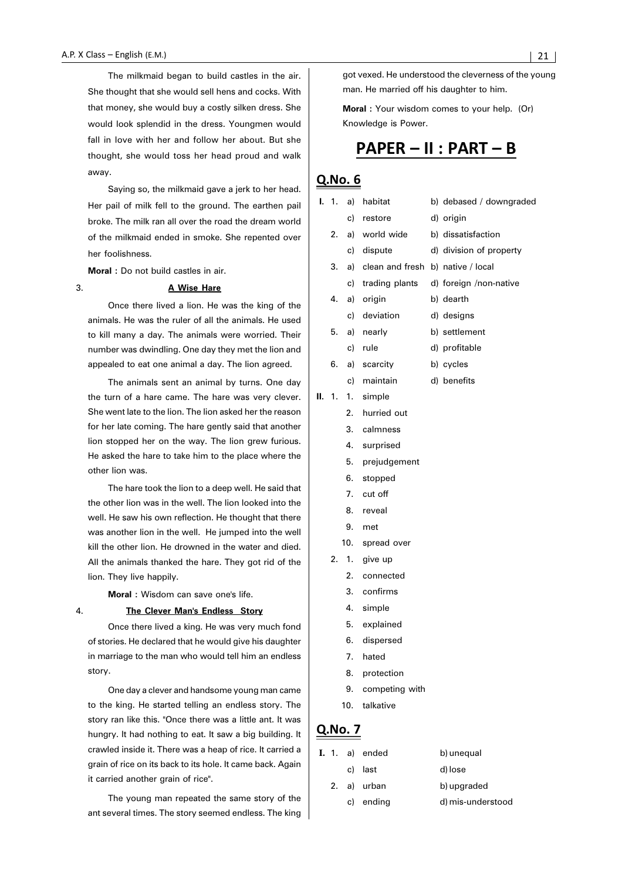The milkmaid began to build castles in the air. She thought that she would sell hens and cocks. With that money, she would buy a costly silken dress. She would look splendid in the dress. Youngmen would fall in love with her and follow her about. But she thought, she would toss her head proud and walk away.

Saying so, the milkmaid gave a jerk to her head. Her pail of milk fell to the ground. The earthen pail broke. The milk ran all over the road the dream world of the milkmaid ended in smoke. She repented over her foolishness.

**Moral :** Do not build castles in air.

#### 3. **A Wise Hare**

Once there lived a lion. He was the king of the animals. He was the ruler of all the animals. He used to kill many a day. The animals were worried. Their number was dwindling. One day they met the lion and appealed to eat one animal a day. The lion agreed.

The animals sent an animal by turns. One day the turn of a hare came. The hare was very clever. She went late to the lion. The lion asked her the reason for her late coming. The hare gently said that another lion stopped her on the way. The lion grew furious. He asked the hare to take him to the place where the other lion was.

The hare took the lion to a deep well. He said that the other lion was in the well. The lion looked into the well. He saw his own reflection. He thought that there was another lion in the well. He jumped into the well kill the other lion. He drowned in the water and died. All the animals thanked the hare. They got rid of the lion. They live happily.

**Moral :** Wisdom can save one's life.

#### 4. **The Clever Man's Endless Story**

Once there lived a king. He was very much fond of stories. He declared that he would give his daughter in marriage to the man who would tell him an endless story.

One day a clever and handsome young man came to the king. He started telling an endless story. The story ran like this. "Once there was a little ant. It was hungry. It had nothing to eat. It saw a big building. It crawled inside it. There was a heap of rice. It carried a grain of rice on its back to its hole. It came back. Again it carried another grain of rice".

The young man repeated the same story of the ant several times. The story seemed endless. The king got vexed. He understood the cleverness of the young man. He married off his daughter to him.

**Moral :** Your wisdom comes to your help. (Or) Knowledge is Power.

# PAPER - II : PART - B

## Q.No. 6

| I.  | $\overline{1}$ . | a)  | habitat                              | b) debased / downgraded |
|-----|------------------|-----|--------------------------------------|-------------------------|
|     |                  | c)  | restore                              | d) origin               |
|     | 2.               |     | a) world wide                        | b) dissatisfaction      |
|     |                  |     | c) dispute                           | d) division of property |
|     | 3.               |     | a) clean and fresh b) native / local |                         |
|     |                  | c)  | trading plants                       | d) foreign /non-native  |
|     | 4.               | a)  | origin                               | b) dearth               |
|     |                  | c)  | deviation                            | d) designs              |
|     | 5.               |     | a) nearly                            | b) settlement           |
|     |                  | c)  | rule                                 | d) profitable           |
|     | 6.               |     | a) scarcity                          | b) cycles               |
|     |                  | c)  | maintain                             | d) benefits             |
| II. | 1.               | 1.  | simple                               |                         |
|     |                  | 2.  | hurried out                          |                         |
|     |                  | 3.  | calmness                             |                         |
|     |                  | 4.  | surprised                            |                         |
|     |                  | 5.  | prejudgement                         |                         |
|     |                  | 6.  | stopped                              |                         |
|     |                  | 7.  | cut off                              |                         |
|     |                  | 8.  | reveal                               |                         |
|     |                  | 9.  | met                                  |                         |
|     |                  | 10. | spread over                          |                         |
|     | 2.               | 1.  | give up                              |                         |
|     |                  | 2.  | connected                            |                         |
|     |                  | 3.  | confirms                             |                         |

- 4. simple
- 5. explained
- 6. dispersed
- 7. hated
- 8. protection
- 9. competing with
- 10. talkative

|  | <b>I.</b> 1. a) ended | b) unequal        |
|--|-----------------------|-------------------|
|  | c) last               | d) lose           |
|  | 2. a) urban           | b) upgraded       |
|  | c) ending             | d) mis-understood |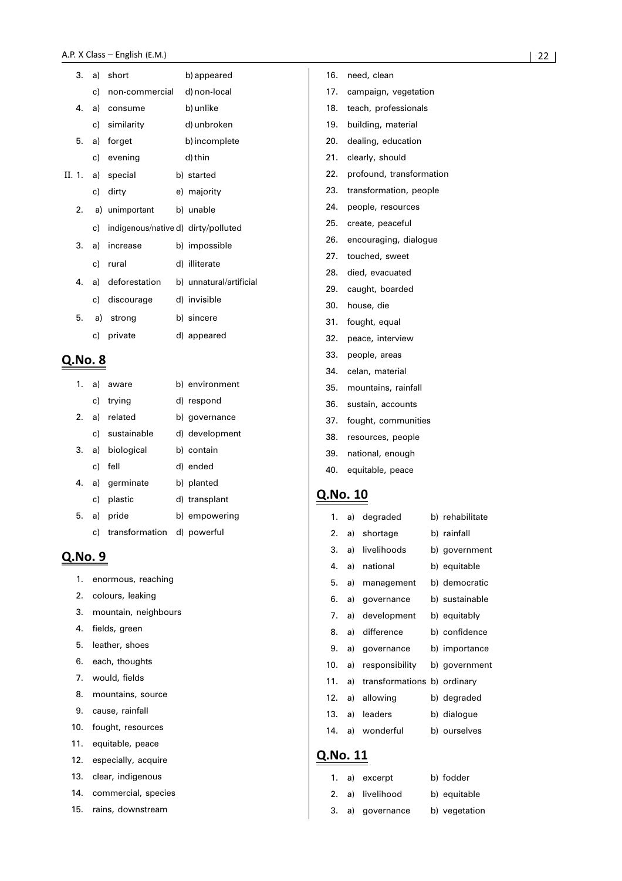| 3. |      | a) short                            | b) appeared             |
|----|------|-------------------------------------|-------------------------|
|    | c) - | non-commercial                      | d) non-local            |
| 4. | a)   | consume                             | b) unlike               |
|    |      | c) similarity                       | d) unbroken             |
| 5. |      | a) forget                           | b) incomplete           |
|    |      | c) evening                          | d) thin                 |
|    |      | II. 1. a) special                   | b) started              |
|    | c)   | dirty                               | e) majority             |
|    |      | 2. a) unimportant                   | b) unable               |
|    | c) — | indigenous/native d) dirty/polluted |                         |
| 3. | a)   | increase                            | b) impossible           |
|    |      | c) rural                            | d) illiterate           |
| 4. |      | a) deforestation                    | b) unnatural/artificial |
|    | c) – | discourage                          | d) invisible            |
| 5. |      | a) strong                           | b) sincere              |
|    | c).  | private                             | d) appeared             |
|    |      |                                     |                         |

#### Q.No. 8

| 1. | a) aware                      | b) environment |
|----|-------------------------------|----------------|
|    | c) trying                     | d) respond     |
|    | 2. a) related                 | b) governance  |
|    | c) sustainable                | d) development |
|    | 3. a) biological              | b) contain     |
|    | c) fell                       | d) ended       |
|    | 4. a) germinate               | b) planted     |
|    | c) plastic                    | d) transplant  |
|    | 5. a) pride                   | b) empowering  |
|    | c) transformation d) powerful |                |

# Q.No. 9

- 1. enormous, reaching
- 2. colours, leaking
- 3. mountain, neighbours
- 4. fields, green
- 5. leather, shoes
- 6. each, thoughts
- 7. would, fields
- 8. mountains, source
- 9. cause, rainfall
- 10. fought, resources
- 11. equitable, peace
- 12. especially, acquire
- 13. clear, indigenous
- 14. commercial, species
- 15. rains, downstream
- 16. need, clean
- 17. campaign, vegetation
- 18. teach, professionals
- 19. building, material
- 20. dealing, education
- 21. clearly, should
- 22. profound, transformation
- 23. transformation, people
- 24. people, resources
- 25. create, peaceful
- 26. encouraging, dialogue
- 27. touched, sweet
- 28. died, evacuated
- 29. caught, boarded
- 30. house, die
- 31. fought, equal
- 32. peace, interview
- 33. people, areas
- 34. celan, material
- 35. mountains, rainfall
- 36. sustain, accounts
- 37. fought, communities
- 38. resources, people
- 39. national, enough
- 40. equitable, peace

### Q.No. 10

| 1.  | a) | degraded                    | b) rehabilitate |
|-----|----|-----------------------------|-----------------|
| 2.  | a) | shortage                    | b) rainfall     |
| 3.  | a) | livelihoods                 | b) government   |
| 4.  | a) | national                    | b) equitable    |
| 5.  | a) | management                  | b) democratic   |
| 6.  | a) | governance                  | b) sustainable  |
| 7.  | a) | development                 | b) equitably    |
| 8.  | a) | difference                  | b) confidence   |
| 9.  | a) | governance                  | b) importance   |
| 10. | a) | responsibility              | b) government   |
| 11. | a) | transformations b) ordinary |                 |
| 12. | a) | allowing                    | b) degraded     |
| 13. | a) | leaders                     | b) dialogue     |
| 14. | a) | wonderful                   | b) ourselves    |
|     |    |                             |                 |

# Q.No. 11

|  | 1. a) excerpt    | b) fodder    |
|--|------------------|--------------|
|  | 2. a) livelihood | b) equitable |
|  |                  |              |

3. a) governance b) vegetation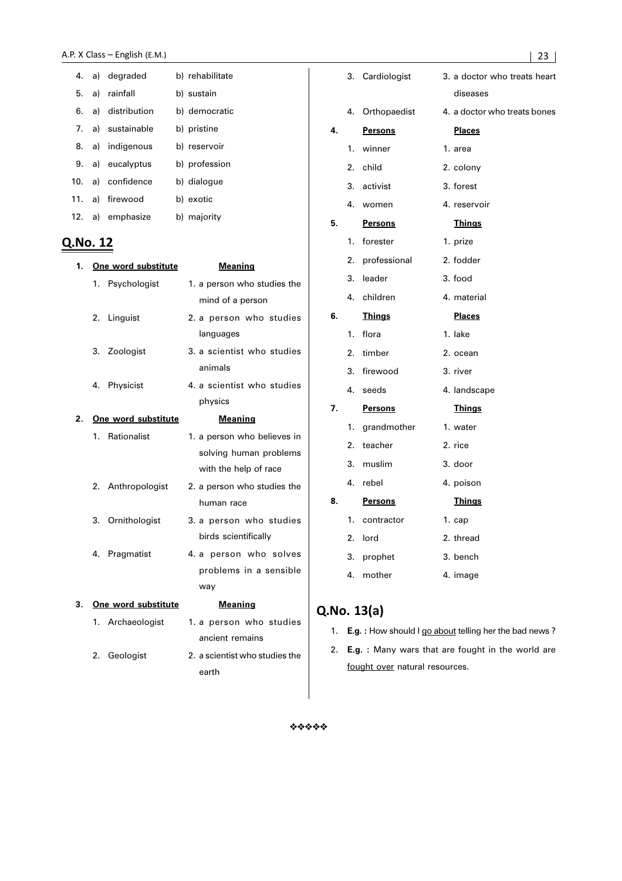|  | 4. a) degraded     | b) rehabilitate |
|--|--------------------|-----------------|
|  | 5. a) rainfall     | b) sustain      |
|  | 6. a) distribution | b) democratic   |
|  | 7. a) sustainable  | b) pristine     |
|  | 8. a) indigenous   | b) reservoir    |
|  | 9. a) eucalyptus   | b) profession   |
|  | 10. a) confidence  | b) dialogue     |
|  | 11. a) firewood    | b) exotic       |
|  | 12. a) emphasize   | b) majority     |

# Q.No. 12

| 1. | One word substitute | <b>Meaning</b>                 |
|----|---------------------|--------------------------------|
|    | 1. Psychologist     | 1. a person who studies the    |
|    |                     | mind of a person               |
|    | 2. Linguist         | 2. a person who studies        |
|    |                     | languages                      |
|    | 3. Zoologist        | 3. a scientist who studies     |
|    |                     | animals                        |
|    | 4. Physicist        | 4. a scientist who studies     |
|    |                     | physics                        |
| 2. | One word substitute | <b>Meaning</b>                 |
|    | 1. Rationalist      | 1. a person who believes in    |
|    |                     | solving human problems         |
|    |                     | with the help of race          |
|    | 2. Anthropologist   | 2. a person who studies the    |
|    |                     | human race                     |
|    | 3. Ornithologist    | 3. a person who studies        |
|    |                     | birds scientifically           |
|    | 4. Pragmatist       | 4. a person who solves         |
|    |                     | problems in a sensible         |
|    |                     | way                            |
| 3. | One word substitute | <b>Meaning</b>                 |
|    | 1. Archaeologist    | 1. a person who studies        |
|    |                     | ancient remains                |
|    | 2. Geologist        | 2. a scientist who studies the |
|    |                     | earth                          |

|    |                  | 3. Cardiologist | 3. a doctor who treats heart |
|----|------------------|-----------------|------------------------------|
|    |                  |                 | diseases                     |
|    |                  | 4. Orthopaedist | 4. a doctor who treats bones |
| 4. |                  | <b>Persons</b>  | <b>Places</b>                |
|    | 1.               | winner          | 1. area                      |
|    | 2.               | child           | 2. colony                    |
|    | 3.               | activist        | 3. forest                    |
|    | 4.               | women           | 4. reservoir                 |
| 5. |                  | <b>Persons</b>  | <u>Things</u>                |
|    | 1.               | forester        | 1. prize                     |
|    | $\overline{2}$ . | professional    | 2. fodder                    |
|    | 3.               | leader          | 3. food                      |
|    | 4.               | children        | 4. material                  |
| 6. |                  | <b>Things</b>   | <b>Places</b>                |
|    | 1.               | flora           | 1. lake                      |
|    | 2.               | timber          | 2. ocean                     |
|    | 3.               | firewood        | 3. river                     |
|    | 4.               | seeds           | 4. landscape                 |
| 7. |                  | <b>Persons</b>  | <b>Things</b>                |
|    | 1.               | grandmother     | 1. water                     |
|    | 2.               | teacher         | 2. rice                      |
|    | 3.               | muslim          | 3. door                      |
|    | 4.               | rebel           | 4. poison                    |
| 8. |                  | <b>Persons</b>  | <b>Things</b>                |
|    | 1.               | contractor      | $1.$ cap                     |
|    | 2.               | lord            | 2. thread                    |
|    | 3.               | prophet         | 3. bench                     |
|    | 4.               | mother          | 4. image                     |
|    |                  |                 |                              |

# Q.No. 13(a)

- 1. **E.g. :** How should I go about telling her the bad news ?
- 2. **E.g. :** Many wars that are fought in the world are fought over natural resources.

 $44444$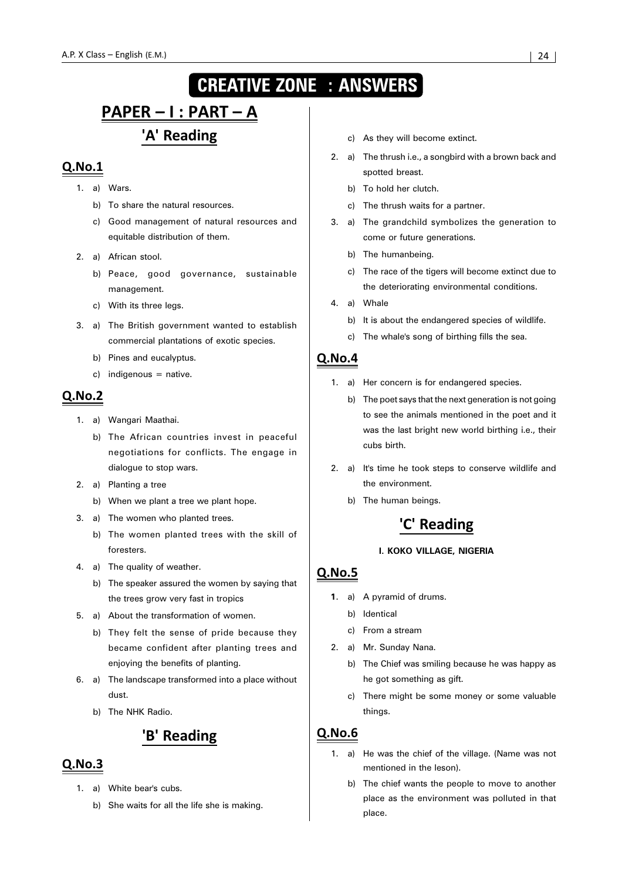# **CREATIVE ZONE : ANSWERS**

# <u> PAPER – I : PART – A</u> 'A' Reading

# $Q.No.1$

- 1. a) Wars.
	- b) To share the natural resources.
	- c) Good management of natural resources and equitable distribution of them.
- 2. a) African stool.
	- b) Peace, good governance, sustainable management.
	- c) With its three legs.
- 3. a) The British government wanted to establish commercial plantations of exotic species.
	- b) Pines and eucalyptus.
	- $c)$  indigenous = native.

## $O.No.2$

- 1. a) Wangari Maathai.
	- b) The African countries invest in peaceful negotiations for conflicts. The engage in dialogue to stop wars.
- 2. a) Planting a tree
	- b) When we plant a tree we plant hope.
- 3. a) The women who planted trees.
	- b) The women planted trees with the skill of foresters.
- 4. a) The quality of weather.
	- b) The speaker assured the women by saying that the trees grow very fast in tropics
- 5. a) About the transformation of women.
	- b) They felt the sense of pride because they became confident after planting trees and enjoying the benefits of planting.
- 6. a) The landscape transformed into a place without dust.
	- b) The NHK Radio.

# 'B' Reading

## $Q.No.3$

- 1. a) White bear's cubs.
	- b) She waits for all the life she is making.
- c) As they will become extinct.
- 2. a) The thrush i.e., a songbird with a brown back and spotted breast.
	- b) To hold her clutch.
	- c) The thrush waits for a partner.
- 3. a) The grandchild symbolizes the generation to come or future generations.
	- b) The humanbeing.
	- c) The race of the tigers will become extinct due to the deteriorating environmental conditions.
- 4. a) Whale
	- b) It is about the endangered species of wildlife.
	- c) The whale's song of birthing fills the sea.

# <u>Q.No.4</u>

- 1. a) Her concern is for endangered species.
	- b) The poet says that the next generation is not going to see the animals mentioned in the poet and it was the last bright new world birthing i.e., their cubs birth.
- 2. a) It's time he took steps to conserve wildlife and the environment.
	- b) The human beings.

# 'C' Reading

#### **I. KOKO VILLAGE, NIGERIA**

## $Q.No.5$

- **1**. a) A pyramid of drums.
	- b) Identical
	- c) From a stream
- 2. a) Mr. Sunday Nana.
	- b) The Chief was smiling because he was happy as he got something as gift.
	- c) There might be some money or some valuable things.

- 1. a) He was the chief of the village. (Name was not mentioned in the leson).
	- b) The chief wants the people to move to another place as the environment was polluted in that place.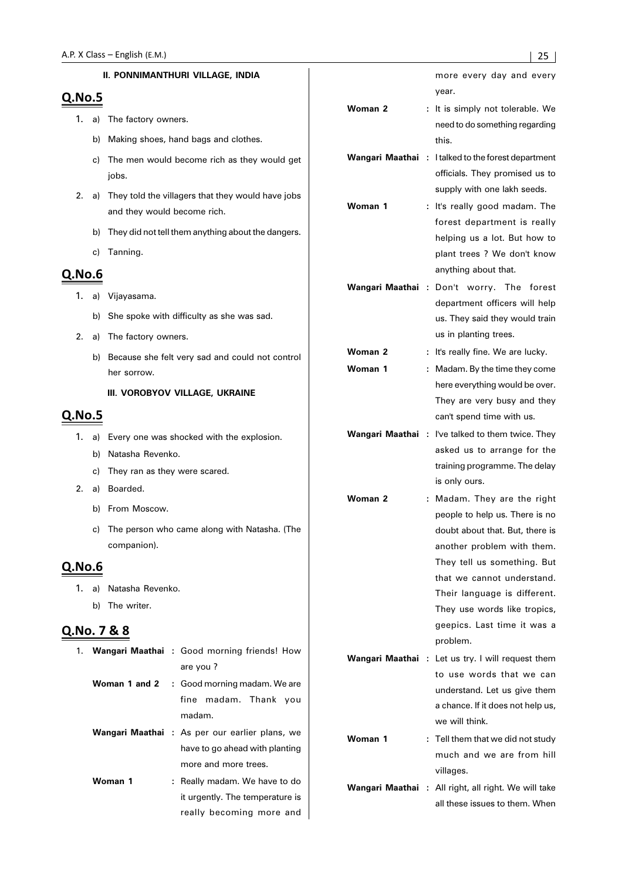#### **II. PONNIMANTHURI VILLAGE, INDIA**

# $Q.No.5$

- 1. a) The factory owners.
	- b) Making shoes, hand bags and clothes.
	- c) The men would become rich as they would get jobs.
- 2. a) They told the villagers that they would have jobs and they would become rich.
	- b) They did not tell them anything about the dangers.
	- c) Tanning.

# **Q.No.6**

- 1. a) Vijayasama.
	- b) She spoke with difficulty as she was sad.
- 2. a) The factory owners.
	- b) Because she felt very sad and could not control her sorrow.

#### **III. VOROBYOV VILLAGE, UKRAINE**

#### **Q.No.5**

- 1. a) Every one was shocked with the explosion.
	- b) Natasha Revenko.
	- c) They ran as they were scared.
- 2. a) Boarded.
	- b) From Moscow.
	- c) The person who came along with Natasha. (The companion).

## Q.No.6

- 1. a) Natasha Revenko.
	- b) The writer.

#### Q.No. 7 & 8

|         | 1. Wangari Maathai : Good morning friends! How        |  |
|---------|-------------------------------------------------------|--|
|         | are you?                                              |  |
|         | <b>Woman 1 and 2</b> : Good morning madam. We are     |  |
|         | fine madam. Thank you                                 |  |
|         | madam.                                                |  |
|         | <b>Wangari Maathai</b> : As per our earlier plans, we |  |
|         | have to go ahead with planting                        |  |
|         | more and more trees.                                  |  |
| Woman 1 | : Really madam. We have to do                         |  |
|         | it urgently. The temperature is                       |  |
|         | really becoming more and                              |  |

|                 |                             | more every day and every<br>year.                         |
|-----------------|-----------------------------|-----------------------------------------------------------|
| Woman 2         | ÷.                          | It is simply not tolerable. We                            |
|                 |                             | need to do something regarding                            |
|                 |                             | this.                                                     |
| Wangari Maathai | $\mathcal{L}_{\mathcal{A}}$ | I talked to the forest department                         |
|                 |                             | officials. They promised us to                            |
|                 |                             | supply with one lakh seeds.                               |
| Woman 1         | ÷.                          | It's really good madam. The                               |
|                 |                             | forest department is really                               |
|                 |                             | helping us a lot. But how to                              |
|                 |                             | plant trees ? We don't know                               |
|                 |                             | anything about that.                                      |
| Wangari Maathai | $\mathbb{R}^n$              | Don't worry. The<br>forest                                |
|                 |                             | department officers will help                             |
|                 |                             | us. They said they would train                            |
|                 |                             | us in planting trees.                                     |
| Woman 2         | ÷.                          | It's really fine. We are lucky.                           |
| Woman 1         | ÷.                          | Madam. By the time they come                              |
|                 |                             | here everything would be over.                            |
|                 |                             | They are very busy and they                               |
|                 |                             | can't spend time with us.                                 |
| Wangari Maathai | ÷                           | I've talked to them twice. They                           |
|                 |                             | asked us to arrange for the                               |
|                 |                             | training programme. The delay                             |
|                 |                             | is only ours.                                             |
| Woman 2         | ÷.                          | Madam. They are the right                                 |
|                 |                             | people to help us. There is no                            |
|                 |                             | doubt about that. But, there is                           |
|                 |                             | another problem with them.                                |
|                 |                             | They tell us something. But<br>that we cannot understand. |
|                 |                             | Their language is different.                              |
|                 |                             | They use words like tropics,                              |
|                 |                             | geepics. Last time it was a                               |
|                 |                             | problem.                                                  |
| Wangari Maathai | $\mathbb{R}^n$              | Let us try. I will request them                           |
|                 |                             | to use words that we can                                  |
|                 |                             | understand. Let us give them                              |
|                 |                             | a chance. If it does not help us,                         |
|                 |                             | we will think.                                            |
| Woman 1         |                             | : Tell them that we did not study                         |
|                 |                             | much and we are from hill                                 |
|                 |                             | villages.                                                 |
|                 |                             |                                                           |

**Wangari Maathai :** All right, all right. We will take all these issues to them. When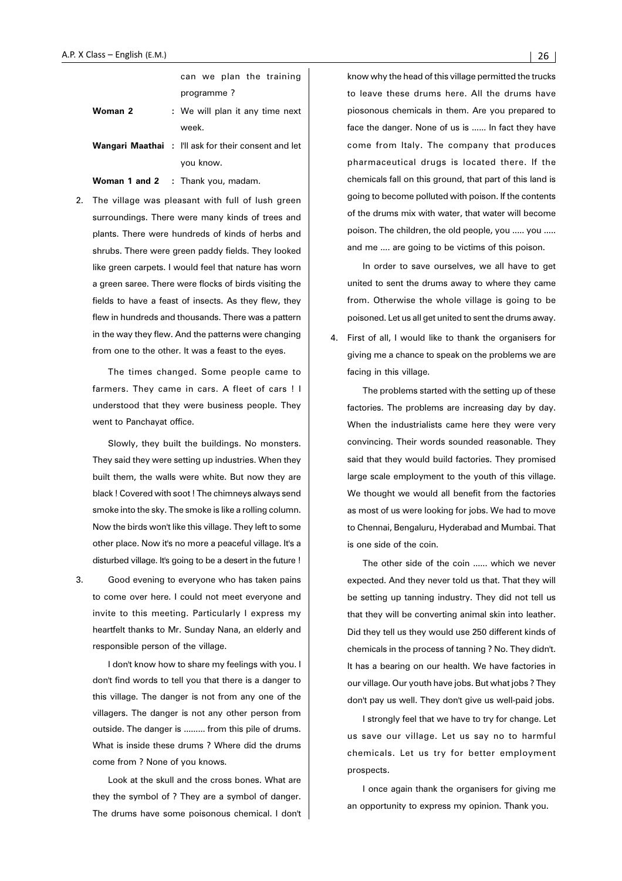|         | can we plan the training                                    |  |  |  |
|---------|-------------------------------------------------------------|--|--|--|
|         | programme?                                                  |  |  |  |
| Woman 2 | : We will plan it any time next                             |  |  |  |
|         | week.                                                       |  |  |  |
|         | <b>Wangari Maathai</b> : I'll ask for their consent and let |  |  |  |
|         | you know.                                                   |  |  |  |
|         | <b>Woman 1 and 2</b> : Thank you, madam.                    |  |  |  |

2. The village was pleasant with full of lush green surroundings. There were many kinds of trees and plants. There were hundreds of kinds of herbs and shrubs. There were green paddy fields. They looked like green carpets. I would feel that nature has worn a green saree. There were flocks of birds visiting the fields to have a feast of insects. As they flew, they flew in hundreds and thousands. There was a pattern in the way they flew. And the patterns were changing from one to the other. It was a feast to the eyes.

The times changed. Some people came to farmers. They came in cars. A fleet of cars ! I understood that they were business people. They went to Panchayat office.

Slowly, they built the buildings. No monsters. They said they were setting up industries. When they built them, the walls were white. But now they are black ! Covered with soot ! The chimneys always send smoke into the sky. The smoke is like a rolling column. Now the birds won't like this village. They left to some other place. Now it's no more a peaceful village. It's a disturbed village. It's going to be a desert in the future !

3. Good evening to everyone who has taken pains to come over here. I could not meet everyone and invite to this meeting. Particularly I express my heartfelt thanks to Mr. Sunday Nana, an elderly and responsible person of the village.

I don't know how to share my feelings with you. I don't find words to tell you that there is a danger to this village. The danger is not from any one of the villagers. The danger is not any other person from outside. The danger is ......... from this pile of drums. What is inside these drums ? Where did the drums come from ? None of you knows.

Look at the skull and the cross bones. What are they the symbol of ? They are a symbol of danger. The drums have some poisonous chemical. I don't know why the head of this village permitted the trucks to leave these drums here. All the drums have piosonous chemicals in them. Are you prepared to face the danger. None of us is ...... In fact they have come from Italy. The company that produces pharmaceutical drugs is located there. If the chemicals fall on this ground, that part of this land is going to become polluted with poison. If the contents of the drums mix with water, that water will become poison. The children, the old people, you ..... you ..... and me .... are going to be victims of this poison.

In order to save ourselves, we all have to get united to sent the drums away to where they came from. Otherwise the whole village is going to be poisoned. Let us all get united to sent the drums away.

First of all, I would like to thank the organisers for giving me a chance to speak on the problems we are facing in this village.

The problems started with the setting up of these factories. The problems are increasing day by day. When the industrialists came here they were very convincing. Their words sounded reasonable. They said that they would build factories. They promised large scale employment to the youth of this village. We thought we would all benefit from the factories as most of us were looking for jobs. We had to move to Chennai, Bengaluru, Hyderabad and Mumbai. That is one side of the coin.

The other side of the coin ...... which we never expected. And they never told us that. That they will be setting up tanning industry. They did not tell us that they will be converting animal skin into leather. Did they tell us they would use 250 different kinds of chemicals in the process of tanning ? No. They didn't. It has a bearing on our health. We have factories in our village. Our youth have jobs. But what jobs ? They don't pay us well. They don't give us well-paid jobs.

I strongly feel that we have to try for change. Let us save our village. Let us say no to harmful chemicals. Let us try for better employment prospects.

I once again thank the organisers for giving me an opportunity to express my opinion. Thank you.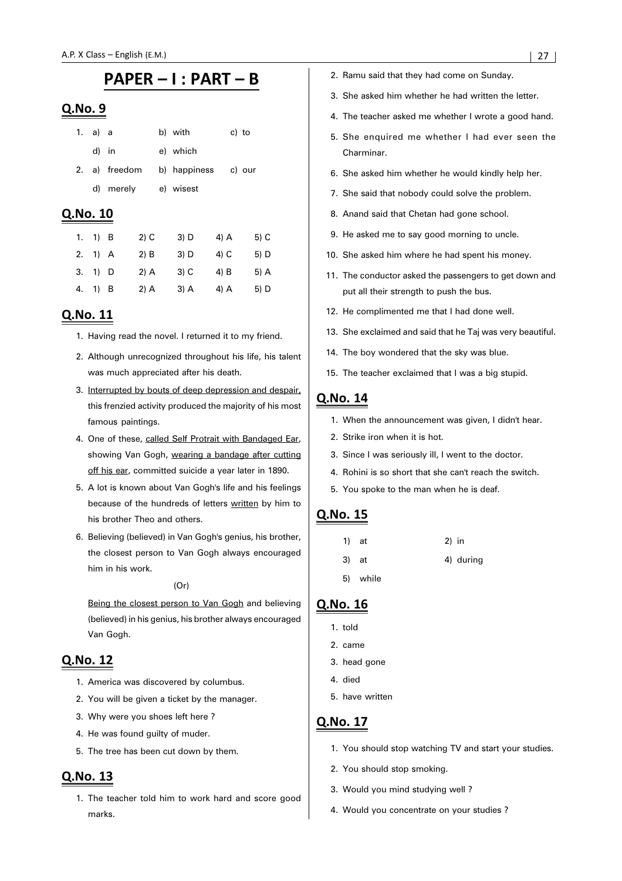# PAPER - I : PART - B

#### Q.No. 9

| 1. a) a |               | b) with      | c) to  |
|---------|---------------|--------------|--------|
| d) in   |               | e) which     |        |
|         | 2. a) freedom | b) happiness | c) our |
|         | d) merely     | e) wisest    |        |

### Q.No. 10

| 1. | $1)$ B  | 2) C   | $3)$ D | 4) A   | 5) C   |
|----|---------|--------|--------|--------|--------|
|    | 2. 1) A | $2)$ B | $3)$ D | 4) C   | 5) D   |
|    | 3. 1) D | $2)$ A | $3)$ C | $4)$ B | $5)$ A |
| 4. | 1) B    | $2)$ A | $3)$ A | $4)$ A | 5) D   |

## Q.No. 11

- 1. Having read the novel. I returned it to my friend.
- 2. Although unrecognized throughout his life, his talent was much appreciated after his death.
- 3. Interrupted by bouts of deep depression and despair, this frenzied activity produced the majority of his most famous paintings.
- 4. One of these, called Self Protrait with Bandaged Ear, showing Van Gogh, wearing a bandage after cutting off his ear, committed suicide a year later in 1890.
- 5. A lot is known about Van Gogh's life and his feelings because of the hundreds of letters written by him to his brother Theo and others.
- 6. Believing (believed) in Van Gogh's genius, his brother, the closest person to Van Gogh always encouraged him in his work.

#### (Or)

Being the closest person to Van Gogh and believing (believed) in his genius, his brother always encouraged Van Gogh.

## Q.No. 12

- 1. America was discovered by columbus.
- 2. You will be given a ticket by the manager.
- 3. Why were you shoes left here ?
- 4. He was found guilty of muder.
- 5. The tree has been cut down by them.

# Q.No. 13

1. The teacher told him to work hard and score good marks.

- 2. Ramu said that they had come on Sunday.
- 3. She asked him whether he had written the letter.
- 4. The teacher asked me whether I wrote a good hand.
- 5. She enquired me whether I had ever seen the Charminar.
- 6. She asked him whether he would kindly help her.
- 7. She said that nobody could solve the problem.
- 8. Anand said that Chetan had gone school.
- 9. He asked me to say good morning to uncle.
- 10. She asked him where he had spent his money.
- 11. The conductor asked the passengers to get down and put all their strength to push the bus.
- 12. He complimented me that I had done well.
- 13. She exclaimed and said that he Taj was very beautiful.
- 14. The boy wondered that the sky was blue.
- 15. The teacher exclaimed that I was a big stupid.

# Q.No. 14

- 1. When the announcement was given, I didn't hear.
- 2. Strike iron when it is hot.
- 3. Since I was seriously ill, I went to the doctor.
- 4. Rohini is so short that she can't reach the switch.
- 5. You spoke to the man when he is deaf.

# Q.No. 15

| $1)$ at  | $2)$ in |           |
|----------|---------|-----------|
| 3) at    |         | 4) during |
| 5) while |         |           |

# Q.No. 16

- 1. told
- 2. came
- 3. head gone
- 4. died
- 5. have written

- 1. You should stop watching TV and start your studies.
- 2. You should stop smoking.
- 3. Would you mind studying well ?
- 4. Would you concentrate on your studies ?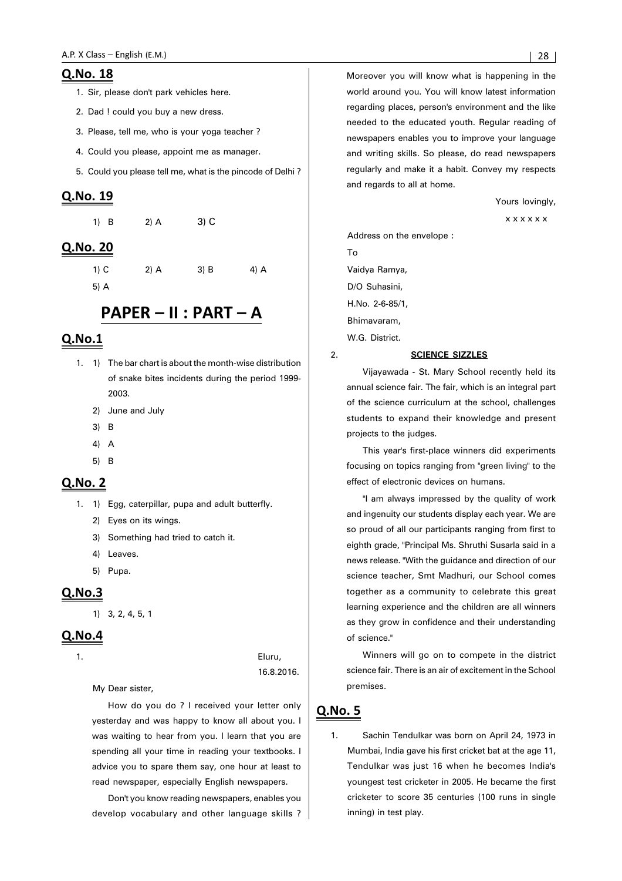#### Q.No. 18

- 1. Sir, please don't park vehicles here.
- 2. Dad ! could you buy a new dress.
- 3. Please, tell me, who is your yoga teacher ?
- 4. Could you please, appoint me as manager.
- 5. Could you please tell me, what is the pincode of Delhi ?

#### Q.No. 19

| 1) B | $2)$ A | $3)$ C |
|------|--------|--------|
|      |        |        |

#### Q.No. 20

| 1) C |  |
|------|--|
| ᄗᄾ   |  |

5) A

# PAPER - II : PART - A

2) A  $3)$  B  $4)$  A

## $Q.No.1$

- 1. 1) The bar chart is about the month-wise distribution of snake bites incidents during the period 1999- 2003.
	- 2) June and July
	- 3) B
	- 4) A
	- 5) B

#### Q.No. 2

- 1. 1) Egg, caterpillar, pupa and adult butterfly.
	- 2) Eyes on its wings.
	- 3) Something had tried to catch it.
	- 4) Leaves.
	- 5) Pupa.

#### $Q.No.3$

1) 3, 2, 4, 5, 1

#### $QNO.4$

1. Eluru, 16.8.2016.

My Dear sister,

How do you do ? I received your letter only yesterday and was happy to know all about you. I was waiting to hear from you. I learn that you are spending all your time in reading your textbooks. I advice you to spare them say, one hour at least to read newspaper, especially English newspapers.

Don't you know reading newspapers, enables you develop vocabulary and other language skills ? Moreover you will know what is happening in the world around you. You will know latest information regarding places, person's environment and the like needed to the educated youth. Regular reading of newspapers enables you to improve your language and writing skills. So please, do read newspapers regularly and make it a habit. Convey my respects and regards to all at home.

Yours lovingly,

x x x x x x

Address on the envelope : To Vaidya Ramya, D/O Suhasini, H.No. 2-6-85/1, Bhimavaram, W.G. District.

#### 2. **SCIENCE SIZZLES**

Vijayawada - St. Mary School recently held its annual science fair. The fair, which is an integral part of the science curriculum at the school, challenges students to expand their knowledge and present projects to the judges.

This year's first-place winners did experiments focusing on topics ranging from "green living" to the effect of electronic devices on humans.

"I am always impressed by the quality of work and ingenuity our students display each year. We are so proud of all our participants ranging from first to eighth grade, "Principal Ms. Shruthi Susarla said in a news release. "With the guidance and direction of our science teacher, Smt Madhuri, our School comes together as a community to celebrate this great learning experience and the children are all winners as they grow in confidence and their understanding of science."

Winners will go on to compete in the district science fair. There is an air of excitement in the School premises.

#### <u>Q.No. 5</u>

1. Sachin Tendulkar was born on April 24, 1973 in Mumbai, India gave his first cricket bat at the age 11, Tendulkar was just 16 when he becomes India's youngest test cricketer in 2005. He became the first cricketer to score 35 centuries (100 runs in single inning) in test play.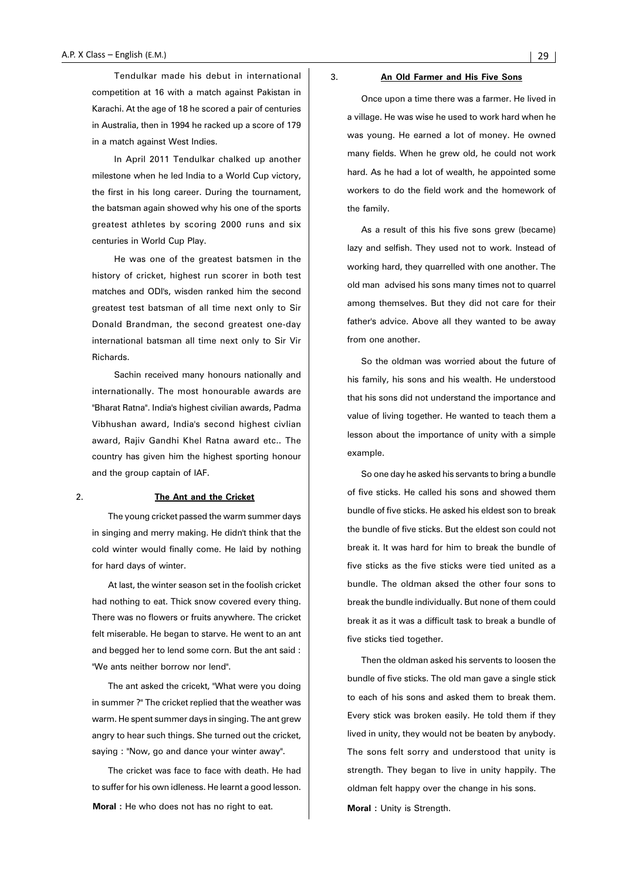Tendulkar made his debut in international competition at 16 with a match against Pakistan in Karachi. At the age of 18 he scored a pair of centuries in Australia, then in 1994 he racked up a score of 179 in a match against West Indies.

In April 2011 Tendulkar chalked up another milestone when he led India to a World Cup victory, the first in his long career. During the tournament, the batsman again showed why his one of the sports greatest athletes by scoring 2000 runs and six centuries in World Cup Play.

He was one of the greatest batsmen in the history of cricket, highest run scorer in both test matches and ODI's, wisden ranked him the second greatest test batsman of all time next only to Sir Donald Brandman, the second greatest one-day international batsman all time next only to Sir Vir Richards.

Sachin received many honours nationally and internationally. The most honourable awards are "Bharat Ratna". India's highest civilian awards, Padma Vibhushan award, India's second highest civlian award, Rajiv Gandhi Khel Ratna award etc.. The country has given him the highest sporting honour and the group captain of IAF.

#### 2. **The Ant and the Cricket**

The young cricket passed the warm summer days in singing and merry making. He didn't think that the cold winter would finally come. He laid by nothing for hard days of winter.

At last, the winter season set in the foolish cricket had nothing to eat. Thick snow covered every thing. There was no flowers or fruits anywhere. The cricket felt miserable. He began to starve. He went to an ant and begged her to lend some corn. But the ant said : "We ants neither borrow nor lend".

The ant asked the cricekt, "What were you doing in summer ?" The cricket replied that the weather was warm. He spent summer days in singing. The ant grew angry to hear such things. She turned out the cricket, saying : "Now, go and dance your winter away".

The cricket was face to face with death. He had to suffer for his own idleness. He learnt a good lesson. **Moral :** He who does not has no right to eat.

#### 3. **An Old Farmer and His Five Sons**

Once upon a time there was a farmer. He lived in a village. He was wise he used to work hard when he was young. He earned a lot of money. He owned many fields. When he grew old, he could not work hard. As he had a lot of wealth, he appointed some workers to do the field work and the homework of the family.

As a result of this his five sons grew (became) lazy and selfish. They used not to work. Instead of working hard, they quarrelled with one another. The old man advised his sons many times not to quarrel among themselves. But they did not care for their father's advice. Above all they wanted to be away from one another.

So the oldman was worried about the future of his family, his sons and his wealth. He understood that his sons did not understand the importance and value of living together. He wanted to teach them a lesson about the importance of unity with a simple example.

So one day he asked his servants to bring a bundle of five sticks. He called his sons and showed them bundle of five sticks. He asked his eldest son to break the bundle of five sticks. But the eldest son could not break it. It was hard for him to break the bundle of five sticks as the five sticks were tied united as a bundle. The oldman aksed the other four sons to break the bundle individually. But none of them could break it as it was a difficult task to break a bundle of five sticks tied together.

Then the oldman asked his servents to loosen the bundle of five sticks. The old man gave a single stick to each of his sons and asked them to break them. Every stick was broken easily. He told them if they lived in unity, they would not be beaten by anybody. The sons felt sorry and understood that unity is strength. They began to live in unity happily. The oldman felt happy over the change in his sons. **Moral :** Unity is Strength.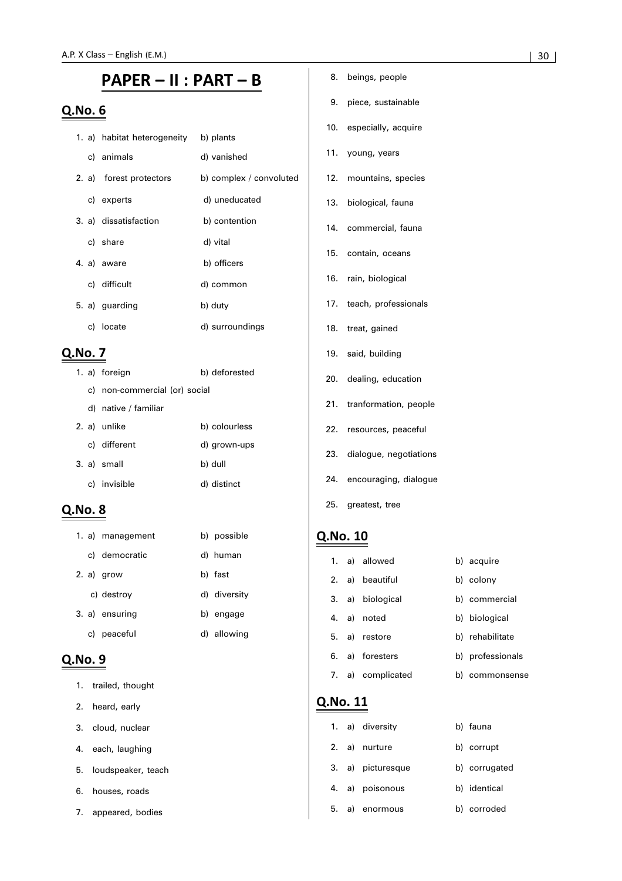# PAPER - II : PART - B

# Q.No. 6

|  | 1. a) habitat heterogeneity | b) plants               |
|--|-----------------------------|-------------------------|
|  | c) animals                  | d) vanished             |
|  | 2. a) forest protectors     | b) complex / convoluted |
|  | c) experts                  | d) uneducated           |
|  | 3. a) dissatisfaction       | b) contention           |
|  | c) share                    | d) vital                |
|  | 4. a) aware                 | b) officers             |
|  | c) difficult                | d) common               |
|  | 5. a) guarding              | b) duty                 |
|  | c) locate                   | d) surroundings         |

## Q.No. 7

|  | 1. a) foreign                 | b) deforested |  |  |  |  |
|--|-------------------------------|---------------|--|--|--|--|
|  | c) non-commercial (or) social |               |  |  |  |  |
|  | d) native / familiar          |               |  |  |  |  |
|  | 2. a) unlike                  | b) colourless |  |  |  |  |
|  | c) different                  | d) grown-ups  |  |  |  |  |
|  | 3. a) small                   | b) dull       |  |  |  |  |
|  | c) invisible                  | d) distinct   |  |  |  |  |

### **Q.No. 8**

|    | 1. a) management | b) possible  |
|----|------------------|--------------|
|    | c) democratic    | d) human     |
|    | $2. a)$ grow     | b) fast      |
|    | c) destroy       | d) diversity |
|    | 3. a) ensuring   | b) engage    |
| C) | peaceful         | d) allowing  |

# Q.No. 9

- 1. trailed, thought
- 2. heard, early
- 3. cloud, nuclear
- 4. each, laughing
- 5. loudspeaker, teach
- 6. houses, roads
- 7. appeared, bodies
- 8. beings, people
- 9. piece, sustainable
- 10. especially, acquire
- 11. young, years
- 12. mountains, species
- 13. biological, fauna
- 14. commercial, fauna
- 15. contain, oceans
- 16. rain, biological
- 17. teach, professionals
- 18. treat, gained
- 19. said, building
- 20. dealing, education
- 21. tranformation, people
- 22. resources, peaceful
- 23. dialogue, negotiations
- 24. encouraging, dialogue
- 25. greatest, tree

# Q.No. 10

|    | 1. a) allowed     |    | b) acquire       |
|----|-------------------|----|------------------|
|    | 2. a) beautiful   |    | b) colony        |
|    | 3. a) biological  |    | b) commercial    |
|    | 4. a) noted       |    | b) biological    |
| 5. | a) restore        |    | b) rehabilitate  |
| 6. | a) foresters      |    | b) professionals |
|    | 7. a) complicated | b) | commonsense      |

|    |    | 1. a) diversity   | b) fauna      |
|----|----|-------------------|---------------|
|    |    | 2. a) nurture     | b) corrupt    |
|    |    | 3. a) picturesque | b) corrugated |
|    |    | 4. a) poisonous   | b) identical  |
| 5. | a) | enormous          | b) corroded   |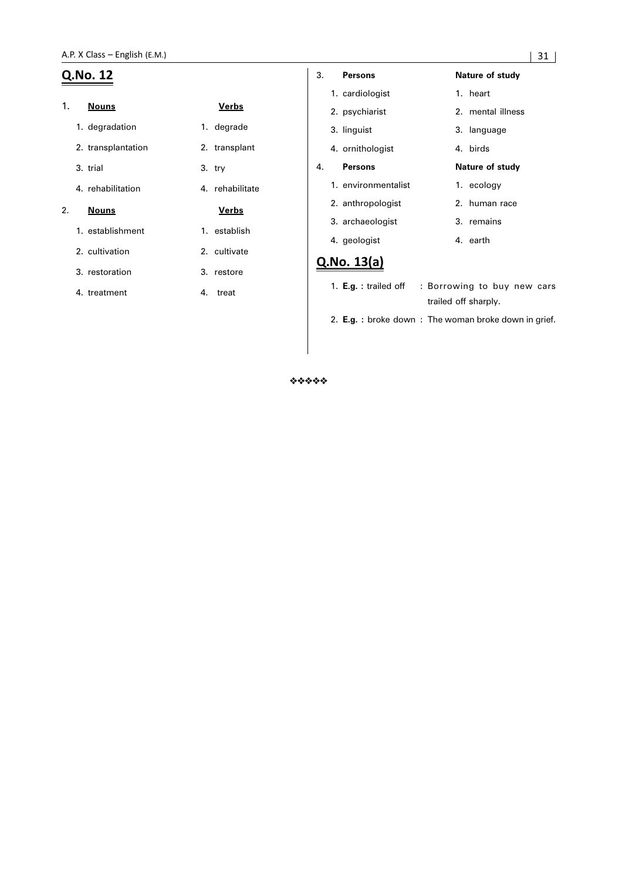|    | Q.No. 12           |                 | 3. | <b>Persons</b>                                        | Nature of study                                     |
|----|--------------------|-----------------|----|-------------------------------------------------------|-----------------------------------------------------|
|    |                    |                 |    | 1. cardiologist                                       | 1. heart                                            |
| 1. | <b>Nouns</b>       | <u>Verbs</u>    |    | 2. psychiarist                                        | 2. mental illness                                   |
|    | 1. degradation     | 1. degrade      |    | 3. linguist                                           | 3. language                                         |
|    | 2. transplantation | 2. transplant   |    | 4. ornithologist                                      | 4. birds                                            |
|    | 3. trial           | $3.$ try        | 4. | <b>Persons</b>                                        | Nature of study                                     |
|    | 4. rehabilitation  | 4. rehabilitate |    | 1. environmentalist                                   | 1. ecology                                          |
| 2. | <b>Nouns</b>       | <u>Verbs</u>    |    | 2. anthropologist                                     | 2. human race                                       |
|    | 1. establishment   | 1. establish    |    | 3. archaeologist<br>4. geologist                      | 3. remains<br>4. earth                              |
|    | 2. cultivation     | 2. cultivate    |    |                                                       |                                                     |
|    | 3. restoration     | 3. restore      |    | Q.No. 13(a)                                           |                                                     |
|    | 4. treatment       | treat<br>4.     |    | 1. $E.g. :$ trailed off                               | : Borrowing to buy new cars<br>trailed off sharply. |
|    |                    |                 |    | 2. E.g. : broke down : The woman broke down in grief. |                                                     |

\*\*\*\*\*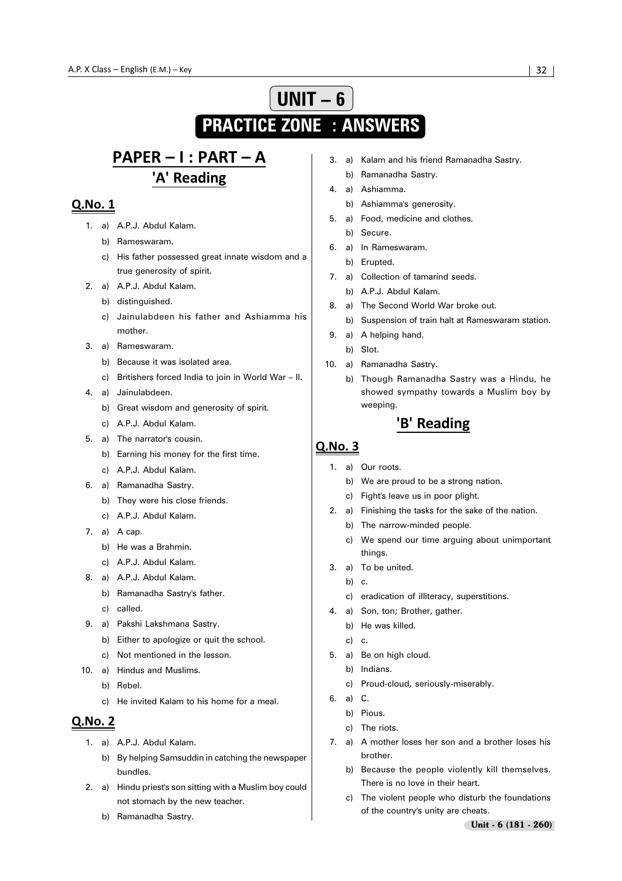# **UNIT – 6 PRACTICE ZONE : ANSWERS**

# PAPER - I : PART - A 'A' Reading

# Q.No. 1

- 1. a) A.P.J. Abdul Kalam.
	- b) Rameswaram.
	- c) His father possessed great innate wisdom and a true generosity of spirit.
- 2. a) A.P.J. Abdul Kalam.
	- b) distinguished.
	- c) Jainulabdeen his father and Ashiamma his mother.
- 3. a) Rameswaram.
	- b) Because it was isolated area.
	- c) Britishers forced India to join in World War II.
- 4. a) Jainulabdeen.
	- b) Great wisdom and generosity of spirit.
	- c) A.P.J. Abdul Kalam.
- 5. a) The narrator's cousin.
	- b) Earning his money for the first time.
	- c) A.P.J. Abdul Kalam.
- 6. a) Ramanadha Sastry.
	- b) They were his close friends.
	- c) A.P.J. Abdul Kalam.
- 7. a) A cap.
	- b) He was a Brahmin.
	- c) A.P.J. Abdul Kalam.
- 8. a) A.P.J. Abdul Kalam.
	- b) Ramanadha Sastry's father.
	- c) called.
- 9. a) Pakshi Lakshmana Sastry.
	- b) Either to apologize or quit the school.
	- c) Not mentioned in the lesson.
- 10. a) Hindus and Muslims.
	- b) Rebel.
	- c) He invited Kalam to his home for a meal.

## **Q.No. 2**

- 1. a) A.P.J. Abdul Kalam.
	- b) By helping Samsuddin in catching the newspaper bundles.
- 2. a) Hindu priest's son sitting with a Muslim boy could not stomach by the new teacher.
	- b) Ramanadha Sastry.
- 3. a) Kalam and his friend Ramanadha Sastry.
	- b) Ramanadha Sastry.
- 4. a) Ashiamma.
	- b) Ashiamma's generosity.
- 5. a) Food, medicine and clothes.
	- b) Secure.
- 6. a) In Rameswaram.
	- b) Erupted.
- 7. a) Collection of tamarind seeds.
	- b) A.P.J. Abdul Kalam.
- 8. a) The Second World War broke out.
	- b) Suspension of train halt at Rameswaram station.
- 9. a) A helping hand.
	- b) Slot.
- 10. a) Ramanadha Sastry.
	- b) Though Ramanadha Sastry was a Hindu, he showed sympathy towards a Muslim boy by weeping.

# 'B' Reading

- 1. a) Our roots.
	- b) We are proud to be a strong nation.
	- c) Fight's leave us in poor plight.
- 2. a) Finishing the tasks for the sake of the nation.
	- b) The narrow-minded people.
	- c) We spend our time arguing about unimportant things.
- 3. a) To be united.
	- b) c.
	- c) eradication of illiteracy, superstitions.
- 4. a) Son, ton; Brother, gather.
	- b) He was killed.
	- c) c.
- 5. a) Be on high cloud.
	- b) Indians.
	- c) Proud-cloud, seriously-miserably.
- 6. a) C.
	- b) Pious.
	- c) The riots.
- 7. a) A mother loses her son and a brother loses his brother.
	- b) Because the people violently kill themselves. There is no love in their heart.
	- c) The violent people who disturb the foundations of the country's unity are cheats.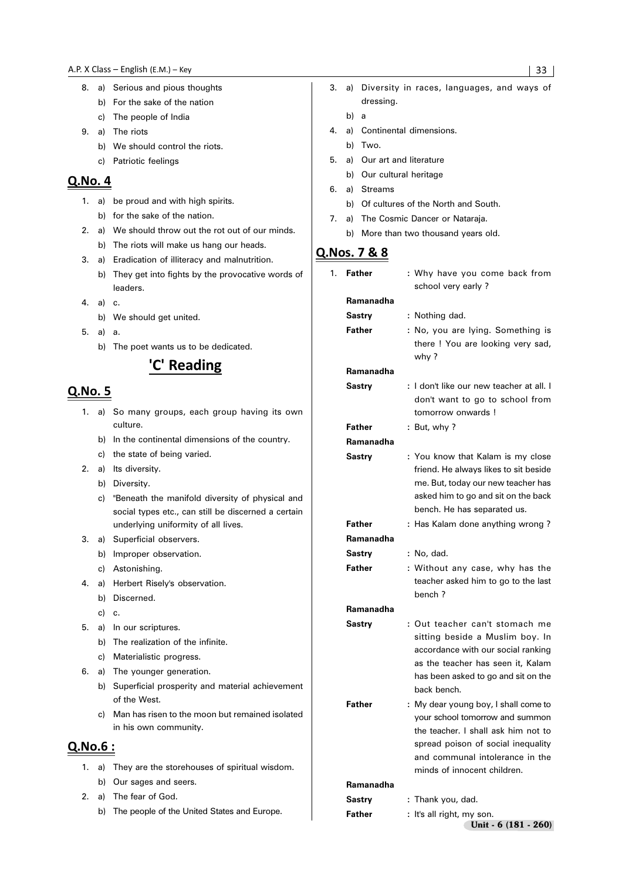- 8. a) Serious and pious thoughts b) For the sake of the nation
	- c) The people of India
- 9. a) The riots
	- b) We should control the riots.
	- c) Patriotic feelings

#### Q.No. 4

- 1. a) be proud and with high spirits. b) for the sake of the nation.
- 
- 2. a) We should throw out the rot out of our minds.
	- b) The riots will make us hang our heads.
- 3. a) Eradication of illiteracy and malnutrition.
	- b) They get into fights by the provocative words of leaders.
- 4. a) c.
	- b) We should get united.
- 5. a) a. b) The poet wants us to be dedicated.

# 'C' Reading

## **Q.No. 5**

- 1. a) So many groups, each group having its own culture.
	- b) In the continental dimensions of the country.
	- c) the state of being varied.
- 2. a) Its diversity.
	- b) Diversity.
	- c) "Beneath the manifold diversity of physical and social types etc., can still be discerned a certain underlying uniformity of all lives.
- 3. a) Superficial observers.
	- b) Improper observation.
	- c) Astonishing.
- 4. a) Herbert Risely's observation.
	- b) Discerned.
		- c) c.
- 5. a) In our scriptures.
	- b) The realization of the infinite.
	- c) Materialistic progress.
- 6. a) The younger generation.
	- b) Superficial prosperity and material achievement of the West.
	- c) Man has risen to the moon but remained isolated in his own community.

#### Q.No.6:

- 1. a) They are the storehouses of spiritual wisdom. b) Our sages and seers.
- 2. a) The fear of God.
	- b) The people of the United States and Europe.
- 3. a) Diversity in races, languages, and ways of dressing.
	- b) a
- 4. a) Continental dimensions.
	- b) Two.
- 5. a) Our art and literature
	- b) Our cultural heritage
- 6. a) Streams
	- b) Of cultures of the North and South.
- 7. a) The Cosmic Dancer or Nataraja.
	- b) More than two thousand years old.

## Q.Nos. 7 & 8

1. **Father :** Why have you come back from school very early ? **Ramanadha** Sastry : Nothing dad. Father : No, you are lying. Something is there ! You are looking very sad, why ? **Ramanadha Sastry :** I don't like our new teacher at all. I don't want to go to school from tomorrow onwards ! Father : But, why ? **Ramanadha Sastry** : You know that Kalam is my close friend. He always likes to sit beside me. But, today our new teacher has asked him to go and sit on the back bench. He has separated us. **Father :** Has Kalam done anything wrong? **Ramanadha** Sastry : No, dad. **Father** : Without any case, why has the teacher asked him to go to the last bench ? **Ramanadha Sastry :** Out teacher can't stomach me sitting beside a Muslim boy. In accordance with our social ranking as the teacher has seen it, Kalam has been asked to go and sit on the back bench. **Father** : My dear young boy, I shall come to your school tomorrow and summon the teacher. I shall ask him not to spread poison of social inequality and communal intolerance in the minds of innocent children. **Ramanadha Sastry :** Thank you, dad. **Father** : It's all right, my son.

Unit - 6 (181 - 260)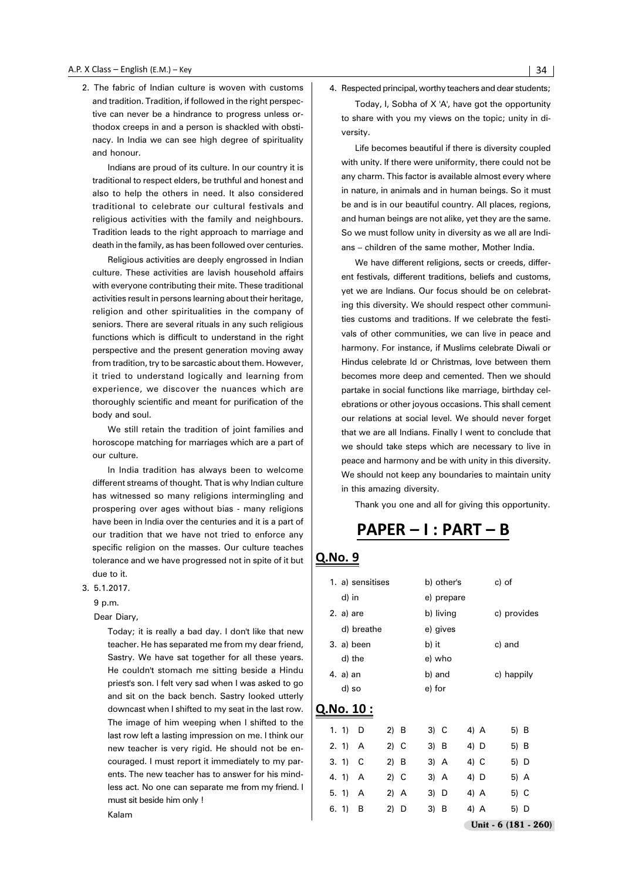2. The fabric of Indian culture is woven with customs and tradition. Tradition, if followed in the right perspective can never be a hindrance to progress unless orthodox creeps in and a person is shackled with obstinacy. In India we can see high degree of spirituality and honour.

Indians are proud of its culture. In our country it is traditional to respect elders, be truthful and honest and also to help the others in need. It also considered traditional to celebrate our cultural festivals and religious activities with the family and neighbours. Tradition leads to the right approach to marriage and death in the family, as has been followed over centuries.

Religious activities are deeply engrossed in Indian culture. These activities are lavish household affairs with everyone contributing their mite. These traditional activities result in persons learning about their heritage, religion and other spiritualities in the company of seniors. There are several rituals in any such religious functions which is difficult to understand in the right perspective and the present generation moving away from tradition, try to be sarcastic about them. However, it tried to understand logically and learning from experience, we discover the nuances which are thoroughly scientific and meant for purification of the body and soul.

We still retain the tradition of joint families and horoscope matching for marriages which are a part of our culture.

In India tradition has always been to welcome different streams of thought. That is why Indian culture has witnessed so many religions intermingling and prospering over ages without bias - many religions have been in India over the centuries and it is a part of our tradition that we have not tried to enforce any specific religion on the masses. Our culture teaches tolerance and we have progressed not in spite of it but due to it.

#### 3. 5.1.2017.

9 p.m.

Dear Diary,

Today; it is really a bad day. I don't like that new teacher. He has separated me from my dear friend, Sastry. We have sat together for all these years. He couldn't stomach me sitting beside a Hindu priest's son. I felt very sad when I was asked to go and sit on the back bench. Sastry looked utterly downcast when I shifted to my seat in the last row. The image of him weeping when I shifted to the last row left a lasting impression on me. I think our new teacher is very rigid. He should not be encouraged. I must report it immediately to my parents. The new teacher has to answer for his mindless act. No one can separate me from my friend. I must sit beside him only !

Kalam

4. Respected principal, worthy teachers and dear students; Today, I, Sobha of X 'A', have got the opportunity

to share with you my views on the topic; unity in diversity.

Life becomes beautiful if there is diversity coupled with unity. If there were uniformity, there could not be any charm. This factor is available almost every where in nature, in animals and in human beings. So it must be and is in our beautiful country. All places, regions, and human beings are not alike, yet they are the same. So we must follow unity in diversity as we all are Indians – children of the same mother, Mother India.

We have different religions, sects or creeds, different festivals, different traditions, beliefs and customs, yet we are Indians. Our focus should be on celebrating this diversity. We should respect other communities customs and traditions. If we celebrate the festivals of other communities, we can live in peace and harmony. For instance, if Muslims celebrate Diwali or Hindus celebrate Id or Christmas, love between them becomes more deep and cemented. Then we should partake in social functions like marriage, birthday celebrations or other joyous occasions. This shall cement our relations at social level. We should never forget that we are all Indians. Finally I went to conclude that we should take steps which are necessary to live in peace and harmony and be with unity in this diversity. We should not keep any boundaries to maintain unity in this amazing diversity.

Thank you one and all for giving this opportunity.

# PAPER - I : PART - B

|            |           | 1. a) sensitises |        |        | b) other's |      | c) of                 |
|------------|-----------|------------------|--------|--------|------------|------|-----------------------|
|            | d) in     |                  |        |        | e) prepare |      |                       |
|            | 2. a) are |                  |        |        | b) living  |      | c) provides           |
|            |           | d) breathe       |        |        | e) gives   |      |                       |
|            |           | 3. a) been       |        | b) it  |            |      | c) and                |
|            | d) the    |                  |        | e) who |            |      |                       |
|            | 4. a) an  |                  |        | b) and |            |      | c) happily            |
|            | d) so     |                  |        | e) for |            |      |                       |
| Q.No. 10 : |           |                  |        |        |            |      |                       |
|            | 1. 1)     | D                | 2) B   | 3) C   |            | 4) A | 5) B                  |
|            | 2.1       | A                | 2) C   | 3) B   |            | 4) D | 5) B                  |
|            | 3.1)      | С                | 2) B   | 3) A   |            | 4) C | 5) D                  |
|            | 4.1       | A                | $2)$ C | 3) A   |            | 4) D | 5) A                  |
|            | 5.1       | A                | 2) A   | 3) D   |            | 4) A | 5) C                  |
|            | 6.1)      | В                | 2) D   | 3) B   |            | 4) A | 5) D                  |
|            |           |                  |        |        |            |      | Unit - $6(181 - 260)$ |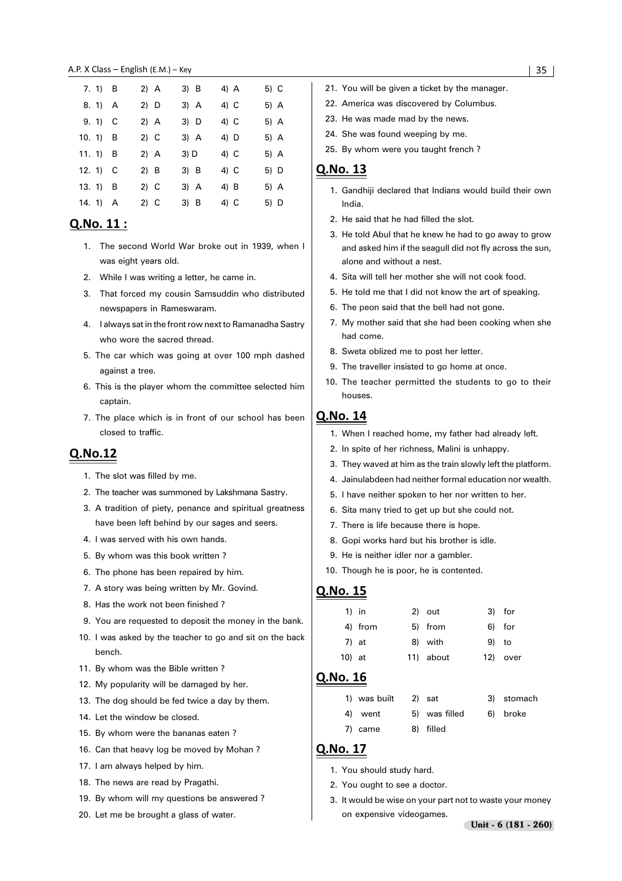#### 

| 7. 1) B               | 2) A   | 3) B | 4) A | 5) C |
|-----------------------|--------|------|------|------|
| 8. 1) A               | 2) D   | 3) A | 4) C | 5) A |
| $9.1$ C               | 2) A   | 3) D | 4) C | 5) A |
| 10. 1) $\overline{B}$ | 2) C   | 3) A | 4) D | 5) A |
|                       |        |      |      |      |
| 11. $1)$ B            | 2) A   | 3) D | 4) C | 5) A |
| 12. 1) $\,$ C         | $2)$ B | 3) B | 4) C | 5) D |
| 13. $1)$ B            | 2) C   | 3) A | 4) B | 5) A |

#### Q.No. 11:

- 1. The second World War broke out in 1939, when I was eight years old.
- 2. While I was writing a letter, he came in.
- 3. That forced my cousin Samsuddin who distributed newspapers in Rameswaram.
- 4. I always sat in the front row next to Ramanadha Sastry who wore the sacred thread.
- 5. The car which was going at over 100 mph dashed against a tree.
- 6. This is the player whom the committee selected him captain.
- 7. The place which is in front of our school has been closed to traffic.

#### Q.No.12

- 1. The slot was filled by me.
- 2. The teacher was summoned by Lakshmana Sastry.
- 3. A tradition of piety, penance and spiritual greatness have been left behind by our sages and seers.
- 4. I was served with his own hands.
- 5. By whom was this book written ?
- 6. The phone has been repaired by him.
- 7. A story was being written by Mr. Govind.
- 8. Has the work not been finished ?
- 9. You are requested to deposit the money in the bank.
- 10. I was asked by the teacher to go and sit on the back bench.
- 11. By whom was the Bible written ?
- 12. My popularity will be damaged by her.
- 13. The dog should be fed twice a day by them.
- 14. Let the window be closed.
- 15. By whom were the bananas eaten ?
- 16. Can that heavy log be moved by Mohan ?
- 17. I am always helped by him.
- 18. The news are read by Pragathi.
- 19. By whom will my questions be answered ?
- 20. Let me be brought a glass of water.
- 21. You will be given a ticket by the manager.
- 22. America was discovered by Columbus.
- 23. He was made mad by the news.
- 24. She was found weeping by me.
- 25. By whom were you taught french ?

#### Q.No. 13

- 1. Gandhiji declared that Indians would build their own India.
- 2. He said that he had filled the slot.
- 3. He told Abul that he knew he had to go away to grow and asked him if the seagull did not fly across the sun, alone and without a nest.
- 4. Sita will tell her mother she will not cook food.
- 5. He told me that I did not know the art of speaking.
- 6. The peon said that the bell had not gone.
- 7. My mother said that she had been cooking when she had come.
- 8. Sweta oblized me to post her letter.
- 9. The traveller insisted to go home at once.
- 10. The teacher permitted the students to go to their houses.

#### Q.No. 14

- 1. When I reached home, my father had already left.
- 2. In spite of her richness, Malini is unhappy.
- 3. They waved at him as the train slowly left the platform.
- 4. Jainulabdeen had neither formal education nor wealth.
- 5. I have neither spoken to her nor written to her.
- 6. Sita many tried to get up but she could not.
- 7. There is life because there is hope.
- 8. Gopi works hard but his brother is idle.
- 9. He is neither idler nor a gambler.
- 10. Though he is poor, he is contented.

#### Q.No. 15

|        | $1)$ in | 2) out    | 3) for   |
|--------|---------|-----------|----------|
|        | 4) from | 5) from   | 6) for   |
|        | 7) at   | 8) with   | 9) to    |
| 10) at |         | 11) about | 12) over |

#### Q.No. 16

| 1) was built | 2) sat        | 3) stomach |
|--------------|---------------|------------|
| 4) went      | 5) was filled | 6) broke   |
| 7) came      | 8) filled     |            |

- 1. You should study hard.
- 2. You ought to see a doctor.
- 3. It would be wise on your part not to waste your money on expensive videogames.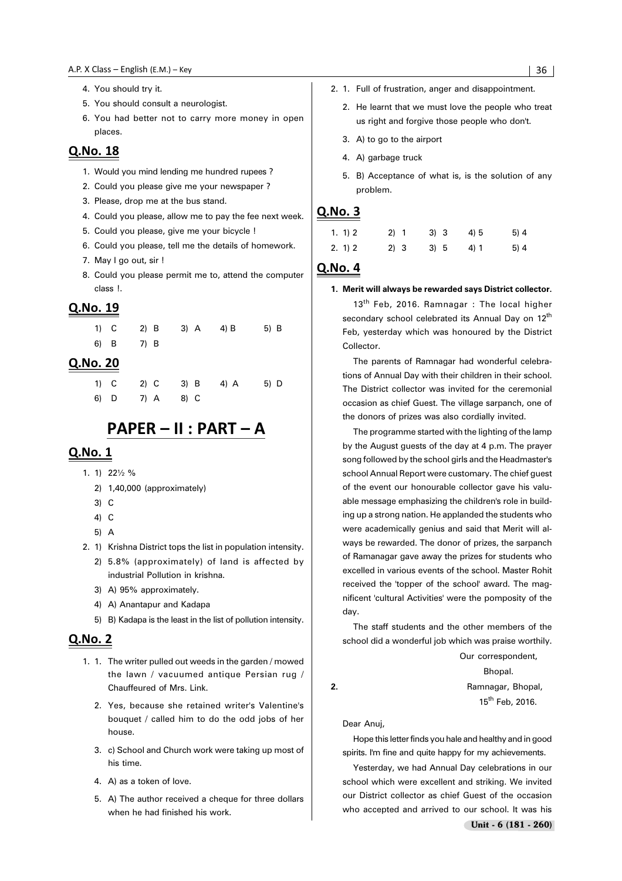#### 

- 4. You should try it.
- 5. You should consult a neurologist.
- 6. You had better not to carry more money in open places.

### Q.No. 18

- 1. Would you mind lending me hundred rupees ?
- 2. Could you please give me your newspaper ?
- 3. Please, drop me at the bus stand.
- 4. Could you please, allow me to pay the fee next week.
- 5. Could you please, give me your bicycle !
- 6. Could you please, tell me the details of homework.
- 7. May I go out, sir !
- 8. Could you please permit me to, attend the computer class !.

#### Q.No. 19

|  |           | 1) C 2) B 3) A 4) B | $5)$ B |
|--|-----------|---------------------|--------|
|  | 6) B 7) B |                     |        |

#### **Q.No. 20**

1) C 2) C 3) B 4) A 5) D 6) D 7) A 8) C

# PAPER - II : PART - A

#### Q.No. 1

- 1. 1) 22½ %
	- 2) 1,40,000 (approximately)
	- 3) C
	- 4) C
	- 5) A
- 2. 1) Krishna District tops the list in population intensity.
	- 2) 5.8% (approximately) of land is affected by industrial Pollution in krishna.
	- 3) A) 95% approximately.
	- 4) A) Anantapur and Kadapa
	- 5) B) Kadapa is the least in the list of pollution intensity.

#### Q.No. 2

- 1. 1. The writer pulled out weeds in the garden / mowed the lawn / vacuumed antique Persian rug / Chauffeured of Mrs. Link.
	- 2. Yes, because she retained writer's Valentine's bouquet / called him to do the odd jobs of her house.
	- 3. c) School and Church work were taking up most of his time.
	- 4. A) as a token of love.
	- 5. A) The author received a cheque for three dollars when he had finished his work.
- 2. 1. Full of frustration, anger and disappointment.
	- 2. He learnt that we must love the people who treat us right and forgive those people who don't.
	- 3. A) to go to the airport
	- 4. A) garbage truck
	- 5. B) Acceptance of what is, is the solution of any problem.

#### Q.No. 3

| 1. 1) 2 | 2) 1 | 3) 3 | 4) 5 | 5)4 |
|---------|------|------|------|-----|
| 2. 1) 2 | 2) 3 | 3) 5 | 4) 1 | 5)4 |

### Q.No. 4

**1. Merit will always be rewarded says District collector.**

13<sup>th</sup> Feb, 2016. Ramnagar: The local higher secondary school celebrated its Annual Day on 12<sup>th</sup> Feb, yesterday which was honoured by the District Collector.

The parents of Ramnagar had wonderful celebrations of Annual Day with their children in their school. The District collector was invited for the ceremonial occasion as chief Guest. The village sarpanch, one of the donors of prizes was also cordially invited.

The programme started with the lighting of the lamp by the August guests of the day at 4 p.m. The prayer song followed by the school girls and the Headmaster's school Annual Report were customary. The chief guest of the event our honourable collector gave his valuable message emphasizing the children's role in building up a strong nation. He applanded the students who were academically genius and said that Merit will always be rewarded. The donor of prizes, the sarpanch of Ramanagar gave away the prizes for students who excelled in various events of the school. Master Rohit received the 'topper of the school' award. The magnificent 'cultural Activities' were the pomposity of the day.

The staff students and the other members of the school did a wonderful job which was praise worthily.

Our correspondent,

Bhopal. **2.** Ramnagar, Bhopal, 15<sup>th</sup> Feb, 2016.

Dear Anuj,

Hope this letter finds you hale and healthy and in good spirits. I'm fine and quite happy for my achievements.

Yesterday, we had Annual Day celebrations in our school which were excellent and striking. We invited our District collector as chief Guest of the occasion who accepted and arrived to our school. It was his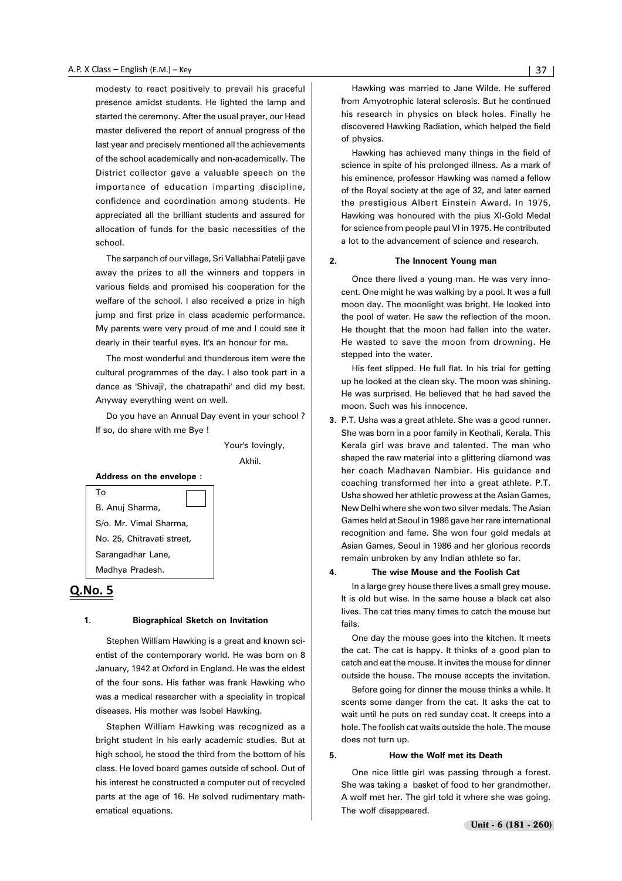modesty to react positively to prevail his graceful presence amidst students. He lighted the lamp and started the ceremony. After the usual prayer, our Head master delivered the report of annual progress of the last year and precisely mentioned all the achievements of the school academically and non-academically. The District collector gave a valuable speech on the importance of education imparting discipline, confidence and coordination among students. He appreciated all the brilliant students and assured for allocation of funds for the basic necessities of the school.

The sarpanch of our village, Sri Vallabhai Patelji gave away the prizes to all the winners and toppers in various fields and promised his cooperation for the welfare of the school. I also received a prize in high jump and first prize in class academic performance. My parents were very proud of me and I could see it dearly in their tearful eyes. It's an honour for me.

The most wonderful and thunderous item were the cultural programmes of the day. I also took part in a dance as 'Shivaji', the chatrapathi' and did my best. Anyway everything went on well.

Do you have an Annual Day event in your school ? If so, do share with me Bye !

> Your's lovingly, Akhil.

#### **Address on the envelope :**

To B. Anuj Sharma, S/o. Mr. Vimal Sharma, No. 25, Chitravati street, Sarangadhar Lane, Madhya Pradesh.

#### Q.No. 5

#### **1. Biographical Sketch on Invitation**

Stephen William Hawking is a great and known scientist of the contemporary world. He was born on 8 January, 1942 at Oxford in England. He was the eldest of the four sons. His father was frank Hawking who was a medical researcher with a speciality in tropical diseases. His mother was Isobel Hawking.

Stephen William Hawking was recognized as a bright student in his early academic studies. But at high school, he stood the third from the bottom of his class. He loved board games outside of school. Out of his interest he constructed a computer out of recycled parts at the age of 16. He solved rudimentary mathematical equations.

Hawking was married to Jane Wilde. He suffered from Amyotrophic lateral sclerosis. But he continued his research in physics on black holes. Finally he discovered Hawking Radiation, which helped the field of physics.

Hawking has achieved many things in the field of science in spite of his prolonged illness. As a mark of his eminence, professor Hawking was named a fellow of the Royal society at the age of 32, and later earned the prestigious Albert Einstein Award. In 1975, Hawking was honoured with the pius XI-Gold Medal for science from people paul VI in 1975. He contributed a lot to the advancement of science and research.

#### **2. The Innocent Young man**

Once there lived a young man. He was very innocent. One might he was walking by a pool. It was a full moon day. The moonlight was bright. He looked into the pool of water. He saw the reflection of the moon. He thought that the moon had fallen into the water. He wasted to save the moon from drowning. He stepped into the water.

His feet slipped. He full flat. In his trial for getting up he looked at the clean sky. The moon was shining. He was surprised. He believed that he had saved the moon. Such was his innocence.

**3.** P.T. Usha was a great athlete. She was a good runner. She was born in a poor family in Keothali, Kerala. This Kerala girl was brave and talented. The man who shaped the raw material into a glittering diamond was her coach Madhavan Nambiar. His guidance and coaching transformed her into a great athlete. P.T. Usha showed her athletic prowess at the Asian Games, New Delhi where she won two silver medals. The Asian Games held at Seoul in 1986 gave her rare international recognition and fame. She won four gold medals at Asian Games, Seoul in 1986 and her glorious records remain unbroken by any Indian athlete so far.

#### **4. The wise Mouse and the Foolish Cat**

In a large grey house there lives a small grey mouse. It is old but wise. In the same house a black cat also lives. The cat tries many times to catch the mouse but fails.

One day the mouse goes into the kitchen. It meets the cat. The cat is happy. It thinks of a good plan to catch and eat the mouse. It invites the mouse for dinner outside the house. The mouse accepts the invitation.

Before going for dinner the mouse thinks a while. It scents some danger from the cat. It asks the cat to wait until he puts on red sunday coat. It creeps into a hole. The foolish cat waits outside the hole. The mouse does not turn up.

#### **5. How the Wolf met its Death**

One nice little girl was passing through a forest. She was taking a basket of food to her grandmother. A wolf met her. The girl told it where she was going. The wolf disappeared.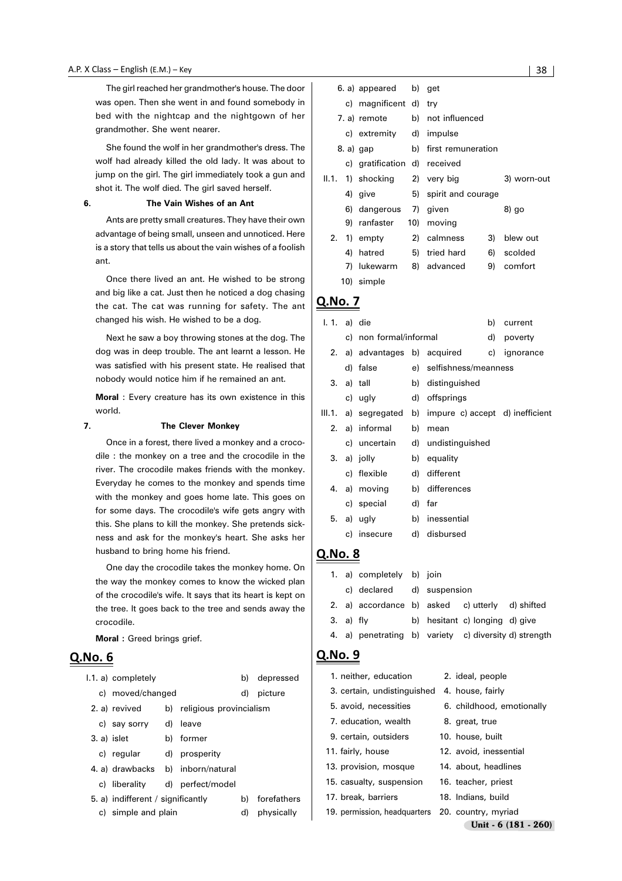The girl reached her grandmother's house. The door was open. Then she went in and found somebody in bed with the nightcap and the nightgown of her grandmother. She went nearer.

She found the wolf in her grandmother's dress. The wolf had already killed the old lady. It was about to jump on the girl. The girl immediately took a gun and shot it. The wolf died. The girl saved herself.

#### **6. The Vain Wishes of an Ant**

Ants are pretty small creatures. They have their own advantage of being small, unseen and unnoticed. Here is a story that tells us about the vain wishes of a foolish ant.

Once there lived an ant. He wished to be strong and big like a cat. Just then he noticed a dog chasing the cat. The cat was running for safety. The ant changed his wish. He wished to be a dog.

Next he saw a boy throwing stones at the dog. The dog was in deep trouble. The ant learnt a lesson. He was satisfied with his present state. He realised that nobody would notice him if he remained an ant.

**Moral** : Every creature has its own existence in this world.

#### **7. The Clever Monkey**

Once in a forest, there lived a monkey and a crocodile : the monkey on a tree and the crocodile in the river. The crocodile makes friends with the monkey. Everyday he comes to the monkey and spends time with the monkey and goes home late. This goes on for some days. The crocodile's wife gets angry with this. She plans to kill the monkey. She pretends sickness and ask for the monkey's heart. She asks her husband to bring home his friend.

One day the crocodile takes the monkey home. On the way the monkey comes to know the wicked plan of the crocodile's wife. It says that its heart is kept on the tree. It goes back to the tree and sends away the crocodile.

**Moral :** Greed brings grief.

#### Q.No. 6

|             | 1.1. a) completely                |                            | b) | depressed   |
|-------------|-----------------------------------|----------------------------|----|-------------|
|             | c) moved/changed                  |                            | d) | picture     |
|             | 2. a) revived                     | b) religious provincialism |    |             |
|             | c) say sorry d)                   | leave                      |    |             |
| 3. a) islet |                                   | b) former                  |    |             |
|             | c) regular                        | d) prosperity              |    |             |
|             | 4. a) drawbacks                   | b) inborn/natural          |    |             |
|             | c) liberality                     | d) perfect/model           |    |             |
|             | 5. a) indifferent / significantly |                            | b) | forefathers |
|             | c) simple and plain               |                            | d) | physically  |

|    |                       | 6. a) appeared b) get         |  |                       |    |             |  |
|----|-----------------------|-------------------------------|--|-----------------------|----|-------------|--|
|    | c) magnificent d) try |                               |  |                       |    |             |  |
|    |                       | 7. a) remote                  |  | b) not influenced     |    |             |  |
|    |                       | c) extremity d) impulse       |  |                       |    |             |  |
|    | 8. a) gap             |                               |  | b) first remuneration |    |             |  |
|    |                       | c) gratification d) received  |  |                       |    |             |  |
|    |                       | II.1. 1) shocking 2) very big |  |                       |    | 3) worn-out |  |
|    |                       | 4) give                       |  | 5) spirit and courage |    |             |  |
|    |                       | 6) dangerous 7) given         |  |                       |    | 8) go       |  |
|    |                       | 9) ranfaster                  |  | 10) moving            |    |             |  |
| 2. |                       | 1) empty                      |  | 2) calmness           | 3) | blew out    |  |
|    | 4)                    | hatred                        |  | 5) tried hard         | 6) | scolded     |  |
|    | 7)                    | lukewarm 8) advanced          |  |                       | 9) | comfort     |  |
|    |                       | 10) simple                    |  |                       |    |             |  |

# Q.No. 7

| $1. 1. a)$ die |                        |    |                                                         | b) | current   |
|----------------|------------------------|----|---------------------------------------------------------|----|-----------|
|                | c) non formal/informal |    |                                                         | d) | poverty   |
|                |                        |    | 2. a) advantages b) acquired                            | C) | ignorance |
|                | d) false               |    | e) selfishness/meanness                                 |    |           |
|                | 3. a) tall             |    | b) distinguished                                        |    |           |
|                | c) ugly                |    | d) offsprings                                           |    |           |
|                |                        |    | III.1. a) segregated b) impure c) accept d) inefficient |    |           |
|                | 2. a) informal         | b) | mean                                                    |    |           |
|                |                        |    | c) uncertain d) undistinguished                         |    |           |
|                | 3. a) jolly            |    | b) equality                                             |    |           |
|                | c) flexible            |    | d) different                                            |    |           |
|                | 4. a) moving           |    | b) differences                                          |    |           |
|                | c) special             |    | d) far                                                  |    |           |
|                | 5. a) ugly             |    | b) inessential                                          |    |           |
|                | c) insecure            |    | d) disbursed                                            |    |           |
|                |                        |    |                                                         |    |           |

#### **Q.No. 8**

|             | 1. a) completely b) join                              |  |                                |  |
|-------------|-------------------------------------------------------|--|--------------------------------|--|
|             | c) declared d) suspension                             |  |                                |  |
|             | 2. a) accordance b) asked c) utterly d) shifted       |  |                                |  |
| $3. a)$ fly |                                                       |  | b) hesitant c) longing d) give |  |
|             | 4. a) penetrating b) variety c) diversity d) strength |  |                                |  |
|             |                                                       |  |                                |  |

| 1. neither, education                            | 2. ideal, people          |
|--------------------------------------------------|---------------------------|
| 3. certain, undistinguished                      | 4. house, fairly          |
| 5. avoid, necessities                            | 6. childhood, emotionally |
| 7. education, wealth                             | 8. great, true            |
| 9. certain, outsiders                            | 10. house, built          |
| 11. fairly, house                                | 12. avoid, inessential    |
| 13. provision, mosque                            | 14. about, headlines      |
| 15. casualty, suspension                         | 16. teacher, priest       |
| 17. break, barriers                              | 18. Indians, build        |
| 19. permission, headquarters 20. country, myriad |                           |
|                                                  | Unit - 6 (181 - 260)      |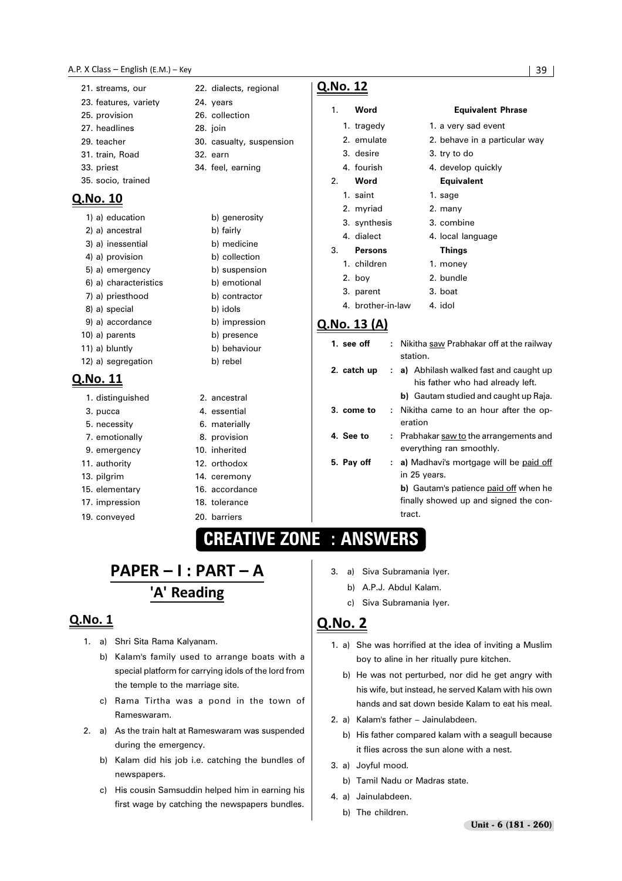#### 

- 21. streams, our 22. dialects, regional 23. features, variety 24. years 25. provision 26. collection
- 27. headlines 28. join
- 29. teacher 30. casualty, suspension 31. train, Road 32. earn
- 33. priest 34. feel, earning
- 35. socio, trained

# <u>Q.No. 10</u>

|                | 1) a) education       | b) generosity |
|----------------|-----------------------|---------------|
|                | 2) a) ancestral       | b) fairly     |
|                | 3) a) inessential     | b) medicine   |
|                | 4) a) provision       | b) collection |
|                | 5) a) emergency       | b) suspension |
|                | 6) a) characteristics | b) emotional  |
|                | 7) a) priesthood      | b) contractor |
|                | 8) a) special         | b) idols      |
|                | 9) a) accordance      | b) impression |
|                | 10) a) parents        | b) presence   |
|                | 11) a) bluntly        | b) behaviour  |
|                | 12) a) segregation    | b) rebel      |
| <u>.No. 11</u> |                       |               |

# $\mathbf{\Omega}$

| 1. distinguished | 2. ancestral   |
|------------------|----------------|
| 3. pucca         | 4. essential   |
| 5. necessity     | 6. materially  |
| 7. emotionally   | 8. provision   |
| 9. emergency     | 10. inherited  |
| 11. authority    | 12. orthodox   |
| 13. pilgrim      | 14. ceremony   |
| 15. elementary   | 16. accordance |
| 17. impression   | 18. tolerance  |
| 19. conveyed     | 20. barriers   |

Q.No. 12

1. **Word Equivalent Phrase** 1. tragedy 1. a very sad event 2. emulate 2. behave in a particular way 3. desire 3. try to do 4. fourish 4. develop quickly 2. **Word Equivalent** 1. saint 1. sage 2. myriad 2. many 3. synthesis 3. combine 4. dialect 4. local language 3. **Persons Things** 1. children 1. money 2. boy 2. bundle 3. parent 3. boat 4. brother-in-law 4. idol

# <u>Q.No. 13 (A)</u>

| 1. see off  | Nikitha saw Prabhakar off at the railway<br>t.<br>station.                                                                                                       |  |  |
|-------------|------------------------------------------------------------------------------------------------------------------------------------------------------------------|--|--|
| 2. catch up | a) Abhilash walked fast and caught up<br>÷.<br>his father who had already left.<br><b>b</b> ) Gautam studied and caught up Raja.                                 |  |  |
| 3. come to  | : Nikitha came to an hour after the op-<br>eration                                                                                                               |  |  |
| 4. See to   | : Prabhakar saw to the arrangements and<br>everything ran smoothly.                                                                                              |  |  |
| 5. Pay off  | a) Madhavi's mortgage will be paid off<br>۰.<br>in 25 years.<br><b>b</b> ) Gautam's patience paid off when he<br>finally showed up and signed the con-<br>tract. |  |  |

# **CREATIVE ZONE : ANSWERS**

# PAPER - I : PART - A 'A' Reading

## Q.No. 1

- 1. a) Shri Sita Rama Kalyanam.
	- b) Kalam's family used to arrange boats with a special platform for carrying idols of the lord from the temple to the marriage site.
	- c) Rama Tirtha was a pond in the town of Rameswaram.
- 2. a) As the train halt at Rameswaram was suspended during the emergency.
	- b) Kalam did his job i.e. catching the bundles of newspapers.
	- c) His cousin Samsuddin helped him in earning his first wage by catching the newspapers bundles.
- 3. a) Siva Subramania Iyer.
	- b) A.P.J. Abdul Kalam.
	- c) Siva Subramania Iyer.

- 1. a) She was horrified at the idea of inviting a Muslim boy to aline in her ritually pure kitchen.
	- b) He was not perturbed, nor did he get angry with his wife, but instead, he served Kalam with his own hands and sat down beside Kalam to eat his meal.
- 2. a) Kalam's father Jainulabdeen.
	- b) His father compared kalam with a seagull because it flies across the sun alone with a nest.
- 3. a) Joyful mood.
	- b) Tamil Nadu or Madras state.
- 4. a) Jainulabdeen.
	- b) The children.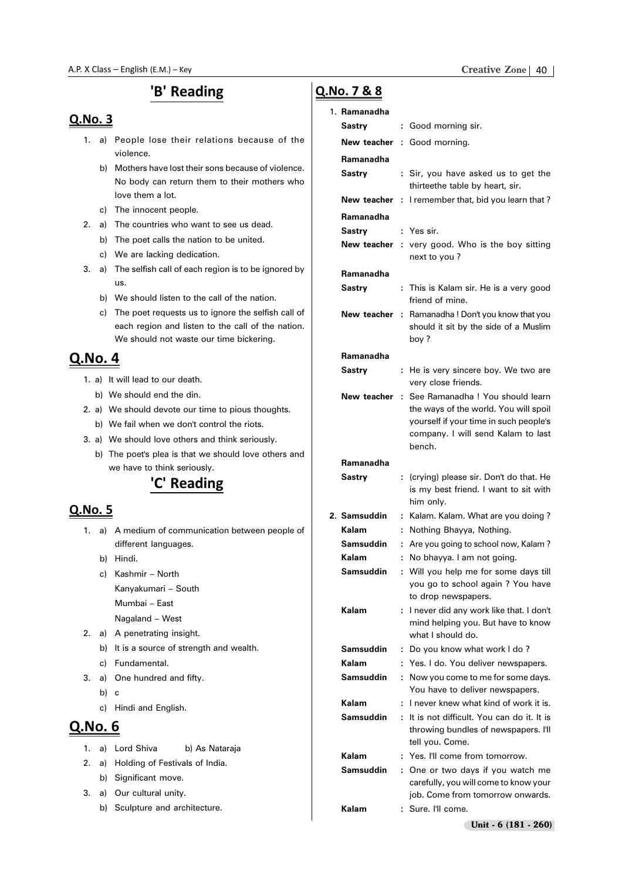# 'B' Reading

### Q.No. 3

- 1. a) People lose their relations because of the violence.
	- b) Mothers have lost their sons because of violence. No body can return them to their mothers who love them a lot.
	- c) The innocent people.
- 2. a) The countries who want to see us dead.
	- b) The poet calls the nation to be united.
	- c) We are lacking dedication.
- 3. a) The selfish call of each region is to be ignored by us.
	- b) We should listen to the call of the nation.
	- c) The poet requests us to ignore the selfish call of each region and listen to the call of the nation. We should not waste our time bickering.

# <u>Q.No. 4</u>

- 1. a) It will lead to our death.
	- b) We should end the din.
- 2. a) We should devote our time to pious thoughts. b) We fail when we don't control the riots.
- 3. a) We should love others and think seriously.
	- b) The poet's plea is that we should love others and we have to think seriously.

# 'C' Reading

# Q.No. 5

- 1. a) A medium of communication between people of different languages.
	- b) Hindi.
	- c) Kashmir North Kanyakumari – South Mumbai – East
		-
		- Nagaland West
- 2. a) A penetrating insight.
	- b) It is a source of strength and wealth.
	- c) Fundamental.
- 3. a) One hundred and fifty.
	- b) c
	- c) Hindi and English.

# Q.No. 6

- 1. a) Lord Shiva b) As Nataraja
- 2. a) Holding of Festivals of India.
	- b) Significant move.
- 3. a) Our cultural unity.
	- b) Sculpture and architecture.

# Q.No. 7 & 8

#### 1. **Ramanadha**

| Sastry              |   | : Good morning sir.                                                          |
|---------------------|---|------------------------------------------------------------------------------|
|                     |   | New teacher : Good morning.                                                  |
| Ramanadha           |   |                                                                              |
| Sastry              |   | : Sir, you have asked us to get the<br>thirteethe table by heart, sir.       |
| New teacher         | ÷ | I remember that, bid you learn that?                                         |
| Ramanadha<br>Sastry |   | : Yes sir.                                                                   |
| New teacher         |   | : very good. Who is the boy sitting                                          |
|                     |   | next to you?                                                                 |
| Ramanadha           |   |                                                                              |
| Sastry              |   | : This is Kalam sir. He is a very good<br>friend of mine.                    |
| New teacher         | ÷ | Ramanadha! Don't you know that you                                           |
|                     |   | should it sit by the side of a Muslim<br>boy?                                |
| Ramanadha           |   |                                                                              |
| Sastry              | ÷ | He is very sincere boy. We two are<br>very close friends.                    |
| New teacher         | ÷ | See Ramanadha ! You should learn                                             |
|                     |   | the ways of the world. You will spoil                                        |
|                     |   | yourself if your time in such people's<br>company. I will send Kalam to last |
|                     |   | bench.                                                                       |
| Ramanadha           |   |                                                                              |
| Sastry              | ÷ | (crying) please sir. Don't do that. He                                       |
|                     |   | is my best friend. I want to sit with<br>him only.                           |
| 2. Samsuddin        | ÷ | Kalam. Kalam. What are you doing?                                            |
| Kalam               | t | Nothing Bhayya, Nothing.                                                     |
| <b>Samsuddin</b>    | t | Are you going to school now, Kalam?                                          |
| Kalam               | t | No bhayya. I am not going.                                                   |
| <b>Samsuddin</b>    | t | Will you help me for some days till                                          |
|                     |   | you go to school again ? You have<br>to drop newspapers.                     |
| Kalam               | ÷ | I never did any work like that. I don't                                      |
|                     |   | mind helping you. But have to know<br>what I should do.                      |
| Samsuddin           | t | Do you know what work I do?                                                  |
| Kalam               | ÷ | Yes. I do. You deliver newspapers.                                           |
| Samsuddin           | ÷ | Now you come to me for some days.                                            |
|                     |   | You have to deliver newspapers.                                              |
| Kalam               |   | I never knew what kind of work it is.                                        |
| Samsuddin           | ÷ | It is not difficult. You can do it, It is                                    |
|                     |   | throwing bundles of newspapers. I'll<br>tell you. Come.                      |
| Kalam               | ÷ | Yes. I'll come from tomorrow.                                                |
| Samsuddin           | ÷ | One or two days if you watch me                                              |
|                     |   | carefully, you will come to know your                                        |
|                     |   | job. Come from tomorrow onwards.                                             |
| Kalam               |   | Sure. I'll come.                                                             |
|                     |   | Unit - 6 (181 - 260)                                                         |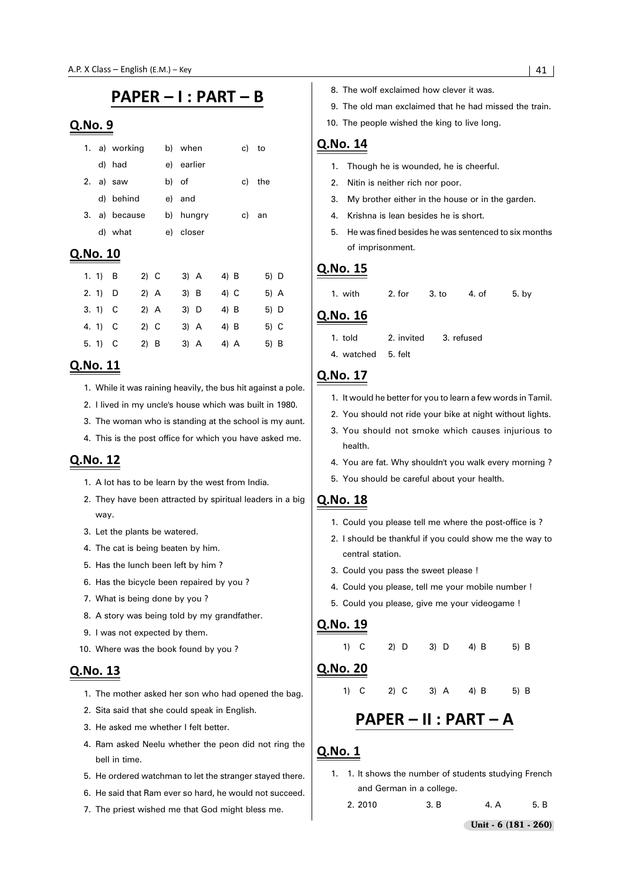# PAPER - I : PART - B

#### Q.No. 9

|    | 1. a) working |       | b) when    | c) to |     |
|----|---------------|-------|------------|-------|-----|
|    | d) had        |       | e) earlier |       |     |
|    | 2. a) saw     | b) of |            | c)    | the |
|    | d) behind     |       | e) and     |       |     |
| 3. | a) because    |       | b) hungry  | C)    | an  |
|    | d) what       |       | e) closer  |       |     |
|    |               |       |            |       |     |

### Q.No. 10

| 1. 1) $\overline{B}$ |              | $2)$ C | $3)$ A | 4) B   | 5) D |
|----------------------|--------------|--------|--------|--------|------|
| 2.1                  | - D          | $2)$ A | 3) B   | $4)$ C | 5) A |
| 3.1) C               |              | $2)$ A | 3) D   | 4) B   | 5) D |
| 4. 1)                | $\mathbb{C}$ | $2)$ C | 3) A   | $4)$ B | 5) C |
| 5.1                  | - C          | 2) B   | 3) A   | 4) A   | 5) B |

#### Q.No. 11

- 1. While it was raining heavily, the bus hit against a pole.
- 2. I lived in my uncle's house which was built in 1980.
- 3. The woman who is standing at the school is my aunt.
- 4. This is the post office for which you have asked me.

#### Q.No. 12

- 1. A lot has to be learn by the west from India.
- 2. They have been attracted by spiritual leaders in a big way.
- 3. Let the plants be watered.
- 4. The cat is being beaten by him.
- 5. Has the lunch been left by him ?
- 6. Has the bicycle been repaired by you ?
- 7. What is being done by you ?
- 8. A story was being told by my grandfather.
- 9. I was not expected by them.
- 10. Where was the book found by you ?

#### Q.No. 13

- 1. The mother asked her son who had opened the bag.
- 2. Sita said that she could speak in English.
- 3. He asked me whether I felt better.
- 4. Ram asked Neelu whether the peon did not ring the bell in time.
- 5. He ordered watchman to let the stranger stayed there.
- 6. He said that Ram ever so hard, he would not succeed.
- 7. The priest wished me that God might bless me.
- 8. The wolf exclaimed how clever it was.
- 9. The old man exclaimed that he had missed the train.
- 10. The people wished the king to live long.

#### Q.No. 14

- 1. Though he is wounded, he is cheerful.
- 2. Nitin is neither rich nor poor.
- 3. My brother either in the house or in the garden.
- 4. Krishna is lean besides he is short.
- 5. He was fined besides he was sentenced to six months of imprisonment.

#### Q.No. 15

1. with 2. for 3. to 4. of 5. by

#### Q.No. 16

- 1. told 2. invited 3. refused
- 4. watched 5. felt

### Q.No. 17

- 1. It would he better for you to learn a few words in Tamil.
- 2. You should not ride your bike at night without lights.
- 3. You should not smoke which causes injurious to health.
- 4. You are fat. Why shouldn't you walk every morning ?
- 5. You should be careful about your health.

#### Q.No. 18

- 1. Could you please tell me where the post-office is ?
- 2. I should be thankful if you could show me the way to central station.
- 3. Could you pass the sweet please !
- 4. Could you please, tell me your mobile number !
- 5. Could you please, give me your videogame !

#### Q.No. 19

# 1) C 2) D 3) D 4) B 5) B

## Q.No. 20

#### 1) C 2) C 3) A 4) B 5) B

# PAPER - II : PART - A

- 1. 1. It shows the number of students studying French and German in a college.
	- 2. 2010 3. B 4. A 5. B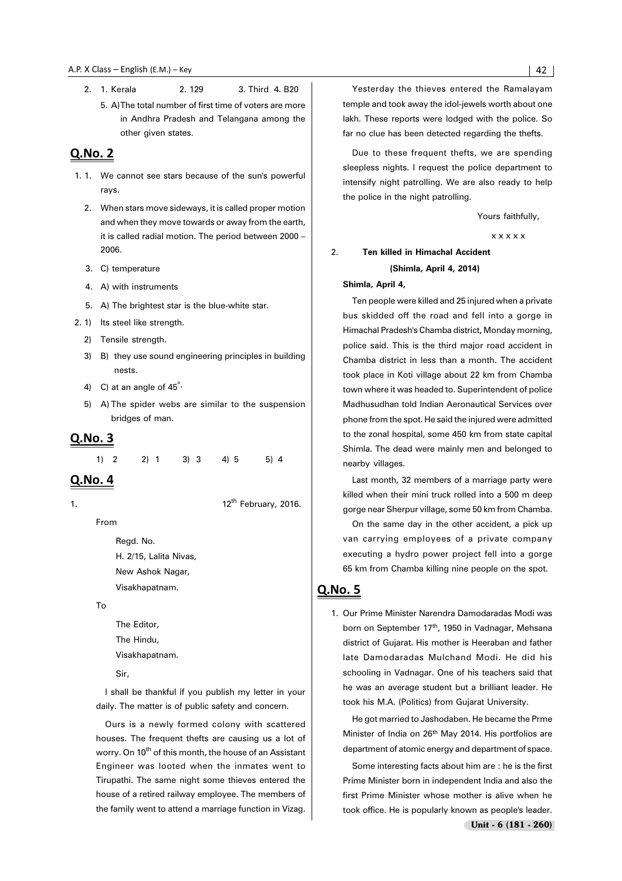2. 1. Kerala 2. 129 3. Third 4. B20 5. A)The total number of first time of voters are more in Andhra Pradesh and Telangana among the

other given states.

#### Q.No. 2

- 1. 1. We cannot see stars because of the sun's powerful rays.
	- 2. When stars move sideways, it is called proper motion and when they move towards or away from the earth, it is called radial motion. The period between 2000 – 2006.
	- 3. C) temperature
	- 4. A) with instruments
	- 5. A) The brightest star is the blue-white star.
- 2. 1) Its steel like strength.
	- 2) Tensile strength.
	- 3) B) they use sound engineering principles in building nests.
	- 4) C) at an angle of  $45^\circ$ .
	- 5) A) The spider webs are similar to the suspension bridges of man.

#### Q.No. 3

1) 2 2) 1 3) 3 4) 5 5) 4

#### Q.No. 4

1.  $12^{th}$  February, 2016.

From

Regd. No. H. 2/15, Lalita Nivas, New Ashok Nagar, Visakhapatnam.

To

The Editor, The Hindu, Visakhapatnam.

Sir,

I shall be thankful if you publish my letter in your daily. The matter is of public safety and concern.

Ours is a newly formed colony with scattered houses. The frequent thefts are causing us a lot of worry. On 10<sup>th</sup> of this month, the house of an Assistant Engineer was looted when the inmates went to Tirupathi. The same night some thieves entered the house of a retired railway employee. The members of the family went to attend a marriage function in Vizag.

Yesterday the thieves entered the Ramalayam temple and took away the idol-jewels worth about one lakh. These reports were lodged with the police. So far no clue has been detected regarding the thefts.

Due to these frequent thefts, we are spending sleepless nights. I request the police department to intensify night patrolling. We are also ready to help the police in the night patrolling.

Yours faithfully,

x x x x x

#### 2. **Ten killed in Himachal Accident**

#### **(Shimla, April 4, 2014)**

**Shimla, April 4,**

Ten people were killed and 25 injured when a private bus skidded off the road and fell into a gorge in Himachal Pradesh's Chamba district, Monday morning, police said. This is the third major road accident in Chamba district in less than a month. The accident took place in Koti village about 22 km from Chamba town where it was headed to. Superintendent of police Madhusudhan told Indian Aeronautical Services over phone from the spot. He said the injured were admitted to the zonal hospital, some 450 km from state capital Shimla. The dead were mainly men and belonged to nearby villages.

Last month, 32 members of a marriage party were killed when their mini truck rolled into a 500 m deep gorge near Sherpur village, some 50 km from Chamba.

On the same day in the other accident, a pick up van carrying employees of a private company executing a hydro power project fell into a gorge 65 km from Chamba killing nine people on the spot.

#### Q.No. 5

1. Our Prime Minister Narendra Damodaradas Modi was born on September 17<sup>th</sup>, 1950 in Vadnagar, Mehsana district of Gujarat. His mother is Heeraban and father late Damodaradas Mulchand Modi. He did his schooling in Vadnagar. One of his teachers said that he was an average student but a brilliant leader. He took his M.A. (Politics) from Gujarat University.

He got married to Jashodaben. He became the Prme Minister of India on 26th May 2014. His portfolios are department of atomic energy and department of space.

Some interesting facts about him are : he is the first Prime Minister born in independent India and also the first Prime Minister whose mother is alive when he took office. He is popularly known as people's leader.